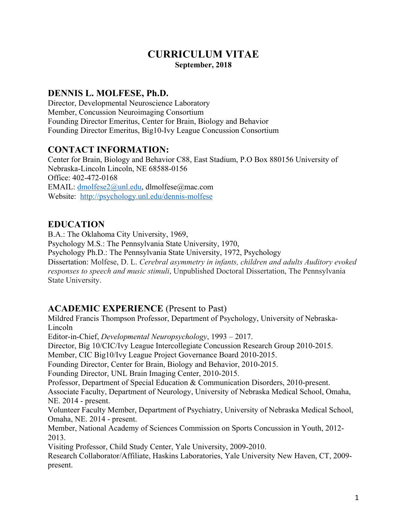# **CURRICULUM VITAE September, 2018**

#### **DENNIS L. MOLFESE, Ph.D.**

Director, Developmental Neuroscience Laboratory Member, Concussion Neuroimaging Consortium Founding Director Emeritus, Center for Brain, Biology and Behavior Founding Director Emeritus, Big10-Ivy League Concussion Consortium

## **CONTACT INFORMATION:**

Center for Brain, Biology and Behavior C88, East Stadium, P.O Box 880156 University of Nebraska-Lincoln Lincoln, NE 68588-0156 Office: 402-472-0168 EMAIL: dmolfese2@unl.edu, dlmolfese@mac.com Website: http://psychology.unl.edu/dennis-molfese

#### **EDUCATION**

B.A.: The Oklahoma City University, 1969, Psychology M.S.: The Pennsylvania State University, 1970, Psychology Ph.D.: The Pennsylvania State University, 1972, Psychology Dissertation: Molfese, D. L. *Cerebral asymmetry in infants, children and adults Auditory evoked responses to speech and music stimuli*, Unpublished Doctoral Dissertation, The Pennsylvania State University.

# **ACADEMIC EXPERIENCE** (Present to Past)

Mildred Francis Thompson Professor, Department of Psychology, University of Nebraska-Lincoln Editor-in-Chief, *Developmental Neuropsychology*, 1993 – 2017. Director, Big 10/CIC/Ivy League Intercollegiate Concussion Research Group 2010-2015. Member, CIC Big10/Ivy League Project Governance Board 2010-2015. Founding Director, Center for Brain, Biology and Behavior, 2010-2015. Founding Director, UNL Brain Imaging Center, 2010-2015. Professor, Department of Special Education & Communication Disorders, 2010-present. Associate Faculty, Department of Neurology, University of Nebraska Medical School, Omaha, NE. 2014 - present. Volunteer Faculty Member, Department of Psychiatry, University of Nebraska Medical School, Omaha, NE. 2014 - present. Member, National Academy of Sciences Commission on Sports Concussion in Youth, 2012- 2013. Visiting Professor, Child Study Center, Yale University, 2009-2010. Research Collaborator/Affiliate, Haskins Laboratories, Yale University New Haven, CT, 2009 present.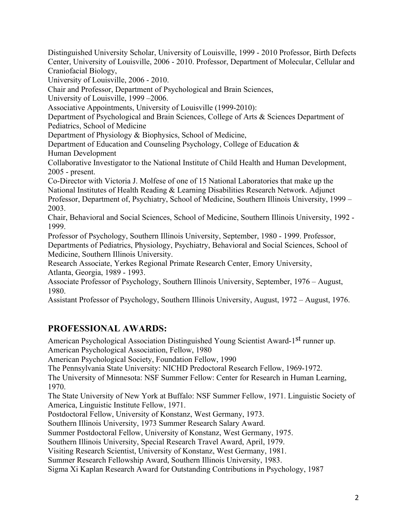Distinguished University Scholar, University of Louisville, 1999 - 2010 Professor, Birth Defects Center, University of Louisville, 2006 - 2010. Professor, Department of Molecular, Cellular and Craniofacial Biology,

University of Louisville, 2006 - 2010.

Chair and Professor, Department of Psychological and Brain Sciences,

University of Louisville, 1999 –2006.

Associative Appointments, University of Louisville (1999-2010):

Department of Psychological and Brain Sciences, College of Arts & Sciences Department of Pediatrics, School of Medicine

Department of Physiology & Biophysics, School of Medicine,

Department of Education and Counseling Psychology, College of Education & Human Development

Collaborative Investigator to the National Institute of Child Health and Human Development, 2005 - present.

Co-Director with Victoria J. Molfese of one of 15 National Laboratories that make up the National Institutes of Health Reading & Learning Disabilities Research Network. Adjunct Professor, Department of, Psychiatry, School of Medicine, Southern Illinois University, 1999 – 2003.

Chair, Behavioral and Social Sciences, School of Medicine, Southern Illinois University, 1992 - 1999.

Professor of Psychology, Southern Illinois University, September, 1980 - 1999. Professor, Departments of Pediatrics, Physiology, Psychiatry, Behavioral and Social Sciences, School of Medicine, Southern Illinois University.

Research Associate, Yerkes Regional Primate Research Center, Emory University, Atlanta, Georgia, 1989 - 1993.

Associate Professor of Psychology, Southern Illinois University, September, 1976 – August, 1980.

Assistant Professor of Psychology, Southern Illinois University, August, 1972 – August, 1976.

# **PROFESSIONAL AWARDS:**

American Psychological Association Distinguished Young Scientist Award-1<sup>st</sup> runner up. American Psychological Association, Fellow, 1980

American Psychological Society, Foundation Fellow, 1990

The Pennsylvania State University: NICHD Predoctoral Research Fellow, 1969-1972.

The University of Minnesota: NSF Summer Fellow: Center for Research in Human Learning, 1970.

The State University of New York at Buffalo: NSF Summer Fellow, 1971. Linguistic Society of America, Linguistic Institute Fellow, 1971.

Postdoctoral Fellow, University of Konstanz, West Germany, 1973.

Southern Illinois University, 1973 Summer Research Salary Award.

Summer Postdoctoral Fellow, University of Konstanz, West Germany, 1975.

Southern Illinois University, Special Research Travel Award, April, 1979.

Visiting Research Scientist, University of Konstanz, West Germany, 1981.

Summer Research Fellowship Award, Southern Illinois University, 1983.

Sigma Xi Kaplan Research Award for Outstanding Contributions in Psychology, 1987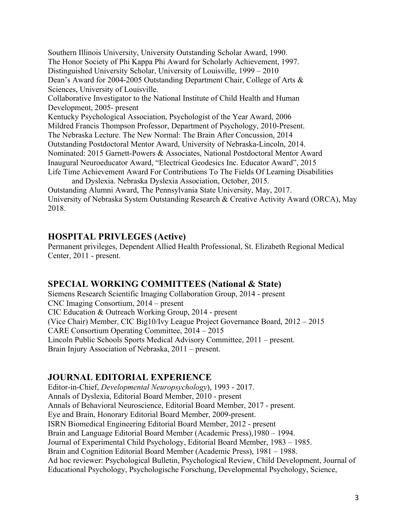Southern Illinois University, University Outstanding Scholar Award, 1990. The Honor Society of Phi Kappa Phi Award for Scholarly Achievement, 1997. Distinguished University Scholar, University of Louisville, 1999 – 2010 Dean's Award for 2004-2005 Outstanding Department Chair, College of Arts & Sciences, University of Louisville. Collaborative Investigator to the National Institute of Child Health and Human Development, 2005- present Kentucky Psychological Association, Psychologist of the Year Award, 2006 Mildred Francis Thompson Professor, Department of Psychology, 2010-Present. The Nebraska Lecture. The New Normal: The Brain After Concussion, 2014 Outstanding Postdoctoral Mentor Award, University of Nebraska-Lincoln, 2014. Nominated: 2015 Garnett-Powers & Associates, National Postdoctoral Mentor Award Inaugural Neuroeducator Award, "Electrical Geodesics Inc. Educator Award", 2015 Life Time Achievement Award For Contributions To The Fields Of Learning Disabilities and Dyslexia. Nebraska Dyslexia Association, October, 2015.

Outstanding Alumni Award, The Pennsylvania State University, May, 2017. University of Nebraska System Outstanding Research & Creative Activity Award (ORCA), May 2018.

#### **HOSPITAL PRIVLEGES (Active)**

Permanent privileges, Dependent Allied Health Professional, St. Elizabeth Regional Medical Center, 2011 - present.

# **SPECIAL WORKING COMMITTEES (National & State)**

Siemens Research Scientific Imaging Collaboration Group, 2014 - present CNC Imaging Consortium, 2014 – present CIC Education & Outreach Working Group, 2014 - present (Vice Chair) Member, CIC Big10/Ivy League Project Governance Board, 2012 – 2015 CARE Consortium Operating Committee, 2014 – 2015 Lincoln Public Schools Sports Medical Advisory Committee, 2011 – present. Brain Injury Association of Nebraska, 2011 – present.

# **JOURNAL EDITORIAL EXPERIENCE**

Editor-in-Chief, *Developmental Neuropsychology*), 1993 - 2017. Annals of Dyslexia, Editorial Board Member, 2010 - present Annals of Behavioral Neuroscience, Editorial Board Member, 2017 - present. Eye and Brain, Honorary Editorial Board Member, 2009-present. ISRN Biomedical Engineering Editorial Board Member, 2012 - present Brain and Language Editorial Board Member (Academic Press),1980 – 1994. Journal of Experimental Child Psychology, Editorial Board Member, 1983 – 1985. Brain and Cognition Editorial Board Member (Academic Press), 1981 – 1988. Ad hoc reviewer: Psychological Bulletin, Psychological Review, Child Development, Journal of Educational Psychology, Psychologische Forschung, Developmental Psychology, Science,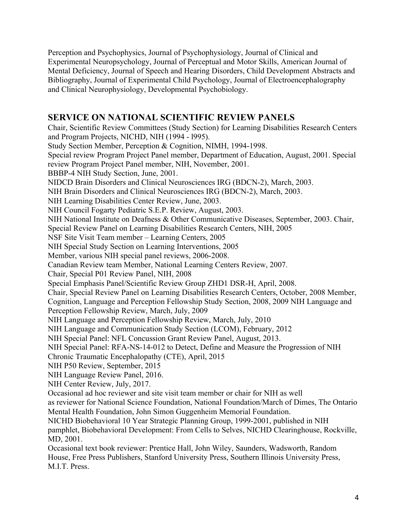Perception and Psychophysics, Journal of Psychophysiology, Journal of Clinical and Experimental Neuropsychology, Journal of Perceptual and Motor Skills, American Journal of Mental Deficiency, Journal of Speech and Hearing Disorders, Child Development Abstracts and Bibliography, Journal of Experimental Child Psychology, Journal of Electroencephalography and Clinical Neurophysiology, Developmental Psychobiology.

## **SERVICE ON NATIONAL SCIENTIFIC REVIEW PANELS**

Chair, Scientific Review Committees (Study Section) for Learning Disabilities Research Centers and Program Projects, NICHD, NIH (1994 - l995). Study Section Member, Perception & Cognition, NIMH, 1994-1998. Special review Program Project Panel member, Department of Education, August, 2001. Special review Program Project Panel member, NIH, November, 2001. BBBP-4 NIH Study Section, June, 2001. NIDCD Brain Disorders and Clinical Neurosciences IRG (BDCN-2), March, 2003. NIH Brain Disorders and Clinical Neurosciences IRG (BDCN-2), March, 2003. NIH Learning Disabilities Center Review, June, 2003. NIH Council Fogarty Pediatric S.E.P. Review, August, 2003. NIH National Institute on Deafness & Other Communicative Diseases, September, 2003. Chair, Special Review Panel on Learning Disabilities Research Centers, NIH, 2005 NSF Site Visit Team member – Learning Centers, 2005 NIH Special Study Section on Learning Interventions, 2005 Member, various NIH special panel reviews, 2006-2008. Canadian Review team Member, National Learning Centers Review, 2007. Chair, Special P01 Review Panel, NIH, 2008 Special Emphasis Panel/Scientific Review Group ZHD1 DSR-H, April, 2008. Chair, Special Review Panel on Learning Disabilities Research Centers, October, 2008 Member, Cognition, Language and Perception Fellowship Study Section, 2008, 2009 NIH Language and Perception Fellowship Review, March, July, 2009 NIH Language and Perception Fellowship Review, March, July, 2010 NIH Language and Communication Study Section (LCOM), February, 2012 NIH Special Panel: NFL Concussion Grant Review Panel, August, 2013. NIH Special Panel: RFA-NS-14-012 to Detect, Define and Measure the Progression of NIH Chronic Traumatic Encephalopathy (CTE), April, 2015 NIH P50 Review, September, 2015 NIH Language Review Panel, 2016. NIH Center Review, July, 2017. Occasional ad hoc reviewer and site visit team member or chair for NIH as well as reviewer for National Science Foundation, National Foundation/March of Dimes, The Ontario Mental Health Foundation, John Simon Guggenheim Memorial Foundation. NICHD Biobehavioral 10 Year Strategic Planning Group, 1999-2001, published in NIH pamphlet, Biobehavioral Development: From Cells to Selves, NICHD Clearinghouse, Rockville, MD, 2001. Occasional text book reviewer: Prentice Hall, John Wiley, Saunders, Wadsworth, Random House, Free Press Publishers, Stanford University Press, Southern Illinois University Press,

M.I.T. Press.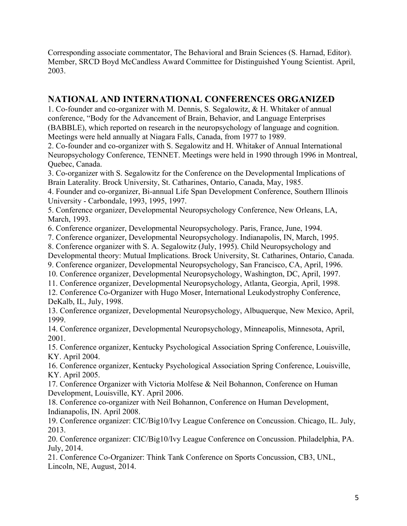Corresponding associate commentator, The Behavioral and Brain Sciences (S. Harnad, Editor). Member, SRCD Boyd McCandless Award Committee for Distinguished Young Scientist. April, 2003.

#### **NATIONAL AND INTERNATIONAL CONFERENCES ORGANIZED**

1. Co-founder and co-organizer with M. Dennis, S. Segalowitz, & H. Whitaker of annual conference, "Body for the Advancement of Brain, Behavior, and Language Enterprises (BABBLE), which reported on research in the neuropsychology of language and cognition. Meetings were held annually at Niagara Falls, Canada, from 1977 to 1989.

2. Co-founder and co-organizer with S. Segalowitz and H. Whitaker of Annual International Neuropsychology Conference, TENNET. Meetings were held in 1990 through 1996 in Montreal, Quebec, Canada.

3. Co-organizer with S. Segalowitz for the Conference on the Developmental Implications of Brain Laterality. Brock University, St. Catharines, Ontario, Canada, May, 1985.

4. Founder and co-organizer, Bi-annual Life Span Development Conference, Southern Illinois University - Carbondale, 1993, 1995, 1997.

5. Conference organizer, Developmental Neuropsychology Conference, New Orleans, LA, March, 1993.

6. Conference organizer, Developmental Neuropsychology. Paris, France, June, 1994.

7. Conference organizer, Developmental Neuropsychology. Indianapolis, IN, March, 1995.

8. Conference organizer with S. A. Segalowitz (July, 1995). Child Neuropsychology and Developmental theory: Mutual Implications. Brock University, St. Catharines, Ontario, Canada.

9. Conference organizer, Developmental Neuropsychology, San Francisco, CA, April, 1996.

10. Conference organizer, Developmental Neuropsychology, Washington, DC, April, 1997.

11. Conference organizer, Developmental Neuropsychology, Atlanta, Georgia, April, 1998.

12. Conference Co-Organizer with Hugo Moser, International Leukodystrophy Conference, DeKalb, IL, July, 1998.

13. Conference organizer, Developmental Neuropsychology, Albuquerque, New Mexico, April, 1999.

14. Conference organizer, Developmental Neuropsychology, Minneapolis, Minnesota, April, 2001.

15. Conference organizer, Kentucky Psychological Association Spring Conference, Louisville, KY. April 2004.

16. Conference organizer, Kentucky Psychological Association Spring Conference, Louisville, KY. April 2005.

17. Conference Organizer with Victoria Molfese & Neil Bohannon, Conference on Human Development, Louisville, KY. April 2006.

18. Conference co-organizer with Neil Bohannon, Conference on Human Development, Indianapolis, IN. April 2008.

19. Conference organizer: CIC/Big10/Ivy League Conference on Concussion. Chicago, IL. July, 2013.

20. Conference organizer: CIC/Big10/Ivy League Conference on Concussion. Philadelphia, PA. July, 2014.

21. Conference Co-Organizer: Think Tank Conference on Sports Concussion, CB3, UNL, Lincoln, NE, August, 2014.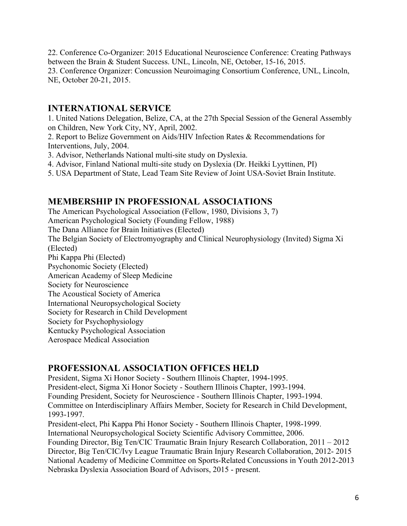22. Conference Co-Organizer: 2015 Educational Neuroscience Conference: Creating Pathways between the Brain & Student Success. UNL, Lincoln, NE, October, 15-16, 2015. 23. Conference Organizer: Concussion Neuroimaging Consortium Conference, UNL, Lincoln, NE, October 20-21, 2015.

## **INTERNATIONAL SERVICE**

1. United Nations Delegation, Belize, CA, at the 27th Special Session of the General Assembly on Children, New York City, NY, April, 2002.

2. Report to Belize Government on Aids/HIV Infection Rates & Recommendations for Interventions, July, 2004.

3. Advisor, Netherlands National multi-site study on Dyslexia.

4. Advisor, Finland National multi-site study on Dyslexia (Dr. Heikki Lyyttinen, PI)

5. USA Department of State, Lead Team Site Review of Joint USA-Soviet Brain Institute.

#### **MEMBERSHIP IN PROFESSIONAL ASSOCIATIONS**

The American Psychological Association (Fellow, 1980, Divisions 3, 7) American Psychological Society (Founding Fellow, 1988) The Dana Alliance for Brain Initiatives (Elected) The Belgian Society of Electromyography and Clinical Neurophysiology (Invited) Sigma Xi (Elected) Phi Kappa Phi (Elected) Psychonomic Society (Elected) American Academy of Sleep Medicine Society for Neuroscience The Acoustical Society of America International Neuropsychological Society Society for Research in Child Development Society for Psychophysiology

Kentucky Psychological Association

Aerospace Medical Association

#### **PROFESSIONAL ASSOCIATION OFFICES HELD**

President, Sigma Xi Honor Society - Southern Illinois Chapter, 1994-1995. President-elect, Sigma Xi Honor Society - Southern Illinois Chapter, 1993-1994. Founding President, Society for Neuroscience - Southern Illinois Chapter, 1993-1994. Committee on Interdisciplinary Affairs Member, Society for Research in Child Development, 1993-1997. President-elect, Phi Kappa Phi Honor Society - Southern Illinois Chapter, 1998-1999. International Neuropsychological Society Scientific Advisory Committee, 2006. Founding Director, Big Ten/CIC Traumatic Brain Injury Research Collaboration, 2011 – 2012

Director, Big Ten/CIC/Ivy League Traumatic Brain Injury Research Collaboration, 2012- 2015 National Academy of Medicine Committee on Sports-Related Concussions in Youth 2012-2013 Nebraska Dyslexia Association Board of Advisors, 2015 - present.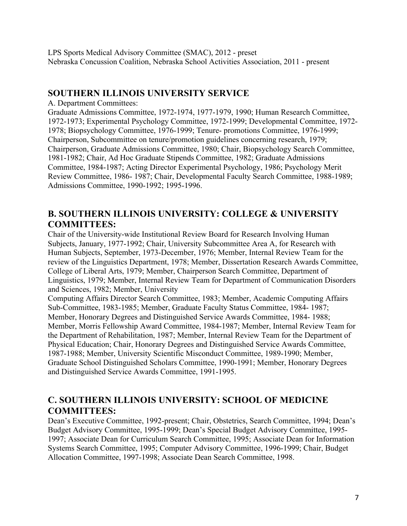LPS Sports Medical Advisory Committee (SMAC), 2012 - preset Nebraska Concussion Coalition, Nebraska School Activities Association, 2011 - present

#### **SOUTHERN ILLINOIS UNIVERSITY SERVICE**

A. Department Committees:

Graduate Admissions Committee, 1972-1974, 1977-1979, 1990; Human Research Committee, 1972-1973; Experimental Psychology Committee, 1972-1999; Developmental Committee, 1972- 1978; Biopsychology Committee, 1976-1999; Tenure- promotions Committee, 1976-1999; Chairperson, Subcommittee on tenure/promotion guidelines concerning research, 1979; Chairperson, Graduate Admissions Committee, 1980; Chair, Biopsychology Search Committee, 1981-1982; Chair, Ad Hoc Graduate Stipends Committee, 1982; Graduate Admissions Committee, 1984-1987; Acting Director Experimental Psychology, 1986; Psychology Merit Review Committee, 1986- 1987; Chair, Developmental Faculty Search Committee, 1988-1989; Admissions Committee, 1990-1992; 1995-1996.

### **B. SOUTHERN ILLINOIS UNIVERSITY: COLLEGE & UNIVERSITY COMMITTEES:**

Chair of the University-wide Institutional Review Board for Research Involving Human Subjects, January, 1977-1992; Chair, University Subcommittee Area A, for Research with Human Subjects, September, 1973-December, 1976; Member, Internal Review Team for the review of the Linguistics Department, 1978; Member, Dissertation Research Awards Committee, College of Liberal Arts, 1979; Member, Chairperson Search Committee, Department of Linguistics, 1979; Member, Internal Review Team for Department of Communication Disorders and Sciences, 1982; Member, University

Computing Affairs Director Search Committee, 1983; Member, Academic Computing Affairs Sub-Committee, 1983-1985; Member, Graduate Faculty Status Committee, 1984- 1987; Member, Honorary Degrees and Distinguished Service Awards Committee, 1984- 1988; Member, Morris Fellowship Award Committee, 1984-1987; Member, Internal Review Team for the Department of Rehabilitation, 1987; Member, Internal Review Team for the Department of Physical Education; Chair, Honorary Degrees and Distinguished Service Awards Committee, 1987-1988; Member, University Scientific Misconduct Committee, 1989-1990; Member, Graduate School Distinguished Scholars Committee, 1990-1991; Member, Honorary Degrees and Distinguished Service Awards Committee, 1991-1995.

## **C. SOUTHERN ILLINOIS UNIVERSITY: SCHOOL OF MEDICINE COMMITTEES:**

Dean's Executive Committee, 1992-present; Chair, Obstetrics, Search Committee, 1994; Dean's Budget Advisory Committee, 1995-1999; Dean's Special Budget Advisory Committee, 1995- 1997; Associate Dean for Curriculum Search Committee, 1995; Associate Dean for Information Systems Search Committee, 1995; Computer Advisory Committee, 1996-1999; Chair, Budget Allocation Committee, 1997-1998; Associate Dean Search Committee, 1998.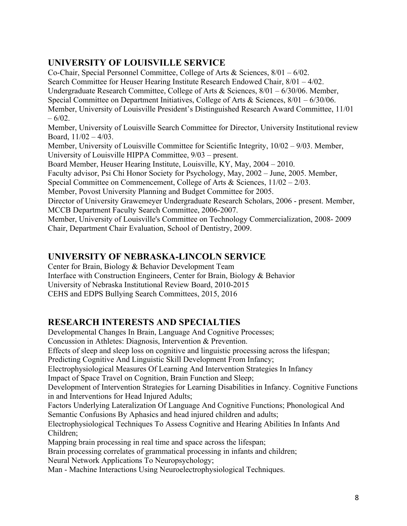# **UNIVERSITY OF LOUISVILLE SERVICE**

Co-Chair, Special Personnel Committee, College of Arts & Sciences, 8/01 – 6/02. Search Committee for Heuser Hearing Institute Research Endowed Chair, 8/01 – 4/02. Undergraduate Research Committee, College of Arts & Sciences, 8/01 – 6/30/06. Member, Special Committee on Department Initiatives, College of Arts & Sciences, 8/01 – 6/30/06. Member, University of Louisville President's Distinguished Research Award Committee, 11/01  $-6/02$ . Member, University of Louisville Search Committee for Director, University Institutional review Board,  $11/02 - 4/03$ . Member, University of Louisville Committee for Scientific Integrity, 10/02 – 9/03. Member, University of Louisville HIPPA Committee, 9/03 – present. Board Member, Heuser Hearing Institute, Louisville, KY, May, 2004 – 2010. Faculty advisor, Psi Chi Honor Society for Psychology, May, 2002 – June, 2005. Member, Special Committee on Commencement, College of Arts & Sciences, 11/02 – 2/03. Member, Povost University Planning and Budget Committee for 2005. Director of University Grawemeyer Undergraduate Research Scholars, 2006 - present. Member, MCCB Department Faculty Search Committee, 2006-2007. Member, University of Louisville's Committee on Technology Commercialization, 2008- 2009 Chair, Department Chair Evaluation, School of Dentistry, 2009.

## **UNIVERSITY OF NEBRASKA-LINCOLN SERVICE**

Center for Brain, Biology & Behavior Development Team

Interface with Construction Engineers, Center for Brain, Biology & Behavior

University of Nebraska Institutional Review Board, 2010-2015

CEHS and EDPS Bullying Search Committees, 2015, 2016

# **RESEARCH INTERESTS AND SPECIALTIES**

Developmental Changes In Brain, Language And Cognitive Processes; Concussion in Athletes: Diagnosis, Intervention & Prevention. Effects of sleep and sleep loss on cognitive and linguistic processing across the lifespan; Predicting Cognitive And Linguistic Skill Development From Infancy; Electrophysiological Measures Of Learning And Intervention Strategies In Infancy Impact of Space Travel on Cognition, Brain Function and Sleep; Development of Intervention Strategies for Learning Disabilities in Infancy. Cognitive Functions in and Interventions for Head Injured Adults; Factors Underlying Lateralization Of Language And Cognitive Functions; Phonological And Semantic Confusions By Aphasics and head injured children and adults; Electrophysiological Techniques To Assess Cognitive and Hearing Abilities In Infants And Children; Mapping brain processing in real time and space across the lifespan; Brain processing correlates of grammatical processing in infants and children; Neural Network Applications To Neuropsychology;

Man - Machine Interactions Using Neuroelectrophysiological Techniques.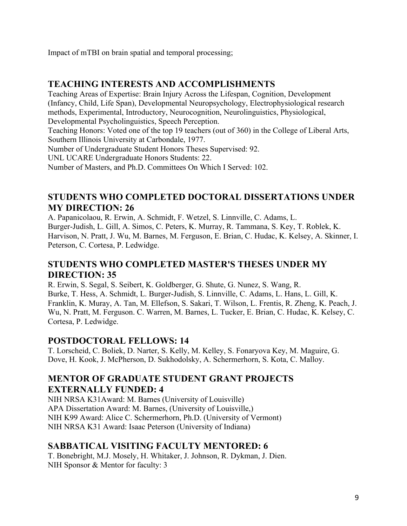Impact of mTBI on brain spatial and temporal processing;

## **TEACHING INTERESTS AND ACCOMPLISHMENTS**

Teaching Areas of Expertise: Brain Injury Across the Lifespan, Cognition, Development (Infancy, Child, Life Span), Developmental Neuropsychology, Electrophysiological research methods, Experimental, Introductory, Neurocognition, Neurolinguistics, Physiological, Developmental Psycholinguistics, Speech Perception.

Teaching Honors: Voted one of the top 19 teachers (out of 360) in the College of Liberal Arts, Southern Illinois University at Carbondale, 1977.

Number of Undergraduate Student Honors Theses Supervised: 92.

UNL UCARE Undergraduate Honors Students: 22.

Number of Masters, and Ph.D. Committees On Which I Served: 102.

#### **STUDENTS WHO COMPLETED DOCTORAL DISSERTATIONS UNDER MY DIRECTION: 26**

A. Papanicolaou, R. Erwin, A. Schmidt, F. Wetzel, S. Linnville, C. Adams, L. Burger-Judish, L. Gill, A. Simos, C. Peters, K. Murray, R. Tammana, S. Key, T. Roblek, K. Harvison, N. Pratt, J. Wu, M. Barnes, M. Ferguson, E. Brian, C. Hudac, K. Kelsey, A. Skinner, I. Peterson, C. Cortesa, P. Ledwidge.

# **STUDENTS WHO COMPLETED MASTER'S THESES UNDER MY DIRECTION: 35**

R. Erwin, S. Segal, S. Seibert, K. Goldberger, G. Shute, G. Nunez, S. Wang, R. Burke, T. Hess, A. Schmidt, L. Burger-Judish, S. Linnville, C. Adams, L. Hans, L. Gill, K. Franklin, K. Muray, A. Tan, M. Ellefson, S. Sakari, T. Wilson, L. Frentis, R. Zheng, K. Peach, J. Wu, N. Pratt, M. Ferguson. C. Warren, M. Barnes, L. Tucker, E. Brian, C. Hudac, K. Kelsey, C. Cortesa, P. Ledwidge.

#### **POSTDOCTORAL FELLOWS: 14**

T. Lorscheid, C. Boliek, D. Narter, S. Kelly, M. Kelley, S. Fonaryova Key, M. Maguire, G. Dove, H. Kook, J. McPherson, D. Sukhodolsky, A. Schermerhorn, S. Kota, C. Malloy.

#### **MENTOR OF GRADUATE STUDENT GRANT PROJECTS EXTERNALLY FUNDED: 4**

NIH NRSA K31Award: M. Barnes (University of Louisville) APA Dissertation Award: M. Barnes, (University of Louisville,) NIH K99 Award: Alice C. Schermerhorn, Ph.D. (University of Vermont) NIH NRSA K31 Award: Isaac Peterson (University of Indiana)

#### **SABBATICAL VISITING FACULTY MENTORED: 6**

T. Bonebright, M.J. Mosely, H. Whitaker, J. Johnson, R. Dykman, J. Dien. NIH Sponsor & Mentor for faculty: 3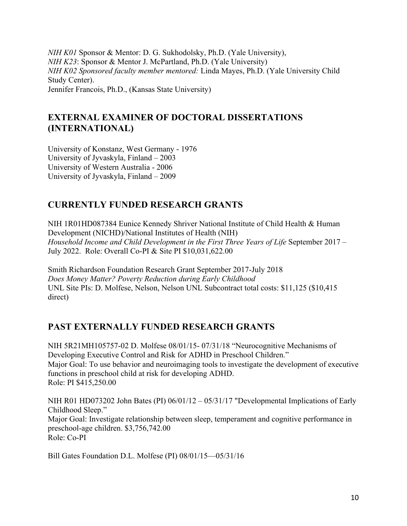*NIH K01* Sponsor & Mentor: D. G. Sukhodolsky, Ph.D. (Yale University), *NIH K23*: Sponsor & Mentor J. McPartland, Ph.D. (Yale University) *NIH K02 Sponsored faculty member mentored:* Linda Mayes, Ph.D. (Yale University Child Study Center). Jennifer Francois, Ph.D., (Kansas State University)

# **EXTERNAL EXAMINER OF DOCTORAL DISSERTATIONS (INTERNATIONAL)**

University of Konstanz, West Germany - 1976 University of Jyvaskyla, Finland – 2003 University of Western Australia - 2006 University of Jyvaskyla, Finland – 2009

## **CURRENTLY FUNDED RESEARCH GRANTS**

NIH 1R01HD087384 Eunice Kennedy Shriver National Institute of Child Health & Human Development (NICHD)/National Institutes of Health (NIH) *Household Income and Child Development in the First Three Years of Life* September 2017 – July 2022. Role: Overall Co-PI & Site PI \$10,031,622.00

Smith Richardson Foundation Research Grant September 2017-July 2018 *Does Money Matter? Poverty Reduction during Early Childhood* UNL Site PIs: D. Molfese, Nelson, Nelson UNL Subcontract total costs: \$11,125 (\$10,415 direct)

# **PAST EXTERNALLY FUNDED RESEARCH GRANTS**

NIH 5R21MH105757-02 D. Molfese 08/01/15- 07/31/18 "Neurocognitive Mechanisms of Developing Executive Control and Risk for ADHD in Preschool Children." Major Goal: To use behavior and neuroimaging tools to investigate the development of executive functions in preschool child at risk for developing ADHD. Role: PI \$415,250.00

NIH R01 HD073202 John Bates (PI) 06/01/12 – 05/31/17 "Developmental Implications of Early Childhood Sleep." Major Goal: Investigate relationship between sleep, temperament and cognitive performance in preschool-age children. \$3,756,742.00 Role: Co-PI

Bill Gates Foundation D.L. Molfese (PI) 08/01/15—05/31/16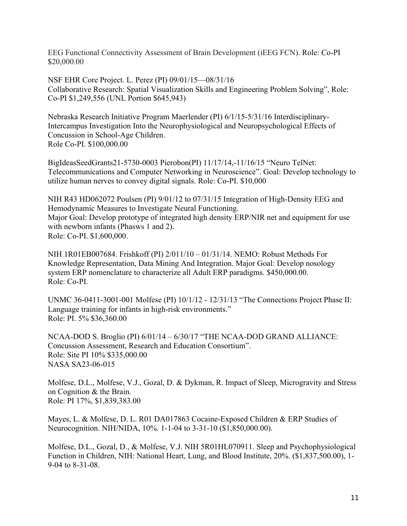EEG Functional Connectivity Assessment of Brain Development (iEEG FCN). Role: Co-PI \$20,000.00

NSF EHR Core Project. L. Perez (PI) 09/01/15—08/31/16 Collaborative Research: Spatial Visualization Skills and Engineering Problem Solving", Role: Co-PI \$1,249,556 (UNL Portion \$645,943)

Nebraska Research Initiative Program Maerlender (PI) 6/1/15-5/31/16 Interdisciplinary-Intercampus Investigation Into the Neurophysiological and Neuropsychological Effects of Concussion in School-Age Children. Role Co-PI. \$100,000.00

BigIdeasSeedGrants21-5730-0003 Pierobon(PI) 11/17/14,-11/16/15 "Neuro TelNet: Telecommunications and Computer Networking in Neuroscience". Goal: Develop technology to utilize human nerves to convey digital signals. Role: Co-PI. \$10,000

NIH R43 HD062072 Poulsen (PI) 9/01/12 to 07/31/15 Integration of High-Density EEG and Hemodynamic Measures to Investigate Neural Functioning. Major Goal: Develop prototype of integrated high density ERP/NIR net and equipment for use with newborn infants (Phasws 1 and 2). Role: Co-PI. \$1,600,000.

NIH 1R01EB007684. Frishkoff (PI) 2/011/10 – 01/31/14. NEMO: Robust Methods For Knowledge Representation, Data Mining And Integration. Major Goal: Develop nosology system ERP nomenclature to characterize all Adult ERP paradigms. \$450,000.00. Role: Co-PI.

UNMC 36-0411-3001-001 Molfese (PI) 10/1/12 - 12/31/13 "The Connections Project Phase II: Language training for infants in high-risk environments." Role: PI. 5% \$36,360.00

NCAA-DOD S. Broglio (PI) 6/01/14 – 6/30/17 "THE NCAA-DOD GRAND ALLIANCE: Concussion Assessment, Research and Education Consortium". Role: Site PI 10% \$335,000.00 NASA SA23-06-015

Molfese, D.L., Molfese, V.J., Gozal, D. & Dykman, R. Impact of Sleep, Microgravity and Stress on Cognition & the Brain. Role: PI 17%, \$1,839,383.00

Mayes, L. & Molfese, D. L. R01 DA017863 Cocaine-Exposed Children & ERP Studies of Neurocognition. NIH/NIDA, 10%. 1-1-04 to 3-31-10 (\$1,850,000.00).

Molfese, D.L., Gozal, D., & Molfese, V.J. NIH 5R01HL070911. Sleep and Psychophysiological Function in Children, NIH: National Heart, Lung, and Blood Institute, 20%. (\$1,837,500.00), 1- 9-04 to 8-31-08.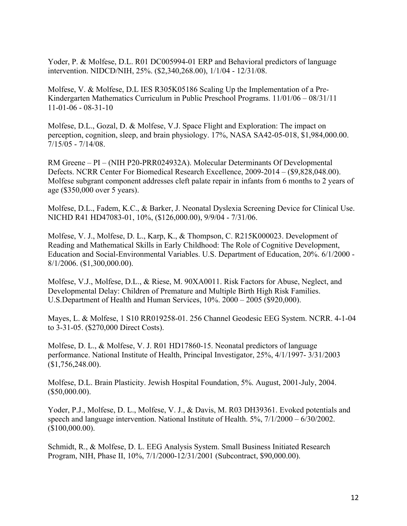Yoder, P. & Molfese, D.L. R01 DC005994-01 ERP and Behavioral predictors of language intervention. NIDCD/NIH, 25%. (\$2,340,268.00), 1/1/04 - 12/31/08.

Molfese, V. & Molfese, D.L IES R305K05186 Scaling Up the Implementation of a Pre-Kindergarten Mathematics Curriculum in Public Preschool Programs. 11/01/06 – 08/31/11 11-01-06 - 08-31-10

Molfese, D.L., Gozal, D. & Molfese, V.J. Space Flight and Exploration: The impact on perception, cognition, sleep, and brain physiology. 17%, NASA SA42-05-018, \$1,984,000.00. 7/15/05 - 7/14/08.

RM Greene – PI – (NIH P20-PRR024932A). Molecular Determinants Of Developmental Defects. NCRR Center For Biomedical Research Excellence, 2009-2014 – (\$9,828,048.00). Molfese subgrant component addresses cleft palate repair in infants from 6 months to 2 years of age (\$350,000 over 5 years).

Molfese, D.L., Fadem, K.C., & Barker, J. Neonatal Dyslexia Screening Device for Clinical Use. NICHD R41 HD47083-01, 10%, (\$126,000.00), 9/9/04 - 7/31/06.

Molfese, V. J., Molfese, D. L., Karp, K., & Thompson, C. R215K000023. Development of Reading and Mathematical Skills in Early Childhood: The Role of Cognitive Development, Education and Social-Environmental Variables. U.S. Department of Education, 20%. 6/1/2000 - 8/1/2006. (\$1,300,000.00).

Molfese, V.J., Molfese, D.L., & Riese, M. 90XA0011. Risk Factors for Abuse, Neglect, and Developmental Delay: Children of Premature and Multiple Birth High Risk Families. U.S.Department of Health and Human Services, 10%. 2000 – 2005 (\$920,000).

Mayes, L. & Molfese, 1 S10 RR019258-01. 256 Channel Geodesic EEG System. NCRR. 4-1-04 to 3-31-05. (\$270,000 Direct Costs).

Molfese, D. L., & Molfese, V. J. R01 HD17860-15. Neonatal predictors of language performance. National Institute of Health, Principal Investigator, 25%, 4/1/1997- 3/31/2003 (\$1,756,248.00).

Molfese, D.L. Brain Plasticity. Jewish Hospital Foundation, 5%. August, 2001-July, 2004.  $($50,000.00)$ .

Yoder, P.J., Molfese, D. L., Molfese, V. J., & Davis, M. R03 DH39361. Evoked potentials and speech and language intervention. National Institute of Health. 5%, 7/1/2000 – 6/30/2002. (\$100,000.00).

Schmidt, R., & Molfese, D. L. EEG Analysis System. Small Business Initiated Research Program, NIH, Phase II, 10%, 7/1/2000-12/31/2001 (Subcontract, \$90,000.00).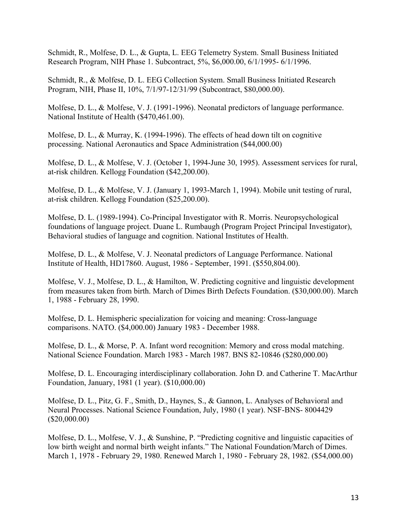Schmidt, R., Molfese, D. L., & Gupta, L. EEG Telemetry System. Small Business Initiated Research Program, NIH Phase 1. Subcontract, 5%, \$6,000.00, 6/1/1995- 6/1/1996.

Schmidt, R., & Molfese, D. L. EEG Collection System. Small Business Initiated Research Program, NIH, Phase II, 10%, 7/1/97-12/31/99 (Subcontract, \$80,000.00).

Molfese, D. L., & Molfese, V. J. (1991-1996). Neonatal predictors of language performance. National Institute of Health (\$470,461.00).

Molfese, D. L., & Murray, K. (1994-1996). The effects of head down tilt on cognitive processing. National Aeronautics and Space Administration (\$44,000.00)

Molfese, D. L., & Molfese, V. J. (October 1, 1994-June 30, 1995). Assessment services for rural, at-risk children. Kellogg Foundation (\$42,200.00).

Molfese, D. L., & Molfese, V. J. (January 1, 1993-March 1, 1994). Mobile unit testing of rural, at-risk children. Kellogg Foundation (\$25,200.00).

Molfese, D. L. (1989-1994). Co-Principal Investigator with R. Morris. Neuropsychological foundations of language project. Duane L. Rumbaugh (Program Project Principal Investigator), Behavioral studies of language and cognition. National Institutes of Health.

Molfese, D. L., & Molfese, V. J. Neonatal predictors of Language Performance. National Institute of Health, HD17860. August, 1986 - September, 1991. (\$550,804.00).

Molfese, V. J., Molfese, D. L., & Hamilton, W. Predicting cognitive and linguistic development from measures taken from birth. March of Dimes Birth Defects Foundation. (\$30,000.00). March 1, 1988 - February 28, 1990.

Molfese, D. L. Hemispheric specialization for voicing and meaning: Cross-language comparisons. NATO. (\$4,000.00) January 1983 - December 1988.

Molfese, D. L., & Morse, P. A. Infant word recognition: Memory and cross modal matching. National Science Foundation. March 1983 - March 1987. BNS 82-10846 (\$280,000.00)

Molfese, D. L. Encouraging interdisciplinary collaboration. John D. and Catherine T. MacArthur Foundation, January, 1981 (1 year). (\$10,000.00)

Molfese, D. L., Pitz, G. F., Smith, D., Haynes, S., & Gannon, L. Analyses of Behavioral and Neural Processes. National Science Foundation, July, 1980 (1 year). NSF-BNS- 8004429 (\$20,000.00)

Molfese, D. L., Molfese, V. J., & Sunshine, P. "Predicting cognitive and linguistic capacities of low birth weight and normal birth weight infants." The National Foundation/March of Dimes. March 1, 1978 - February 29, 1980. Renewed March 1, 1980 - February 28, 1982. (\$54,000.00)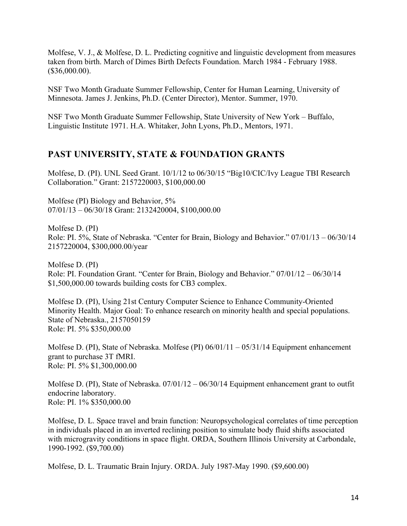Molfese, V. J., & Molfese, D. L. Predicting cognitive and linguistic development from measures taken from birth. March of Dimes Birth Defects Foundation. March 1984 - February 1988. (\$36,000.00).

NSF Two Month Graduate Summer Fellowship, Center for Human Learning, University of Minnesota. James J. Jenkins, Ph.D. (Center Director), Mentor. Summer, 1970.

NSF Two Month Graduate Summer Fellowship, State University of New York – Buffalo, Linguistic Institute 1971. H.A. Whitaker, John Lyons, Ph.D., Mentors, 1971.

## **PAST UNIVERSITY, STATE & FOUNDATION GRANTS**

Molfese, D. (PI). UNL Seed Grant. 10/1/12 to 06/30/15 "Big10/CIC/Ivy League TBI Research Collaboration." Grant: 2157220003, \$100,000.00

Molfese (PI) Biology and Behavior, 5% 07/01/13 – 06/30/18 Grant: 2132420004, \$100,000.00

Molfese D. (PI) Role: PI. 5%, State of Nebraska. "Center for Brain, Biology and Behavior." 07/01/13 – 06/30/14 2157220004, \$300,000.00/year

Molfese D. (PI) Role: PI. Foundation Grant. "Center for Brain, Biology and Behavior." 07/01/12 – 06/30/14 \$1,500,000.00 towards building costs for CB3 complex.

Molfese D. (PI), Using 21st Century Computer Science to Enhance Community-Oriented Minority Health. Major Goal: To enhance research on minority health and special populations. State of Nebraska., 2157050159 Role: PI. 5% \$350,000.00

Molfese D. (PI), State of Nebraska. Molfese (PI) 06/01/11 – 05/31/14 Equipment enhancement grant to purchase 3T fMRI. Role: PI. 5% \$1,300,000.00

Molfese D. (PI), State of Nebraska. 07/01/12 – 06/30/14 Equipment enhancement grant to outfit endocrine laboratory. Role: PI. 1% \$350,000.00

Molfese, D. L. Space travel and brain function: Neuropsychological correlates of time perception in individuals placed in an inverted reclining position to simulate body fluid shifts associated with microgravity conditions in space flight. ORDA, Southern Illinois University at Carbondale, 1990-1992. (\$9,700.00)

Molfese, D. L. Traumatic Brain Injury. ORDA. July 1987-May 1990. (\$9,600.00)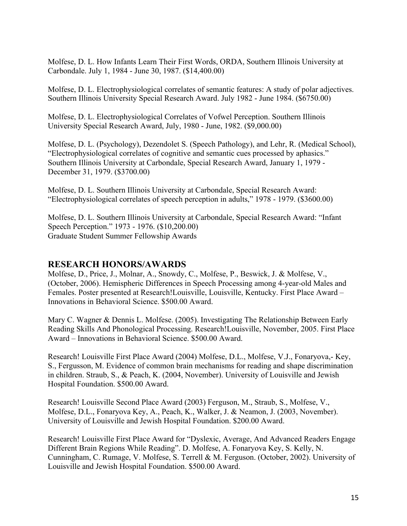Molfese, D. L. How Infants Learn Their First Words, ORDA, Southern Illinois University at Carbondale. July 1, 1984 - June 30, 1987. (\$14,400.00)

Molfese, D. L. Electrophysiological correlates of semantic features: A study of polar adjectives. Southern Illinois University Special Research Award. July 1982 - June 1984. (\$6750.00)

Molfese, D. L. Electrophysiological Correlates of Vofwel Perception. Southern Illinois University Special Research Award, July, 1980 - June, 1982. (\$9,000.00)

Molfese, D. L. (Psychology), Dezendolet S. (Speech Pathology), and Lehr, R. (Medical School), "Electrophysiological correlates of cognitive and semantic cues processed by aphasics." Southern Illinois University at Carbondale, Special Research Award, January 1, 1979 - December 31, 1979. (\$3700.00)

Molfese, D. L. Southern Illinois University at Carbondale, Special Research Award: "Electrophysiological correlates of speech perception in adults," 1978 - 1979. (\$3600.00)

Molfese, D. L. Southern Illinois University at Carbondale, Special Research Award: "Infant Speech Perception." 1973 - 1976. (\$10,200.00) Graduate Student Summer Fellowship Awards

#### **RESEARCH HONORS/AWARDS**

Molfese, D., Price, J., Molnar, A., Snowdy, C., Molfese, P., Beswick, J. & Molfese, V., (October, 2006). Hemispheric Differences in Speech Processing among 4-year-old Males and Females. Poster presented at Research!Louisville, Louisville, Kentucky. First Place Award – Innovations in Behavioral Science. \$500.00 Award.

Mary C. Wagner & Dennis L. Molfese. (2005). Investigating The Relationship Between Early Reading Skills And Phonological Processing. Research!Louisville, November, 2005. First Place Award – Innovations in Behavioral Science. \$500.00 Award.

Research! Louisville First Place Award (2004) Molfese, D.L., Molfese, V.J., Fonaryova,- Key, S., Fergusson, M. Evidence of common brain mechanisms for reading and shape discrimination in children. Straub, S., & Peach, K. (2004, November). University of Louisville and Jewish Hospital Foundation. \$500.00 Award.

Research! Louisville Second Place Award (2003) Ferguson, M., Straub, S., Molfese, V., Molfese, D.L., Fonaryova Key, A., Peach, K., Walker, J. & Neamon, J. (2003, November). University of Louisville and Jewish Hospital Foundation. \$200.00 Award.

Research! Louisville First Place Award for "Dyslexic, Average, And Advanced Readers Engage Different Brain Regions While Reading". D. Molfese, A. Fonaryova Key, S. Kelly, N. Cunningham, C. Rumage, V. Molfese, S. Terrell & M. Ferguson. (October, 2002). University of Louisville and Jewish Hospital Foundation. \$500.00 Award.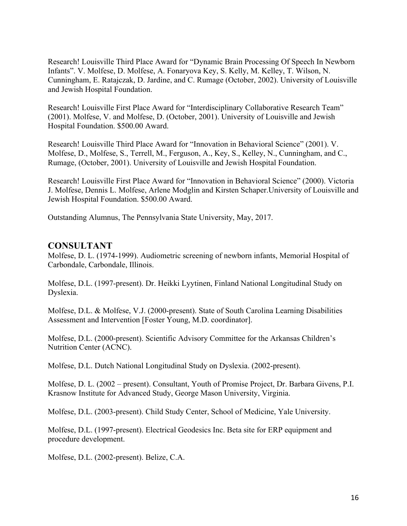Research! Louisville Third Place Award for "Dynamic Brain Processing Of Speech In Newborn Infants". V. Molfese, D. Molfese, A. Fonaryova Key, S. Kelly, M. Kelley, T. Wilson, N. Cunningham, E. Ratajczak, D. Jardine, and C. Rumage (October, 2002). University of Louisville and Jewish Hospital Foundation.

Research! Louisville First Place Award for "Interdisciplinary Collaborative Research Team" (2001). Molfese, V. and Molfese, D. (October, 2001). University of Louisville and Jewish Hospital Foundation. \$500.00 Award.

Research! Louisville Third Place Award for "Innovation in Behavioral Science" (2001). V. Molfese, D., Molfese, S., Terrell, M., Ferguson, A., Key, S., Kelley, N., Cunningham, and C., Rumage, (October, 2001). University of Louisville and Jewish Hospital Foundation.

Research! Louisville First Place Award for "Innovation in Behavioral Science" (2000). Victoria J. Molfese, Dennis L. Molfese, Arlene Modglin and Kirsten Schaper.University of Louisville and Jewish Hospital Foundation. \$500.00 Award.

Outstanding Alumnus, The Pennsylvania State University, May, 2017.

#### **CONSULTANT**

Molfese, D. L. (1974-1999). Audiometric screening of newborn infants, Memorial Hospital of Carbondale, Carbondale, Illinois.

Molfese, D.L. (1997-present). Dr. Heikki Lyytinen, Finland National Longitudinal Study on Dyslexia.

Molfese, D.L. & Molfese, V.J. (2000-present). State of South Carolina Learning Disabilities Assessment and Intervention [Foster Young, M.D. coordinator].

Molfese, D.L. (2000-present). Scientific Advisory Committee for the Arkansas Children's Nutrition Center (ACNC).

Molfese, D.L. Dutch National Longitudinal Study on Dyslexia. (2002-present).

Molfese, D. L. (2002 – present). Consultant, Youth of Promise Project, Dr. Barbara Givens, P.I. Krasnow Institute for Advanced Study, George Mason University, Virginia.

Molfese, D.L. (2003-present). Child Study Center, School of Medicine, Yale University.

Molfese, D.L. (1997-present). Electrical Geodesics Inc. Beta site for ERP equipment and procedure development.

Molfese, D.L. (2002-present). Belize, C.A.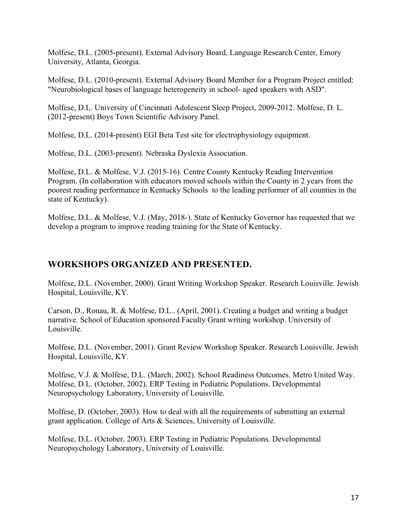Molfese, D.L. (2005-present). External Advisory Board, Language Research Center, Emory University, Atlanta, Georgia.

Molfese, D.L. (2010-present). External Advisory Board Member for a Program Project entitled: "Neurobiological bases of language heterogeneity in school- aged speakers with ASD".

Molfese, D.L. University of Cincinnati Adolescent Sleep Project, 2009-2012. Molfese, D. L. (2012-present) Boys Town Scientific Advisory Panel.

Molfese, D.L. (2014-present) EGI Beta Test site for electrophysiology equipment.

Molfese, D.L. (2003-present). Nebraska Dyslexia Association.

Molfese, D.L. & Molfese, V.J. (2015-16). Centre County Kentucky Reading Intervention Program. (In collaboration with educators moved schools within the County in 2 years from the poorest reading performance in Kentucky Schools to the leading performer of all counties in the state of Kentucky).

Molfese, D.L. & Molfese, V.J. (May, 2018-). State of Kentucky Governor has requested that we develop a program to improve reading training for the State of Kentucky.

### **WORKSHOPS ORGANIZED AND PRESENTED.**

Molfese, D.L. (November, 2000). Grant Writing Workshop Speaker. Research Louisville. Jewish Hospital, Louisville, KY.

Carson, D., Ronau, R. & Molfese, D.L.. (April, 2001). Creating a budget and writing a budget narrative. School of Education sponsored Faculty Grant writing workshop. University of Louisville.

Molfese, D.L. (November, 2001). Grant Review Workshop Speaker. Research Louisville. Jewish Hospital, Louisville, KY.

Molfese, V.J. & Molfese, D.L. (March, 2002). School Readiness Outcomes. Metro United Way. Molfese, D.L. (October, 2002). ERP Testing in Pediatric Populations. Developmental Neuropsychology Laboratory, University of Louisville.

Molfese, D. (October, 2003). How to deal with all the requirements of submitting an external grant application. College of Arts & Sciences, University of Louisville.

Molfese, D.L. (October, 2003). ERP Testing in Pediatric Populations. Developmental Neuropsychology Laboratory, University of Louisville.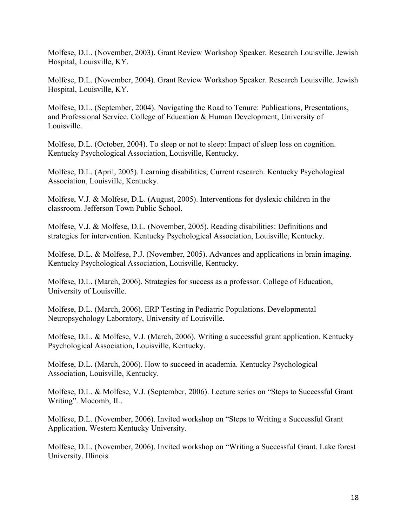Molfese, D.L. (November, 2003). Grant Review Workshop Speaker. Research Louisville. Jewish Hospital, Louisville, KY.

Molfese, D.L. (November, 2004). Grant Review Workshop Speaker. Research Louisville. Jewish Hospital, Louisville, KY.

Molfese, D.L. (September, 2004). Navigating the Road to Tenure: Publications, Presentations, and Professional Service. College of Education & Human Development, University of Louisville.

Molfese, D.L. (October, 2004). To sleep or not to sleep: Impact of sleep loss on cognition. Kentucky Psychological Association, Louisville, Kentucky.

Molfese, D.L. (April, 2005). Learning disabilities; Current research. Kentucky Psychological Association, Louisville, Kentucky.

Molfese, V.J. & Molfese, D.L. (August, 2005). Interventions for dyslexic children in the classroom. Jefferson Town Public School.

Molfese, V.J. & Molfese, D.L. (November, 2005). Reading disabilities: Definitions and strategies for intervention. Kentucky Psychological Association, Louisville, Kentucky.

Molfese, D.L. & Molfese, P.J. (November, 2005). Advances and applications in brain imaging. Kentucky Psychological Association, Louisville, Kentucky.

Molfese, D.L. (March, 2006). Strategies for success as a professor. College of Education, University of Louisville.

Molfese, D.L. (March, 2006). ERP Testing in Pediatric Populations. Developmental Neuropsychology Laboratory, University of Louisville.

Molfese, D.L. & Molfese, V.J. (March, 2006). Writing a successful grant application. Kentucky Psychological Association, Louisville, Kentucky.

Molfese, D.L. (March, 2006). How to succeed in academia. Kentucky Psychological Association, Louisville, Kentucky.

Molfese, D.L. & Molfese, V.J. (September, 2006). Lecture series on "Steps to Successful Grant Writing". Mocomb, IL.

Molfese, D.L. (November, 2006). Invited workshop on "Steps to Writing a Successful Grant Application. Western Kentucky University.

Molfese, D.L. (November, 2006). Invited workshop on "Writing a Successful Grant. Lake forest University. Illinois.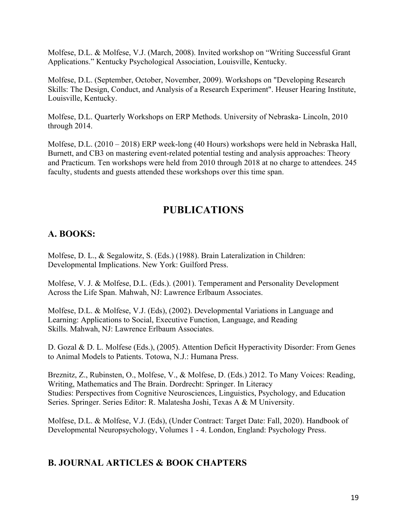Molfese, D.L. & Molfese, V.J. (March, 2008). Invited workshop on "Writing Successful Grant Applications." Kentucky Psychological Association, Louisville, Kentucky.

Molfese, D.L. (September, October, November, 2009). Workshops on "Developing Research Skills: The Design, Conduct, and Analysis of a Research Experiment". Heuser Hearing Institute, Louisville, Kentucky.

Molfese, D.L. Quarterly Workshops on ERP Methods. University of Nebraska- Lincoln, 2010 through 2014.

Molfese, D.L. (2010 – 2018) ERP week-long (40 Hours) workshops were held in Nebraska Hall, Burnett, and CB3 on mastering event-related potential testing and analysis approaches: Theory and Practicum. Ten workshops were held from 2010 through 2018 at no charge to attendees. 245 faculty, students and guests attended these workshops over this time span.

# **PUBLICATIONS**

## **A. BOOKS:**

Molfese, D. L., & Segalowitz, S. (Eds.) (1988). Brain Lateralization in Children: Developmental Implications. New York: Guilford Press.

Molfese, V. J. & Molfese, D.L. (Eds.). (2001). Temperament and Personality Development Across the Life Span. Mahwah, NJ: Lawrence Erlbaum Associates.

Molfese, D.L. & Molfese, V.J. (Eds), (2002). Developmental Variations in Language and Learning: Applications to Social, Executive Function, Language, and Reading Skills. Mahwah, NJ: Lawrence Erlbaum Associates.

D. Gozal & D. L. Molfese (Eds.), (2005). Attention Deficit Hyperactivity Disorder: From Genes to Animal Models to Patients. Totowa, N.J.: Humana Press.

Breznitz, Z., Rubinsten, O., Molfese, V., & Molfese, D. (Eds.) 2012. To Many Voices: Reading, Writing, Mathematics and The Brain. Dordrecht: Springer. In Literacy Studies: Perspectives from Cognitive Neurosciences, Linguistics, Psychology, and Education Series. Springer. Series Editor: R. Malatesha Joshi, Texas A & M University.

Molfese, D.L. & Molfese, V.J. (Eds), (Under Contract: Target Date: Fall, 2020). Handbook of Developmental Neuropsychology, Volumes 1 - 4. London, England: Psychology Press.

#### **B. JOURNAL ARTICLES & BOOK CHAPTERS**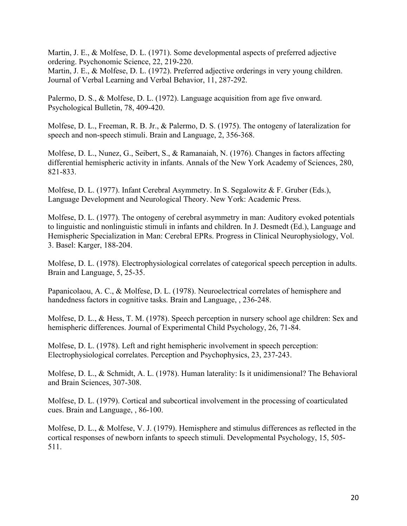Martin, J. E., & Molfese, D. L. (1971). Some developmental aspects of preferred adjective ordering. Psychonomic Science, 22, 219-220.

Martin, J. E., & Molfese, D. L. (1972). Preferred adjective orderings in very young children. Journal of Verbal Learning and Verbal Behavior, 11, 287-292.

Palermo, D. S., & Molfese, D. L. (1972). Language acquisition from age five onward. Psychological Bulletin, 78, 409-420.

Molfese, D. L., Freeman, R. B. Jr., & Palermo, D. S. (1975). The ontogeny of lateralization for speech and non-speech stimuli. Brain and Language, 2, 356-368.

Molfese, D. L., Nunez, G., Seibert, S., & Ramanaiah, N. (1976). Changes in factors affecting differential hemispheric activity in infants. Annals of the New York Academy of Sciences, 280, 821-833.

Molfese, D. L. (1977). Infant Cerebral Asymmetry. In S. Segalowitz & F. Gruber (Eds.), Language Development and Neurological Theory. New York: Academic Press.

Molfese, D. L. (1977). The ontogeny of cerebral asymmetry in man: Auditory evoked potentials to linguistic and nonlinguistic stimuli in infants and children. In J. Desmedt (Ed.), Language and Hemispheric Specialization in Man: Cerebral EPRs. Progress in Clinical Neurophysiology, Vol. 3. Basel: Karger, 188-204.

Molfese, D. L. (1978). Electrophysiological correlates of categorical speech perception in adults. Brain and Language, 5, 25-35.

Papanicolaou, A. C., & Molfese, D. L. (1978). Neuroelectrical correlates of hemisphere and handedness factors in cognitive tasks. Brain and Language, , 236-248.

Molfese, D. L., & Hess, T. M. (1978). Speech perception in nursery school age children: Sex and hemispheric differences. Journal of Experimental Child Psychology, 26, 71-84.

Molfese, D. L. (1978). Left and right hemispheric involvement in speech perception: Electrophysiological correlates. Perception and Psychophysics, 23, 237-243.

Molfese, D. L., & Schmidt, A. L. (1978). Human laterality: Is it unidimensional? The Behavioral and Brain Sciences, 307-308.

Molfese, D. L. (1979). Cortical and subcortical involvement in the processing of coarticulated cues. Brain and Language, , 86-100.

Molfese, D. L., & Molfese, V. J. (1979). Hemisphere and stimulus differences as reflected in the cortical responses of newborn infants to speech stimuli. Developmental Psychology, 15, 505- 511.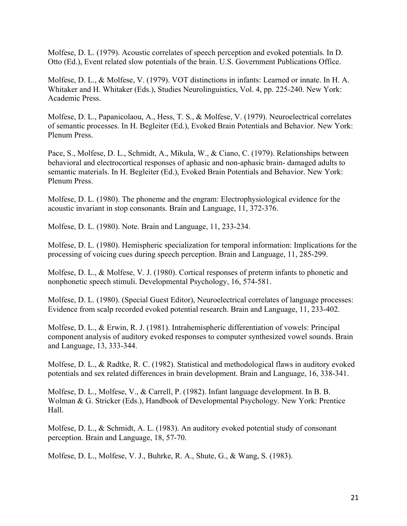Molfese, D. L. (1979). Acoustic correlates of speech perception and evoked potentials. In D. Otto (Ed.), Event related slow potentials of the brain. U.S. Government Publications Office.

Molfese, D. L., & Molfese, V. (1979). VOT distinctions in infants: Learned or innate. In H. A. Whitaker and H. Whitaker (Eds.), Studies Neurolinguistics, Vol. 4, pp. 225-240. New York: Academic Press.

Molfese, D. L., Papanicolaou, A., Hess, T. S., & Molfese, V. (1979). Neuroelectrical correlates of semantic processes. In H. Begleiter (Ed.), Evoked Brain Potentials and Behavior. New York: Plenum Press.

Pace, S., Molfese, D. L., Schmidt, A., Mikula, W., & Ciano, C. (1979). Relationships between behavioral and electrocortical responses of aphasic and non-aphasic brain- damaged adults to semantic materials. In H. Begleiter (Ed.), Evoked Brain Potentials and Behavior. New York: Plenum Press.

Molfese, D. L. (1980). The phoneme and the engram: Electrophysiological evidence for the acoustic invariant in stop consonants. Brain and Language, 11, 372-376.

Molfese, D. L. (1980). Note. Brain and Language, 11, 233-234.

Molfese, D. L. (1980). Hemispheric specialization for temporal information: Implications for the processing of voicing cues during speech perception. Brain and Language, 11, 285-299.

Molfese, D. L., & Molfese, V. J. (1980). Cortical responses of preterm infants to phonetic and nonphonetic speech stimuli. Developmental Psychology, 16, 574-581.

Molfese, D. L. (1980). (Special Guest Editor), Neuroelectrical correlates of language processes: Evidence from scalp recorded evoked potential research. Brain and Language, 11, 233-402.

Molfese, D. L., & Erwin, R. J. (1981). Intrahemispheric differentiation of vowels: Principal component analysis of auditory evoked responses to computer synthesized vowel sounds. Brain and Language, 13, 333-344.

Molfese, D. L., & Radtke, R. C. (1982). Statistical and methodological flaws in auditory evoked potentials and sex related differences in brain development. Brain and Language, 16, 338-341.

Molfese, D. L., Molfese, V., & Carrell, P. (1982). Infant language development. In B. B. Wolman & G. Stricker (Eds.), Handbook of Developmental Psychology. New York: Prentice Hall.

Molfese, D. L., & Schmidt, A. L. (1983). An auditory evoked potential study of consonant perception. Brain and Language, 18, 57-70.

Molfese, D. L., Molfese, V. J., Buhrke, R. A., Shute, G., & Wang, S. (1983).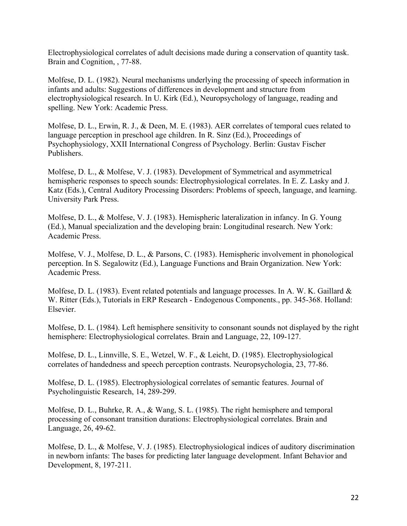Electrophysiological correlates of adult decisions made during a conservation of quantity task. Brain and Cognition, , 77-88.

Molfese, D. L. (1982). Neural mechanisms underlying the processing of speech information in infants and adults: Suggestions of differences in development and structure from electrophysiological research. In U. Kirk (Ed.), Neuropsychology of language, reading and spelling. New York: Academic Press.

Molfese, D. L., Erwin, R. J., & Deen, M. E. (1983). AER correlates of temporal cues related to language perception in preschool age children. In R. Sinz (Ed.), Proceedings of Psychophysiology, XXII International Congress of Psychology. Berlin: Gustav Fischer Publishers.

Molfese, D. L., & Molfese, V. J. (1983). Development of Symmetrical and asymmetrical hemispheric responses to speech sounds: Electrophysiological correlates. In E. Z. Lasky and J. Katz (Eds.), Central Auditory Processing Disorders: Problems of speech, language, and learning. University Park Press.

Molfese, D. L., & Molfese, V. J. (1983). Hemispheric lateralization in infancy. In G. Young (Ed.), Manual specialization and the developing brain: Longitudinal research. New York: Academic Press.

Molfese, V. J., Molfese, D. L., & Parsons, C. (1983). Hemispheric involvement in phonological perception. In S. Segalowitz (Ed.), Language Functions and Brain Organization. New York: Academic Press.

Molfese, D. L. (1983). Event related potentials and language processes. In A. W. K. Gaillard & W. Ritter (Eds.), Tutorials in ERP Research - Endogenous Components., pp. 345-368. Holland: Elsevier.

Molfese, D. L. (1984). Left hemisphere sensitivity to consonant sounds not displayed by the right hemisphere: Electrophysiological correlates. Brain and Language, 22, 109-127.

Molfese, D. L., Linnville, S. E., Wetzel, W. F., & Leicht, D. (1985). Electrophysiological correlates of handedness and speech perception contrasts. Neuropsychologia, 23, 77-86.

Molfese, D. L. (1985). Electrophysiological correlates of semantic features. Journal of Psycholinguistic Research, 14, 289-299.

Molfese, D. L., Buhrke, R. A., & Wang, S. L. (1985). The right hemisphere and temporal processing of consonant transition durations: Electrophysiological correlates. Brain and Language, 26, 49-62.

Molfese, D. L., & Molfese, V. J. (1985). Electrophysiological indices of auditory discrimination in newborn infants: The bases for predicting later language development. Infant Behavior and Development, 8, 197-211.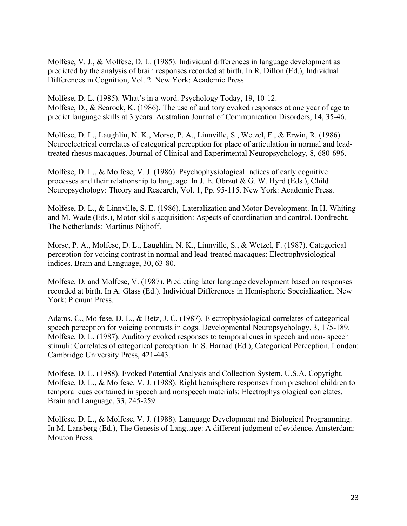Molfese, V. J., & Molfese, D. L. (1985). Individual differences in language development as predicted by the analysis of brain responses recorded at birth. In R. Dillon (Ed.), Individual Differences in Cognition, Vol. 2. New York: Academic Press.

Molfese, D. L. (1985). What's in a word. Psychology Today, 19, 10-12. Molfese, D., & Searock, K. (1986). The use of auditory evoked responses at one year of age to predict language skills at 3 years. Australian Journal of Communication Disorders, 14, 35-46.

Molfese, D. L., Laughlin, N. K., Morse, P. A., Linnville, S., Wetzel, F., & Erwin, R. (1986). Neuroelectrical correlates of categorical perception for place of articulation in normal and leadtreated rhesus macaques. Journal of Clinical and Experimental Neuropsychology, 8, 680-696.

Molfese, D. L., & Molfese, V. J. (1986). Psychophysiological indices of early cognitive processes and their relationship to language. In J. E. Obrzut & G. W. Hyrd (Eds.), Child Neuropsychology: Theory and Research, Vol. 1, Pp. 95-115. New York: Academic Press.

Molfese, D. L., & Linnville, S. E. (1986). Lateralization and Motor Development. In H. Whiting and M. Wade (Eds.), Motor skills acquisition: Aspects of coordination and control. Dordrecht, The Netherlands: Martinus Nijhoff.

Morse, P. A., Molfese, D. L., Laughlin, N. K., Linnville, S., & Wetzel, F. (1987). Categorical perception for voicing contrast in normal and lead-treated macaques: Electrophysiological indices. Brain and Language, 30, 63-80.

Molfese, D. and Molfese, V. (1987). Predicting later language development based on responses recorded at birth. In A. Glass (Ed.). Individual Differences in Hemispheric Specialization. New York: Plenum Press.

Adams, C., Molfese, D. L., & Betz, J. C. (1987). Electrophysiological correlates of categorical speech perception for voicing contrasts in dogs. Developmental Neuropsychology, 3, 175-189. Molfese, D. L. (1987). Auditory evoked responses to temporal cues in speech and non- speech stimuli: Correlates of categorical perception. In S. Harnad (Ed.), Categorical Perception. London: Cambridge University Press, 421-443.

Molfese, D. L. (1988). Evoked Potential Analysis and Collection System. U.S.A. Copyright. Molfese, D. L., & Molfese, V. J. (1988). Right hemisphere responses from preschool children to temporal cues contained in speech and nonspeech materials: Electrophysiological correlates. Brain and Language, 33, 245-259.

Molfese, D. L., & Molfese, V. J. (1988). Language Development and Biological Programming. In M. Lansberg (Ed.), The Genesis of Language: A different judgment of evidence. Amsterdam: Mouton Press.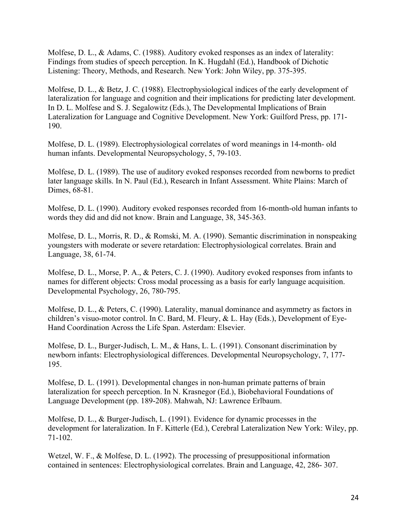Molfese, D. L., & Adams, C. (1988). Auditory evoked responses as an index of laterality: Findings from studies of speech perception. In K. Hugdahl (Ed.), Handbook of Dichotic Listening: Theory, Methods, and Research. New York: John Wiley, pp. 375-395.

Molfese, D. L., & Betz, J. C. (1988). Electrophysiological indices of the early development of lateralization for language and cognition and their implications for predicting later development. In D. L. Molfese and S. J. Segalowitz (Eds.), The Developmental Implications of Brain Lateralization for Language and Cognitive Development. New York: Guilford Press, pp. 171- 190.

Molfese, D. L. (1989). Electrophysiological correlates of word meanings in 14-month- old human infants. Developmental Neuropsychology, 5, 79-103.

Molfese, D. L. (1989). The use of auditory evoked responses recorded from newborns to predict later language skills. In N. Paul (Ed.), Research in Infant Assessment. White Plains: March of Dimes, 68-81.

Molfese, D. L. (1990). Auditory evoked responses recorded from 16-month-old human infants to words they did and did not know. Brain and Language, 38, 345-363.

Molfese, D. L., Morris, R. D., & Romski, M. A. (1990). Semantic discrimination in nonspeaking youngsters with moderate or severe retardation: Electrophysiological correlates. Brain and Language, 38, 61-74.

Molfese, D. L., Morse, P. A., & Peters, C. J. (1990). Auditory evoked responses from infants to names for different objects: Cross modal processing as a basis for early language acquisition. Developmental Psychology, 26, 780-795.

Molfese, D. L., & Peters, C. (1990). Laterality, manual dominance and asymmetry as factors in children's visuo-motor control. In C. Bard, M. Fleury, & L. Hay (Eds.), Development of Eye-Hand Coordination Across the Life Span. Asterdam: Elsevier.

Molfese, D. L., Burger-Judisch, L. M., & Hans, L. L. (1991). Consonant discrimination by newborn infants: Electrophysiological differences. Developmental Neuropsychology, 7, 177- 195.

Molfese, D. L. (1991). Developmental changes in non-human primate patterns of brain lateralization for speech perception. In N. Krasnegor (Ed.), Biobehavioral Foundations of Language Development (pp. 189-208). Mahwah, NJ: Lawrence Erlbaum.

Molfese, D. L., & Burger-Judisch, L. (1991). Evidence for dynamic processes in the development for lateralization. In F. Kitterle (Ed.), Cerebral Lateralization New York: Wiley, pp. 71-102.

Wetzel, W. F., & Molfese, D. L. (1992). The processing of presuppositional information contained in sentences: Electrophysiological correlates. Brain and Language, 42, 286- 307.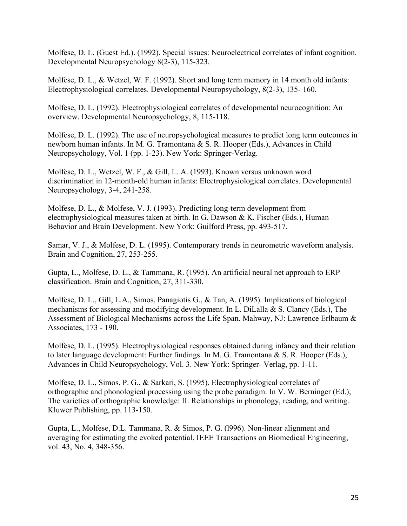Molfese, D. L. (Guest Ed.). (1992). Special issues: Neuroelectrical correlates of infant cognition. Developmental Neuropsychology 8(2-3), 115-323.

Molfese, D. L., & Wetzel, W. F. (1992). Short and long term memory in 14 month old infants: Electrophysiological correlates. Developmental Neuropsychology, 8(2-3), 135- 160.

Molfese, D. L. (1992). Electrophysiological correlates of developmental neurocognition: An overview. Developmental Neuropsychology, 8, 115-118.

Molfese, D. L. (1992). The use of neuropsychological measures to predict long term outcomes in newborn human infants. In M. G. Tramontana & S. R. Hooper (Eds.), Advances in Child Neuropsychology, Vol. 1 (pp. 1-23). New York: Springer-Verlag.

Molfese, D. L., Wetzel, W. F., & Gill, L. A. (1993). Known versus unknown word discrimination in 12-month-old human infants: Electrophysiological correlates. Developmental Neuropsychology, 3-4, 241-258.

Molfese, D. L., & Molfese, V. J. (1993). Predicting long-term development from electrophysiological measures taken at birth. In G. Dawson & K. Fischer (Eds.), Human Behavior and Brain Development. New York: Guilford Press, pp. 493-517.

Samar, V. J., & Molfese, D. L. (1995). Contemporary trends in neurometric waveform analysis. Brain and Cognition, 27, 253-255.

Gupta, L., Molfese, D. L., & Tammana, R. (1995). An artificial neural net approach to ERP classification. Brain and Cognition, 27, 311-330.

Molfese, D. L., Gill, L.A., Simos, Panagiotis G., & Tan, A. (1995). Implications of biological mechanisms for assessing and modifying development. In L. DiLalla & S. Clancy (Eds.), The Assessment of Biological Mechanisms across the Life Span. Mahway, NJ: Lawrence Erlbaum & Associates, 173 - 190.

Molfese, D. L. (1995). Electrophysiological responses obtained during infancy and their relation to later language development: Further findings. In M. G. Tramontana & S. R. Hooper (Eds.), Advances in Child Neuropsychology, Vol. 3. New York: Springer- Verlag, pp. 1-11.

Molfese, D. L., Simos, P. G., & Sarkari, S. (1995). Electrophysiological correlates of orthographic and phonological processing using the probe paradigm. In V. W. Berninger (Ed.), The varieties of orthographic knowledge: II. Relationships in phonology, reading, and writing. Kluwer Publishing, pp. 113-150.

Gupta, L., Molfese, D.L. Tammana, R. & Simos, P. G. (l996). Non-linear alignment and averaging for estimating the evoked potential. IEEE Transactions on Biomedical Engineering, vol. 43, No. 4, 348-356.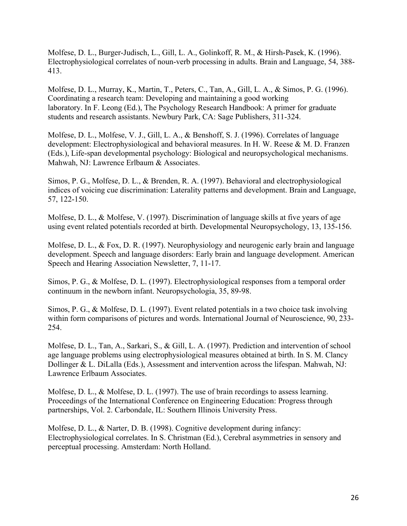Molfese, D. L., Burger-Judisch, L., Gill, L. A., Golinkoff, R. M., & Hirsh-Pasek, K. (1996). Electrophysiological correlates of noun-verb processing in adults. Brain and Language, 54, 388- 413.

Molfese, D. L., Murray, K., Martin, T., Peters, C., Tan, A., Gill, L. A., & Simos, P. G. (1996). Coordinating a research team: Developing and maintaining a good working laboratory. In F. Leong (Ed.), The Psychology Research Handbook: A primer for graduate students and research assistants. Newbury Park, CA: Sage Publishers, 311-324.

Molfese, D. L., Molfese, V. J., Gill, L. A., & Benshoff, S. J. (1996). Correlates of language development: Electrophysiological and behavioral measures. In H. W. Reese & M. D. Franzen (Eds.), Life-span developmental psychology: Biological and neuropsychological mechanisms. Mahwah, NJ: Lawrence Erlbaum & Associates.

Simos, P. G., Molfese, D. L., & Brenden, R. A. (1997). Behavioral and electrophysiological indices of voicing cue discrimination: Laterality patterns and development. Brain and Language, 57, 122-150.

Molfese, D. L., & Molfese, V. (1997). Discrimination of language skills at five years of age using event related potentials recorded at birth. Developmental Neuropsychology, 13, 135-156.

Molfese, D. L., & Fox, D. R. (1997). Neurophysiology and neurogenic early brain and language development. Speech and language disorders: Early brain and language development. American Speech and Hearing Association Newsletter, 7, 11-17.

Simos, P. G., & Molfese, D. L. (1997). Electrophysiological responses from a temporal order continuum in the newborn infant. Neuropsychologia, 35, 89-98.

Simos, P. G., & Molfese, D. L. (1997). Event related potentials in a two choice task involving within form comparisons of pictures and words. International Journal of Neuroscience, 90, 233-254.

Molfese, D. L., Tan, A., Sarkari, S., & Gill, L. A. (1997). Prediction and intervention of school age language problems using electrophysiological measures obtained at birth. In S. M. Clancy Dollinger & L. DiLalla (Eds.), Assessment and intervention across the lifespan. Mahwah, NJ: Lawrence Erlbaum Associates.

Molfese, D. L., & Molfese, D. L. (1997). The use of brain recordings to assess learning. Proceedings of the International Conference on Engineering Education: Progress through partnerships, Vol. 2. Carbondale, IL: Southern Illinois University Press.

Molfese, D. L., & Narter, D. B. (1998). Cognitive development during infancy: Electrophysiological correlates. In S. Christman (Ed.), Cerebral asymmetries in sensory and perceptual processing. Amsterdam: North Holland.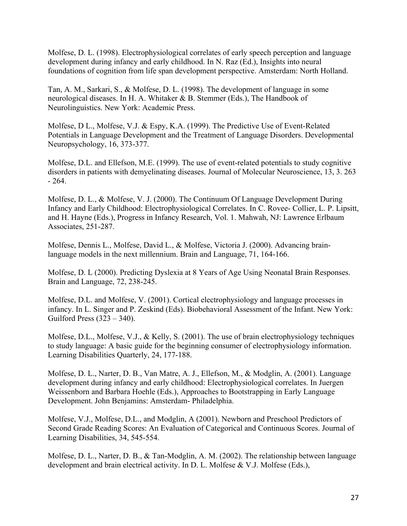Molfese, D. L. (1998). Electrophysiological correlates of early speech perception and language development during infancy and early childhood. In N. Raz (Ed.), Insights into neural foundations of cognition from life span development perspective. Amsterdam: North Holland.

Tan, A. M., Sarkari, S., & Molfese, D. L. (1998). The development of language in some neurological diseases. In H. A. Whitaker & B. Stemmer (Eds.), The Handbook of Neurolinguistics. New York: Academic Press.

Molfese, D L., Molfese, V.J. & Espy, K.A. (1999). The Predictive Use of Event-Related Potentials in Language Development and the Treatment of Language Disorders. Developmental Neuropsychology, 16, 373-377.

Molfese, D.L. and Ellefson, M.E. (1999). The use of event-related potentials to study cognitive disorders in patients with demyelinating diseases. Journal of Molecular Neuroscience, 13, 3. 263  $-264.$ 

Molfese, D. L., & Molfese, V. J. (2000). The Continuum Of Language Development During Infancy and Early Childhood: Electrophysiological Correlates. In C. Rovee- Collier, L. P. Lipsitt, and H. Hayne (Eds.), Progress in Infancy Research, Vol. 1. Mahwah, NJ: Lawrence Erlbaum Associates, 251-287.

Molfese, Dennis L., Molfese, David L., & Molfese, Victoria J. (2000). Advancing brainlanguage models in the next millennium. Brain and Language, 71, 164-166.

Molfese, D. L (2000). Predicting Dyslexia at 8 Years of Age Using Neonatal Brain Responses. Brain and Language, 72, 238-245.

Molfese, D.L. and Molfese, V. (2001). Cortical electrophysiology and language processes in infancy. In L. Singer and P. Zeskind (Eds). Biobehavioral Assessment of the Infant. New York: Guilford Press (323 – 340).

Molfese, D.L., Molfese, V.J., & Kelly, S. (2001). The use of brain electrophysiology techniques to study language: A basic guide for the beginning consumer of electrophysiology information. Learning Disabilities Quarterly, 24, 177-188.

Molfese, D. L., Narter, D. B., Van Matre, A. J., Ellefson, M., & Modglin, A. (2001). Language development during infancy and early childhood: Electrophysiological correlates. In Juergen Weissenborn and Barbara Hoehle (Eds.), Approaches to Bootstrapping in Early Language Development. John Benjamins: Amsterdam- Philadelphia.

Molfese, V.J., Molfese, D.L., and Modglin, A (2001). Newborn and Preschool Predictors of Second Grade Reading Scores: An Evaluation of Categorical and Continuous Scores. Journal of Learning Disabilities, 34, 545-554.

Molfese, D. L., Narter, D. B., & Tan-Modglin, A. M. (2002). The relationship between language development and brain electrical activity. In D. L. Molfese & V.J. Molfese (Eds.),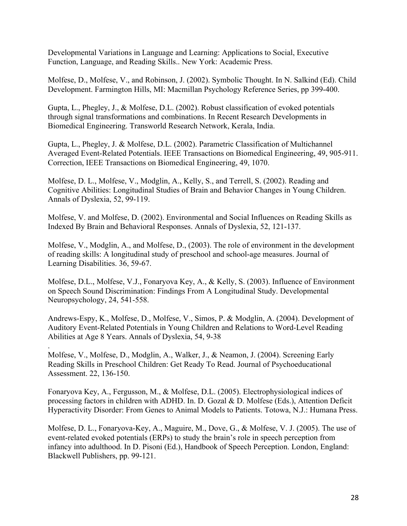Developmental Variations in Language and Learning: Applications to Social, Executive Function, Language, and Reading Skills.. New York: Academic Press.

Molfese, D., Molfese, V., and Robinson, J. (2002). Symbolic Thought. In N. Salkind (Ed). Child Development. Farmington Hills, MI: Macmillan Psychology Reference Series, pp 399-400.

Gupta, L., Phegley, J., & Molfese, D.L. (2002). Robust classification of evoked potentials through signal transformations and combinations. In Recent Research Developments in Biomedical Engineering. Transworld Research Network, Kerala, India.

Gupta, L., Phegley, J. & Molfese, D.L. (2002). Parametric Classification of Multichannel Averaged Event-Related Potentials. IEEE Transactions on Biomedical Engineering, 49, 905-911. Correction, IEEE Transactions on Biomedical Engineering, 49, 1070.

Molfese, D. L., Molfese, V., Modglin, A., Kelly, S., and Terrell, S. (2002). Reading and Cognitive Abilities: Longitudinal Studies of Brain and Behavior Changes in Young Children. Annals of Dyslexia, 52, 99-119.

Molfese, V. and Molfese, D. (2002). Environmental and Social Influences on Reading Skills as Indexed By Brain and Behavioral Responses. Annals of Dyslexia, 52, 121-137.

Molfese, V., Modglin, A., and Molfese, D., (2003). The role of environment in the development of reading skills: A longitudinal study of preschool and school-age measures. Journal of Learning Disabilities. 36, 59-67.

Molfese, D.L., Molfese, V.J., Fonaryova Key, A., & Kelly, S. (2003). Influence of Environment on Speech Sound Discrimination: Findings From A Longitudinal Study. Developmental Neuropsychology, 24, 541-558.

Andrews-Espy, K., Molfese, D., Molfese, V., Simos, P. & Modglin, A. (2004). Development of Auditory Event-Related Potentials in Young Children and Relations to Word-Level Reading Abilities at Age 8 Years. Annals of Dyslexia, 54, 9-38

Molfese, V., Molfese, D., Modglin, A., Walker, J., & Neamon, J. (2004). Screening Early Reading Skills in Preschool Children: Get Ready To Read. Journal of Psychoeducational Assessment. 22, 136-150.

.

Fonaryova Key, A., Fergusson, M., & Molfese, D.L. (2005). Electrophysiological indices of processing factors in children with ADHD. In. D. Gozal & D. Molfese (Eds.), Attention Deficit Hyperactivity Disorder: From Genes to Animal Models to Patients. Totowa, N.J.: Humana Press.

Molfese, D. L., Fonaryova-Key, A., Maguire, M., Dove, G., & Molfese, V. J. (2005). The use of event-related evoked potentials (ERPs) to study the brain's role in speech perception from infancy into adulthood. In D. Pisoni (Ed.), Handbook of Speech Perception. London, England: Blackwell Publishers, pp. 99-121.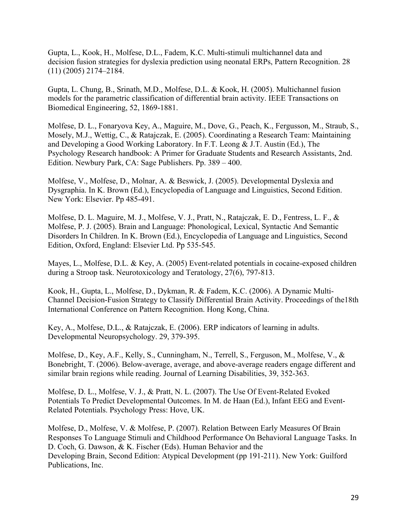Gupta, L., Kook, H., Molfese, D.L., Fadem, K.C. Multi-stimuli multichannel data and decision fusion strategies for dyslexia prediction using neonatal ERPs, Pattern Recognition. 28 (11) (2005) 2174–2184.

Gupta, L. Chung, B., Srinath, M.D., Molfese, D.L. & Kook, H. (2005). Multichannel fusion models for the parametric classification of differential brain activity. IEEE Transactions on Biomedical Engineering, 52, 1869-1881.

Molfese, D. L., Fonaryova Key, A., Maguire, M., Dove, G., Peach, K., Fergusson, M., Straub, S., Mosely, M.J., Wettig, C., & Ratajczak, E. (2005). Coordinating a Research Team: Maintaining and Developing a Good Working Laboratory. In F.T. Leong & J.T. Austin (Ed.), The Psychology Research handbook: A Primer for Graduate Students and Research Assistants, 2nd. Edition. Newbury Park, CA: Sage Publishers. Pp. 389 – 400.

Molfese, V., Molfese, D., Molnar, A. & Beswick, J. (2005). Developmental Dyslexia and Dysgraphia. In K. Brown (Ed.), Encyclopedia of Language and Linguistics, Second Edition. New York: Elsevier. Pp 485-491.

Molfese, D. L. Maguire, M. J., Molfese, V. J., Pratt, N., Ratajczak, E. D., Fentress, L. F., & Molfese, P. J. (2005). Brain and Language: Phonological, Lexical, Syntactic And Semantic Disorders In Children. In K. Brown (Ed.), Encyclopedia of Language and Linguistics, Second Edition, Oxford, England: Elsevier Ltd. Pp 535-545.

Mayes, L., Molfese, D.L. & Key, A. (2005) Event-related potentials in cocaine-exposed children during a Stroop task. Neurotoxicology and Teratology, 27(6), 797-813.

Kook, H., Gupta, L., Molfese, D., Dykman, R. & Fadem, K.C. (2006). A Dynamic Multi-Channel Decision-Fusion Strategy to Classify Differential Brain Activity. Proceedings of the18th International Conference on Pattern Recognition. Hong Kong, China.

Key, A., Molfese, D.L., & Ratajczak, E. (2006). ERP indicators of learning in adults. Developmental Neuropsychology. 29, 379-395.

Molfese, D., Key, A.F., Kelly, S., Cunningham, N., Terrell, S., Ferguson, M., Molfese, V., & Bonebright, T. (2006). Below-average, average, and above-average readers engage different and similar brain regions while reading. Journal of Learning Disabilities, 39, 352-363.

Molfese, D. L., Molfese, V. J., & Pratt, N. L. (2007). The Use Of Event-Related Evoked Potentials To Predict Developmental Outcomes. In M. de Haan (Ed.), Infant EEG and Event-Related Potentials. Psychology Press: Hove, UK.

Molfese, D., Molfese, V. & Molfese, P. (2007). Relation Between Early Measures Of Brain Responses To Language Stimuli and Childhood Performance On Behavioral Language Tasks. In D. Coch, G. Dawson, & K. Fischer (Eds). Human Behavior and the Developing Brain, Second Edition: Atypical Development (pp 191-211). New York: Guilford Publications, Inc.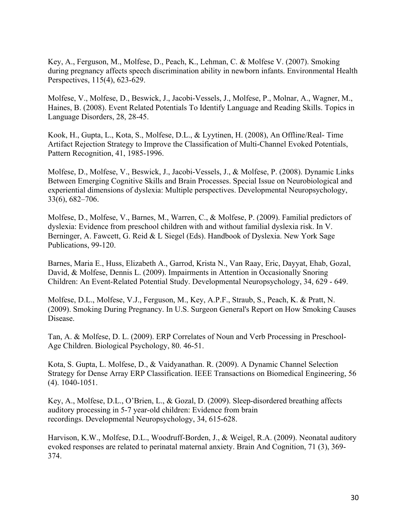Key, A., Ferguson, M., Molfese, D., Peach, K., Lehman, C. & Molfese V. (2007). Smoking during pregnancy affects speech discrimination ability in newborn infants. Environmental Health Perspectives, 115(4), 623-629.

Molfese, V., Molfese, D., Beswick, J., Jacobi-Vessels, J., Molfese, P., Molnar, A., Wagner, M., Haines, B. (2008). Event Related Potentials To Identify Language and Reading Skills. Topics in Language Disorders, 28, 28-45.

Kook, H., Gupta, L., Kota, S., Molfese, D.L., & Lyytinen, H. (2008), An Offline/Real- Time Artifact Rejection Strategy to Improve the Classification of Multi-Channel Evoked Potentials, Pattern Recognition, 41, 1985-1996.

Molfese, D., Molfese, V., Beswick, J., Jacobi-Vessels, J., & Molfese, P. (2008). Dynamic Links Between Emerging Cognitive Skills and Brain Processes. Special Issue on Neurobiological and experiential dimensions of dyslexia: Multiple perspectives. Developmental Neuropsychology, 33(6), 682–706.

Molfese, D., Molfese, V., Barnes, M., Warren, C., & Molfese, P. (2009). Familial predictors of dyslexia: Evidence from preschool children with and without familial dyslexia risk. In V. Berninger, A. Fawcett, G. Reid & L Siegel (Eds). Handbook of Dyslexia. New York Sage Publications, 99-120.

Barnes, Maria E., Huss, Elizabeth A., Garrod, Krista N., Van Raay, Eric, Dayyat, Ehab, Gozal, David, & Molfese, Dennis L. (2009). Impairments in Attention in Occasionally Snoring Children: An Event-Related Potential Study. Developmental Neuropsychology, 34, 629 - 649.

Molfese, D.L., Molfese, V.J., Ferguson, M., Key, A.P.F., Straub, S., Peach, K. & Pratt, N. (2009). Smoking During Pregnancy. In U.S. Surgeon General's Report on How Smoking Causes Disease.

Tan, A. & Molfese, D. L. (2009). ERP Correlates of Noun and Verb Processing in Preschool-Age Children. Biological Psychology, 80. 46-51.

Kota, S. Gupta, L. Molfese, D., & Vaidyanathan. R. (2009). A Dynamic Channel Selection Strategy for Dense Array ERP Classification. IEEE Transactions on Biomedical Engineering, 56 (4). 1040-1051.

Key, A., Molfese, D.L., O'Brien, L., & Gozal, D. (2009). Sleep-disordered breathing affects auditory processing in 5-7 year-old children: Evidence from brain recordings. Developmental Neuropsychology, 34, 615-628.

Harvison, K.W., Molfese, D.L., Woodruff-Borden, J., & Weigel, R.A. (2009). Neonatal auditory evoked responses are related to perinatal maternal anxiety. Brain And Cognition, 71 (3), 369- 374.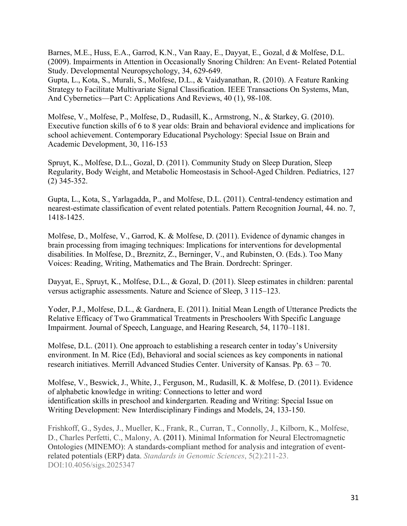Barnes, M.E., Huss, E.A., Garrod, K.N., Van Raay, E., Dayyat, E., Gozal, d & Molfese, D.L. (2009). Impairments in Attention in Occasionally Snoring Children: An Event- Related Potential Study. Developmental Neuropsychology, 34, 629-649.

Gupta, L., Kota, S., Murali, S., Molfese, D.L., & Vaidyanathan, R. (2010). A Feature Ranking Strategy to Facilitate Multivariate Signal Classification. IEEE Transactions On Systems, Man, And Cybernetics—Part C: Applications And Reviews, 40 (1), 98-108.

Molfese, V., Molfese, P., Molfese, D., Rudasill, K., Armstrong, N., & Starkey, G. (2010). Executive function skills of 6 to 8 year olds: Brain and behavioral evidence and implications for school achievement. Contemporary Educational Psychology: Special Issue on Brain and Academic Development, 30, 116-153

Spruyt, K., Molfese, D.L., Gozal, D. (2011). Community Study on Sleep Duration, Sleep Regularity, Body Weight, and Metabolic Homeostasis in School-Aged Children. Pediatrics, 127 (2) 345-352.

Gupta, L., Kota, S., Yarlagadda, P., and Molfese, D.L. (2011). Central-tendency estimation and nearest-estimate classification of event related potentials. Pattern Recognition Journal, 44. no. 7, 1418-1425.

Molfese, D., Molfese, V., Garrod, K. & Molfese, D. (2011). Evidence of dynamic changes in brain processing from imaging techniques: Implications for interventions for developmental disabilities. In Molfese, D., Breznitz, Z., Berninger, V., and Rubinsten, O. (Eds.). Too Many Voices: Reading, Writing, Mathematics and The Brain. Dordrecht: Springer.

Dayyat, E., Spruyt, K., Molfese, D.L., & Gozal, D. (2011). Sleep estimates in children: parental versus actigraphic assessments. Nature and Science of Sleep, 3 115–123.

Yoder, P.J., Molfese, D.L., & Gardnera, E. (2011). Initial Mean Length of Utterance Predicts the Relative Efficacy of Two Grammatical Treatments in Preschoolers With Specific Language Impairment. Journal of Speech, Language, and Hearing Research, 54, 1170–1181.

Molfese, D.L. (2011). One approach to establishing a research center in today's University environment. In M. Rice (Ed), Behavioral and social sciences as key components in national research initiatives. Merrill Advanced Studies Center. University of Kansas. Pp. 63 – 70.

Molfese, V., Beswick, J., White, J., Ferguson, M., Rudasill, K. & Molfese, D. (2011). Evidence of alphabetic knowledge in writing: Connections to letter and word identification skills in preschool and kindergarten. Reading and Writing: Special Issue on Writing Development: New Interdisciplinary Findings and Models, 24, 133-150.

Frishkoff, G., Sydes, J., Mueller, K., Frank, R., Curran, T., Connolly, J., Kilborn, K., Molfese, D., Charles Perfetti, C., Malony, A. (2011). Minimal Information for Neural Electromagnetic Ontologies (MINEMO): A standards-compliant method for analysis and integration of eventrelated potentials (ERP) data. *Standards in Genomic Sciences*, 5(2):211-23. DOI:10.4056/sigs.2025347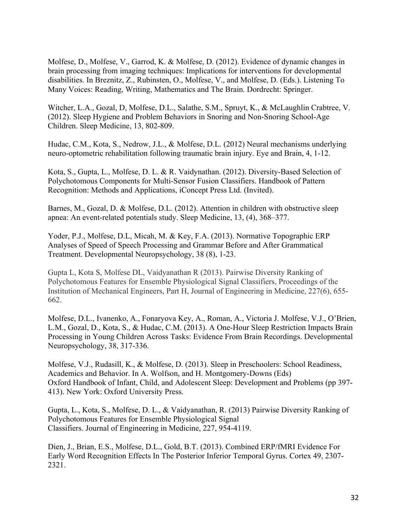Molfese, D., Molfese, V., Garrod, K. & Molfese, D. (2012). Evidence of dynamic changes in brain processing from imaging techniques: Implications for interventions for developmental disabilities. In Breznitz, Z., Rubinsten, O., Molfese, V., and Molfese, D. (Eds.). Listening To Many Voices: Reading, Writing, Mathematics and The Brain. Dordrecht: Springer.

Witcher, L.A., Gozal, D, Molfese, D.L., Salathe, S.M., Spruyt, K., & McLaughlin Crabtree, V. (2012). Sleep Hygiene and Problem Behaviors in Snoring and Non-Snoring School-Age Children. Sleep Medicine, 13, 802-809.

Hudac, C.M., Kota, S., Nedrow, J.L., & Molfese, D.L. (2012) Neural mechanisms underlying neuro-optometric rehabilitation following traumatic brain injury. Eye and Brain, 4, 1-12.

Kota, S., Gupta, L., Molfese, D. L. & R. Vaidynathan. (2012). Diversity-Based Selection of Polychotomous Components for Multi-Sensor Fusion Classifiers. Handbook of Pattern Recognition: Methods and Applications, iConcept Press Ltd. (Invited).

Barnes, M., Gozal, D. & Molfese, D.L. (2012). Attention in children with obstructive sleep apnea: An event-related potentials study. Sleep Medicine, 13, (4), 368–377.

Yoder, P.J., Molfese, D.L, Micah, M. & Key, F.A. (2013). Normative Topographic ERP Analyses of Speed of Speech Processing and Grammar Before and After Grammatical Treatment. Developmental Neuropsychology, 38 (8), 1-23.

Gupta L, Kota S, Molfese DL, Vaidyanathan R (2013). Pairwise Diversity Ranking of Polychotomous Features for Ensemble Physiological Signal Classifiers, Proceedings of the Institution of Mechanical Engineers, Part H, Journal of Engineering in Medicine, 227(6), 655- 662.

Molfese, D.L., Ivanenko, A., Fonaryova Key, A., Roman, A., Victoria J. Molfese, V.J., O'Brien, L.M., Gozal, D., Kota, S., & Hudac, C.M. (2013). A One-Hour Sleep Restriction Impacts Brain Processing in Young Children Across Tasks: Evidence From Brain Recordings. Developmental Neuropsychology, 38, 317-336.

Molfese, V.J., Rudasill, K., & Molfese, D. (2013). Sleep in Preschoolers: School Readiness, Academics and Behavior. In A. Wolfson, and H. Montgomery-Downs (Eds) Oxford Handbook of Infant, Child, and Adolescent Sleep: Development and Problems (pp 397- 413). New York: Oxford University Press.

Gupta, L., Kota, S., Molfese, D. L., & Vaidyanathan, R. (2013) Pairwise Diversity Ranking of Polychotomous Features for Ensemble Physiological Signal Classifiers. Journal of Engineering in Medicine, 227, 954-4119.

Dien, J., Brian, E.S., Molfese, D.L., Gold, B.T. (2013). Combined ERP/fMRI Evidence For Early Word Recognition Effects In The Posterior Inferior Temporal Gyrus. Cortex 49, 2307- 2321.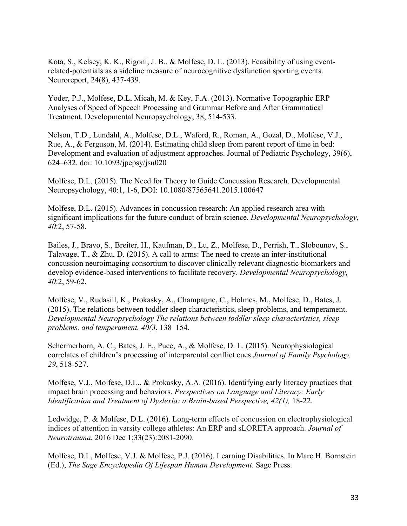Kota, S., Kelsey, K. K., Rigoni, J. B., & Molfese, D. L. (2013). Feasibility of using eventrelated-potentials as a sideline measure of neurocognitive dysfunction sporting events. Neuroreport, 24(8), 437-439.

Yoder, P.J., Molfese, D.L, Micah, M. & Key, F.A. (2013). Normative Topographic ERP Analyses of Speed of Speech Processing and Grammar Before and After Grammatical Treatment. Developmental Neuropsychology, 38, 514-533.

Nelson, T.D., Lundahl, A., Molfese, D.L., Waford, R., Roman, A., Gozal, D., Molfese, V.J., Rue, A., & Ferguson, M. (2014). Estimating child sleep from parent report of time in bed: Development and evaluation of adjustment approaches. Journal of Pediatric Psychology, 39(6), 624–632. doi: 10.1093/jpepsy/jsu020

Molfese, D.L. (2015). The Need for Theory to Guide Concussion Research. Developmental Neuropsychology, 40:1, 1-6, DOI: 10.1080/87565641.2015.100647

Molfese, D.L. (2015). Advances in concussion research: An applied research area with significant implications for the future conduct of brain science. *Developmental Neuropsychology, 40*:2, 57-58.

Bailes, J., Bravo, S., Breiter, H., Kaufman, D., Lu, Z., Molfese, D., Perrish, T., Slobounov, S., Talavage, T., & Zhu, D. (2015). A call to arms: The need to create an inter-institutional concussion neuroimaging consortium to discover clinically relevant diagnostic biomarkers and develop evidence-based interventions to facilitate recovery. *Developmental Neuropsychology, 40*:2, 59-62.

Molfese, V., Rudasill, K., Prokasky, A., Champagne, C., Holmes, M., Molfese, D., Bates, J. (2015). The relations between toddler sleep characteristics, sleep problems, and temperament. *Developmental Neuropsychology The relations between toddler sleep characteristics, sleep problems, and temperament. 40(3*, 138–154.

Schermerhorn, A. C., Bates, J. E., Puce, A., & Molfese, D. L. (2015). Neurophysiological correlates of children's processing of interparental conflict cues *Journal of Family Psychology, 29*, 518-527.

Molfese, V.J., Molfese, D.L., & Prokasky, A.A. (2016). Identifying early literacy practices that impact brain processing and behaviors. *Perspectives on Language and Literacy: Early Identification and Treatment of Dyslexia: a Brain-based Perspective, 42(1), 18-22.* 

Ledwidge, P. & Molfese, D.L. (2016). Long-term effects of concussion on electrophysiological indices of attention in varsity college athletes: An ERP and sLORETA approach. *Journal of Neurotrauma.* 2016 Dec 1;33(23):2081-2090.

Molfese, D.L, Molfese, V.J. & Molfese, P.J. (2016). Learning Disabilities. In Marc H. Bornstein (Ed.), *The Sage Encyclopedia Of Lifespan Human Development*. Sage Press.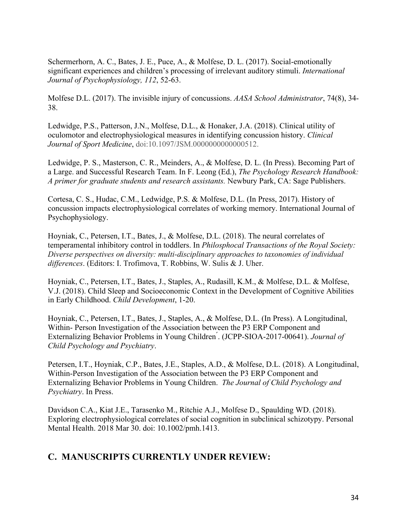Schermerhorn, A. C., Bates, J. E., Puce, A., & Molfese, D. L. (2017). Social-emotionally significant experiences and children's processing of irrelevant auditory stimuli. *International Journal of Psychophysiology, 112*, 52-63.

Molfese D.L. (2017). The invisible injury of concussions. *AASA School Administrator*, 74(8), 34- 38.

Ledwidge, P.S., Patterson, J.N., Molfese, D.L., & Honaker, J.A. (2018). Clinical utility of oculomotor and electrophysiological measures in identifying concussion history. *Clinical Journal of Sport Medicine*, doi:10.1097/JSM.0000000000000512.

Ledwidge, P. S., Masterson, C. R., Meinders, A., & Molfese, D. L. (In Press). Becoming Part of a Large. and Successful Research Team. In F. Leong (Ed.), *The Psychology Research Handbook: A primer for graduate students and research assistants.* Newbury Park, CA: Sage Publishers.

Cortesa, C. S., Hudac, C.M., Ledwidge, P.S. & Molfese, D.L. (In Press, 2017). History of concussion impacts electrophysiological correlates of working memory. International Journal of Psychophysiology.

Hoyniak, C., Petersen, I.T., Bates, J., & Molfese, D.L. (2018). The neural correlates of temperamental inhibitory control in toddlers. In *Philosphocal Transactions of the Royal Society: Diverse perspectives on diversity: multi-disciplinary approaches to taxonomies of individual differences*. (Editors: I. Trofimova, T. Robbins, W. Sulis & J. Uher.

Hoyniak, C., Petersen, I.T., Bates, J., Staples, A., Rudasill, K.M., & Molfese, D.L. & Molfese, V.J. (2018). Child Sleep and Socioeconomic Context in the Development of Cognitive Abilities in Early Childhood. *Child Development*, 1-20.

Hoyniak, C., Petersen, I.T., Bates, J., Staples, A., & Molfese, D.L. (In Press). A Longitudinal, Within- Person Investigation of the Association between the P3 ERP Component and Externalizing Behavior Problems in Young Children ́. (JCPP-SIOA-2017-00641). *Journal of Child Psychology and Psychiatry*.

Petersen, I.T., Hoyniak, C.P., Bates, J.E., Staples, A.D., & Molfese, D.L. (2018). A Longitudinal, Within-Person Investigation of the Association between the P3 ERP Component and Externalizing Behavior Problems in Young Children. *The Journal of Child Psychology and Psychiatry*. In Press.

Davidson C.A., Kiat J.E., Tarasenko M., Ritchie A.J., Molfese D., Spaulding WD. (2018). Exploring electrophysiological correlates of social cognition in subclinical schizotypy. Personal Mental Health. 2018 Mar 30. doi: 10.1002/pmh.1413.

# **C. MANUSCRIPTS CURRENTLY UNDER REVIEW:**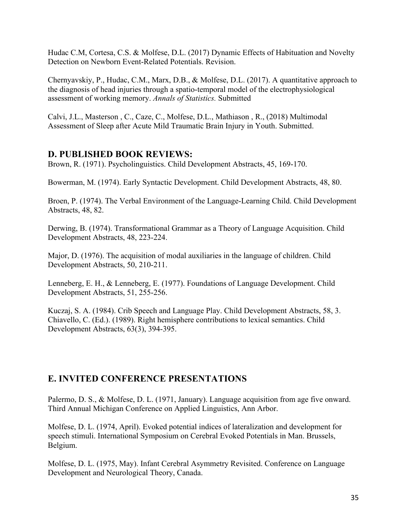Hudac C.M, Cortesa, C.S. & Molfese, D.L. (2017) Dynamic Effects of Habituation and Novelty Detection on Newborn Event-Related Potentials. Revision.

Chernyavskiy, P., Hudac, C.M., Marx, D.B., & Molfese, D.L. (2017). A quantitative approach to the diagnosis of head injuries through a spatio-temporal model of the electrophysiological assessment of working memory. *Annals of Statistics.* Submitted

Calvi, J.L., Masterson , C., Caze, C., Molfese, D.L., Mathiason , R., (2018) Multimodal Assessment of Sleep after Acute Mild Traumatic Brain Injury in Youth. Submitted.

#### **D. PUBLISHED BOOK REVIEWS:**

Brown, R. (1971). Psycholinguistics. Child Development Abstracts, 45, 169-170.

Bowerman, M. (1974). Early Syntactic Development. Child Development Abstracts, 48, 80.

Broen, P. (1974). The Verbal Environment of the Language-Learning Child. Child Development Abstracts, 48, 82.

Derwing, B. (1974). Transformational Grammar as a Theory of Language Acquisition. Child Development Abstracts, 48, 223-224.

Major, D. (1976). The acquisition of modal auxiliaries in the language of children. Child Development Abstracts, 50, 210-211.

Lenneberg, E. H., & Lenneberg, E. (1977). Foundations of Language Development. Child Development Abstracts, 51, 255-256.

Kuczaj, S. A. (1984). Crib Speech and Language Play. Child Development Abstracts, 58, 3. Chiavello, C. (Ed.). (1989). Right hemisphere contributions to lexical semantics. Child Development Abstracts, 63(3), 394-395.

# **E. INVITED CONFERENCE PRESENTATIONS**

Palermo, D. S., & Molfese, D. L. (1971, January). Language acquisition from age five onward. Third Annual Michigan Conference on Applied Linguistics, Ann Arbor.

Molfese, D. L. (1974, April). Evoked potential indices of lateralization and development for speech stimuli. International Symposium on Cerebral Evoked Potentials in Man. Brussels, Belgium.

Molfese, D. L. (1975, May). Infant Cerebral Asymmetry Revisited. Conference on Language Development and Neurological Theory, Canada.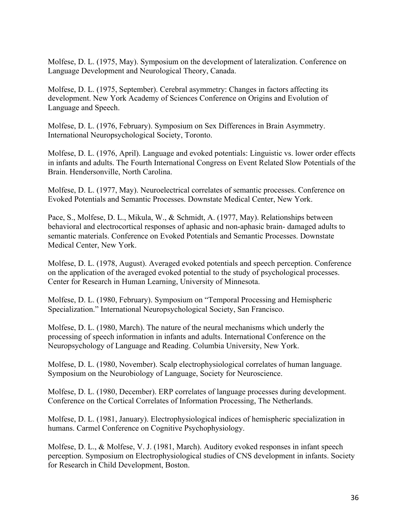Molfese, D. L. (1975, May). Symposium on the development of lateralization. Conference on Language Development and Neurological Theory, Canada.

Molfese, D. L. (1975, September). Cerebral asymmetry: Changes in factors affecting its development. New York Academy of Sciences Conference on Origins and Evolution of Language and Speech.

Molfese, D. L. (1976, February). Symposium on Sex Differences in Brain Asymmetry. International Neuropsychological Society, Toronto.

Molfese, D. L. (1976, April). Language and evoked potentials: Linguistic vs. lower order effects in infants and adults. The Fourth International Congress on Event Related Slow Potentials of the Brain. Hendersonville, North Carolina.

Molfese, D. L. (1977, May). Neuroelectrical correlates of semantic processes. Conference on Evoked Potentials and Semantic Processes. Downstate Medical Center, New York.

Pace, S., Molfese, D. L., Mikula, W., & Schmidt, A. (1977, May). Relationships between behavioral and electrocortical responses of aphasic and non-aphasic brain- damaged adults to semantic materials. Conference on Evoked Potentials and Semantic Processes. Downstate Medical Center, New York.

Molfese, D. L. (1978, August). Averaged evoked potentials and speech perception. Conference on the application of the averaged evoked potential to the study of psychological processes. Center for Research in Human Learning, University of Minnesota.

Molfese, D. L. (1980, February). Symposium on "Temporal Processing and Hemispheric Specialization." International Neuropsychological Society, San Francisco.

Molfese, D. L. (1980, March). The nature of the neural mechanisms which underly the processing of speech information in infants and adults. International Conference on the Neuropsychology of Language and Reading. Columbia University, New York.

Molfese, D. L. (1980, November). Scalp electrophysiological correlates of human language. Symposium on the Neurobiology of Language, Society for Neuroscience.

Molfese, D. L. (1980, December). ERP correlates of language processes during development. Conference on the Cortical Correlates of Information Processing, The Netherlands.

Molfese, D. L. (1981, January). Electrophysiological indices of hemispheric specialization in humans. Carmel Conference on Cognitive Psychophysiology.

Molfese, D. L., & Molfese, V. J. (1981, March). Auditory evoked responses in infant speech perception. Symposium on Electrophysiological studies of CNS development in infants. Society for Research in Child Development, Boston.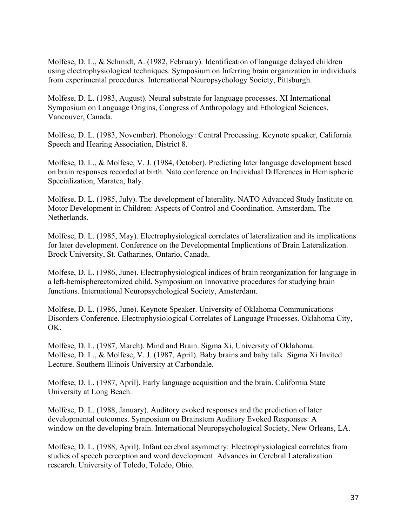Molfese, D. L., & Schmidt, A. (1982, February). Identification of language delayed children using electrophysiological techniques. Symposium on Inferring brain organization in individuals from experimental procedures. International Neuropsychology Society, Pittsburgh.

Molfese, D. L. (1983, August). Neural substrate for language processes. XI International Symposium on Language Origins, Congress of Anthropology and Ethological Sciences, Vancouver, Canada.

Molfese, D. L. (1983, November). Phonology: Central Processing. Keynote speaker, California Speech and Hearing Association, District 8.

Molfese, D. L., & Molfese, V. J. (1984, October). Predicting later language development based on brain responses recorded at birth. Nato conference on Individual Differences in Hemispheric Specialization, Maratea, Italy.

Molfese, D. L. (1985, July). The development of laterality. NATO Advanced Study Institute on Motor Development in Children: Aspects of Control and Coordination. Amsterdam, The Netherlands.

Molfese, D. L. (1985, May). Electrophysiological correlates of lateralization and its implications for later development. Conference on the Developmental Implications of Brain Lateralization. Brock University, St. Catharines, Ontario, Canada.

Molfese, D. L. (1986, June). Electrophysiological indices of brain reorganization for language in a left-hemispherectomized child. Symposium on Innovative procedures for studying brain functions. International Neuropsychological Society, Amsterdam.

Molfese, D. L. (1986, June). Keynote Speaker. University of Oklahoma Communications Disorders Conference. Electrophysiological Correlates of Language Processes. Oklahoma City, OK.

Molfese, D. L. (1987, March). Mind and Brain. Sigma Xi, University of Oklahoma. Molfese, D. L., & Molfese, V. J. (1987, April). Baby brains and baby talk. Sigma Xi Invited Lecture. Southern Illinois University at Carbondale.

Molfese, D. L. (1987, April). Early language acquisition and the brain. California State University at Long Beach.

Molfese, D. L. (1988, January). Auditory evoked responses and the prediction of later developmental outcomes. Symposium on Brainstem Auditory Evoked Responses: A window on the developing brain. International Neuropsychological Society, New Orleans, LA.

Molfese, D. L. (1988, April). Infant cerebral asymmetry: Electrophysiological correlates from studies of speech perception and word development. Advances in Cerebral Lateralization research. University of Toledo, Toledo, Ohio.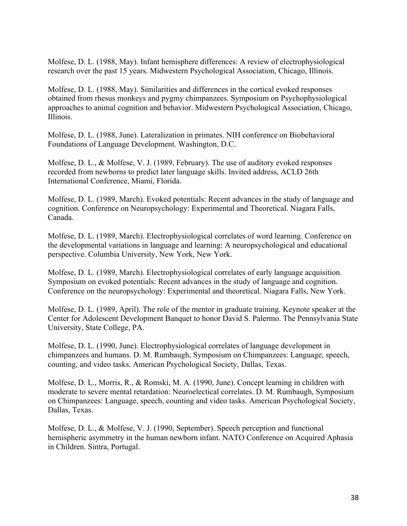Molfese, D. L. (1988, May). Infant hemisphere differences: A review of electrophysiological research over the past 15 years. Midwestern Psychological Association, Chicago, Illinois.

Molfese, D. L. (1988, May). Similarities and differences in the cortical evoked responses obtained from rhesus monkeys and pygmy chimpanzees. Symposium on Psychophysiological approaches to animal cognition and behavior. Midwestern Psychological Association, Chicago, Illinois.

Molfese, D. L. (1988, June). Lateralization in primates. NIH conference on Biobehavioral Foundations of Language Development. Washington, D.C.

Molfese, D. L., & Molfese, V. J. (1989, February). The use of auditory evoked responses recorded from newborns to predict later language skills. Invited address, ACLD 26th International Conference, Miami, Florida.

Molfese, D. L. (1989, March). Evoked potentials: Recent advances in the study of language and cognition. Conference on Neuropsychology: Experimental and Theoretical. Niagara Falls, Canada.

Molfese, D. L. (1989, March). Electrophysiological correlates of word learning. Conference on the developmental variations in language and learning: A neuropsychological and educational perspective. Columbia University, New York, New York.

Molfese, D. L. (1989, March). Electrophysiological correlates of early language acquisition. Symposium on evoked potentials: Recent advances in the study of language and cognition. Conference on the neuropsychology: Experimental and theoretical. Niagara Falls, New York.

Molfese, D. L. (1989, April). The role of the mentor in graduate training. Keynote speaker at the Center for Adolescent Development Banquet to honor David S. Palermo. The Pennsylvania State University, State College, PA.

Molfese, D. L. (1990, June). Electrophysiological correlates of language development in chimpanzees and humans. D. M. Rumbaugh, Symposium on Chimpanzees: Language, speech, counting, and video tasks. American Psychological Society, Dallas, Texas.

Molfese, D. L., Morris, R., & Romski, M. A. (1990, June). Concept learning in children with moderate to severe mental retardation: Neuroelectical correlates. D. M. Rumbaugh, Symposium on Chimpanzees: Language, speech, counting and video tasks. American Psychological Society, Dallas, Texas.

Molfese, D. L., & Molfese, V. J. (1990, September). Speech perception and functional hemispheric asymmetry in the human newborn infant. NATO Conference on Acquired Aphasia in Children. Sintra, Portugal.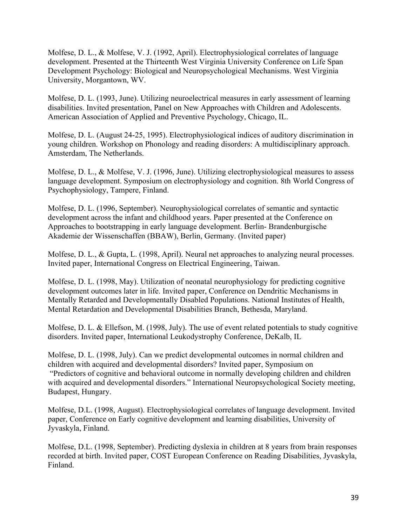Molfese, D. L., & Molfese, V. J. (1992, April). Electrophysiological correlates of language development. Presented at the Thirteenth West Virginia University Conference on Life Span Development Psychology: Biological and Neuropsychological Mechanisms. West Virginia University, Morgantown, WV.

Molfese, D. L. (1993, June). Utilizing neuroelectrical measures in early assessment of learning disabilities. Invited presentation, Panel on New Approaches with Children and Adolescents. American Association of Applied and Preventive Psychology, Chicago, IL.

Molfese, D. L. (August 24-25, 1995). Electrophysiological indices of auditory discrimination in young children. Workshop on Phonology and reading disorders: A multidisciplinary approach. Amsterdam, The Netherlands.

Molfese, D. L., & Molfese, V. J. (1996, June). Utilizing electrophysiological measures to assess language development. Symposium on electrophysiology and cognition. 8th World Congress of Psychophysiology, Tampere, Finland.

Molfese, D. L. (1996, September). Neurophysiological correlates of semantic and syntactic development across the infant and childhood years. Paper presented at the Conference on Approaches to bootstrapping in early language development. Berlin- Brandenburgische Akademie der Wissenschaffen (BBAW), Berlin, Germany. (Invited paper)

Molfese, D. L., & Gupta, L. (1998, April). Neural net approaches to analyzing neural processes. Invited paper, International Congress on Electrical Engineering, Taiwan.

Molfese, D. L. (1998, May). Utilization of neonatal neurophysiology for predicting cognitive development outcomes later in life. Invited paper, Conference on Dendritic Mechanisms in Mentally Retarded and Developmentally Disabled Populations. National Institutes of Health, Mental Retardation and Developmental Disabilities Branch, Bethesda, Maryland.

Molfese, D. L. & Ellefson, M. (1998, July). The use of event related potentials to study cognitive disorders. Invited paper, International Leukodystrophy Conference, DeKalb, IL

Molfese, D. L. (1998, July). Can we predict developmental outcomes in normal children and children with acquired and developmental disorders? Invited paper, Symposium on

"Predictors of cognitive and behavioral outcome in normally developing children and children with acquired and developmental disorders." International Neuropsychological Society meeting, Budapest, Hungary.

Molfese, D.L. (1998, August). Electrophysiological correlates of language development. Invited paper, Conference on Early cognitive development and learning disabilities, University of Jyvaskyla, Finland.

Molfese, D.L. (1998, September). Predicting dyslexia in children at 8 years from brain responses recorded at birth. Invited paper, COST European Conference on Reading Disabilities, Jyvaskyla, Finland.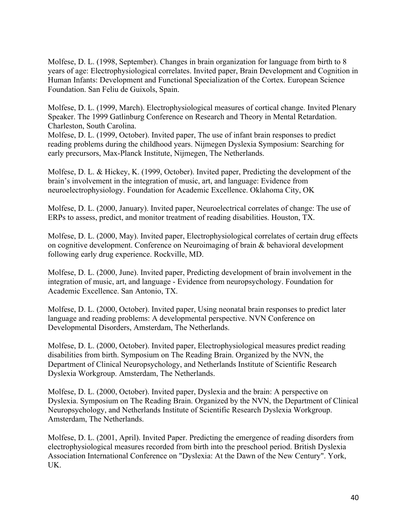Molfese, D. L. (1998, September). Changes in brain organization for language from birth to 8 years of age: Electrophysiological correlates. Invited paper, Brain Development and Cognition in Human Infants: Development and Functional Specialization of the Cortex. European Science Foundation. San Feliu de Guixols, Spain.

Molfese, D. L. (1999, March). Electrophysiological measures of cortical change. Invited Plenary Speaker. The 1999 Gatlinburg Conference on Research and Theory in Mental Retardation. Charleston, South Carolina.

Molfese, D. L. (1999, October). Invited paper, The use of infant brain responses to predict reading problems during the childhood years. Nijmegen Dyslexia Symposium: Searching for early precursors, Max-Planck Institute, Nijmegen, The Netherlands.

Molfese, D. L. & Hickey, K. (1999, October). Invited paper, Predicting the development of the brain's involvement in the integration of music, art, and language: Evidence from neuroelectrophysiology. Foundation for Academic Excellence. Oklahoma City, OK

Molfese, D. L. (2000, January). Invited paper, Neuroelectrical correlates of change: The use of ERPs to assess, predict, and monitor treatment of reading disabilities. Houston, TX.

Molfese, D. L. (2000, May). Invited paper, Electrophysiological correlates of certain drug effects on cognitive development. Conference on Neuroimaging of brain & behavioral development following early drug experience. Rockville, MD.

Molfese, D. L. (2000, June). Invited paper, Predicting development of brain involvement in the integration of music, art, and language - Evidence from neuropsychology. Foundation for Academic Excellence. San Antonio, TX.

Molfese, D. L. (2000, October). Invited paper, Using neonatal brain responses to predict later language and reading problems: A developmental perspective. NVN Conference on Developmental Disorders, Amsterdam, The Netherlands.

Molfese, D. L. (2000, October). Invited paper, Electrophysiological measures predict reading disabilities from birth. Symposium on The Reading Brain. Organized by the NVN, the Department of Clinical Neuropsychology, and Netherlands Institute of Scientific Research Dyslexia Workgroup. Amsterdam, The Netherlands.

Molfese, D. L. (2000, October). Invited paper, Dyslexia and the brain: A perspective on Dyslexia. Symposium on The Reading Brain. Organized by the NVN, the Department of Clinical Neuropsychology, and Netherlands Institute of Scientific Research Dyslexia Workgroup. Amsterdam, The Netherlands.

Molfese, D. L. (2001, April). Invited Paper. Predicting the emergence of reading disorders from electrophysiological measures recorded from birth into the preschool period. British Dyslexia Association International Conference on "Dyslexia: At the Dawn of the New Century". York, UK.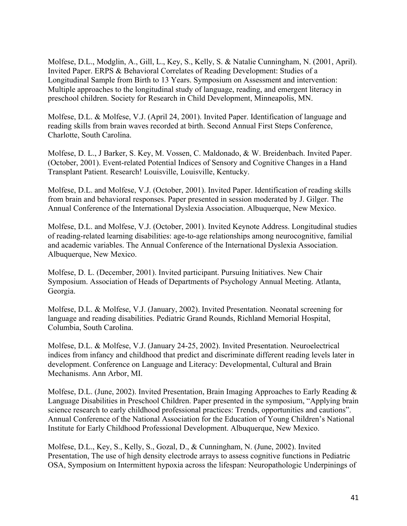Molfese, D.L., Modglin, A., Gill, L., Key, S., Kelly, S. & Natalie Cunningham, N. (2001, April). Invited Paper. ERPS & Behavioral Correlates of Reading Development: Studies of a Longitudinal Sample from Birth to 13 Years. Symposium on Assessment and intervention: Multiple approaches to the longitudinal study of language, reading, and emergent literacy in preschool children. Society for Research in Child Development, Minneapolis, MN.

Molfese, D.L. & Molfese, V.J. (April 24, 2001). Invited Paper. Identification of language and reading skills from brain waves recorded at birth. Second Annual First Steps Conference, Charlotte, South Carolina.

Molfese, D. L., J Barker, S. Key, M. Vossen, C. Maldonado, & W. Breidenbach. Invited Paper. (October, 2001). Event-related Potential Indices of Sensory and Cognitive Changes in a Hand Transplant Patient. Research! Louisville, Louisville, Kentucky.

Molfese, D.L. and Molfese, V.J. (October, 2001). Invited Paper. Identification of reading skills from brain and behavioral responses. Paper presented in session moderated by J. Gilger. The Annual Conference of the International Dyslexia Association. Albuquerque, New Mexico.

Molfese, D.L. and Molfese, V.J. (October, 2001). Invited Keynote Address. Longitudinal studies of reading-related learning disabilities: age-to-age relationships among neurocognitive, familial and academic variables. The Annual Conference of the International Dyslexia Association. Albuquerque, New Mexico.

Molfese, D. L. (December, 2001). Invited participant. Pursuing Initiatives. New Chair Symposium. Association of Heads of Departments of Psychology Annual Meeting. Atlanta, Georgia.

Molfese, D.L. & Molfese, V.J. (January, 2002). Invited Presentation. Neonatal screening for language and reading disabilities. Pediatric Grand Rounds, Richland Memorial Hospital, Columbia, South Carolina.

Molfese, D.L. & Molfese, V.J. (January 24-25, 2002). Invited Presentation. Neuroelectrical indices from infancy and childhood that predict and discriminate different reading levels later in development. Conference on Language and Literacy: Developmental, Cultural and Brain Mechanisms. Ann Arbor, MI.

Molfese, D.L. (June, 2002). Invited Presentation, Brain Imaging Approaches to Early Reading & Language Disabilities in Preschool Children. Paper presented in the symposium, "Applying brain science research to early childhood professional practices: Trends, opportunities and cautions". Annual Conference of the National Association for the Education of Young Children's National Institute for Early Childhood Professional Development. Albuquerque, New Mexico.

Molfese, D.L., Key, S., Kelly, S., Gozal, D., & Cunningham, N. (June, 2002). Invited Presentation, The use of high density electrode arrays to assess cognitive functions in Pediatric OSA, Symposium on Intermittent hypoxia across the lifespan: Neuropathologic Underpinings of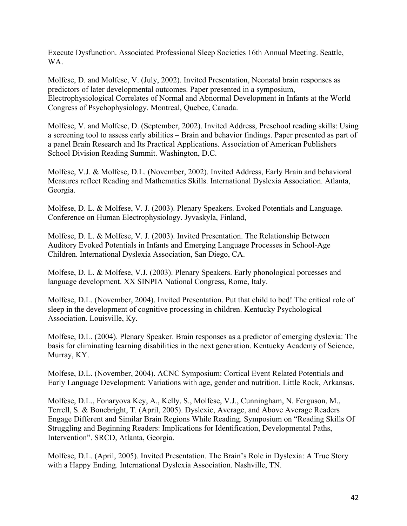Execute Dysfunction. Associated Professional Sleep Societies 16th Annual Meeting. Seattle, WA.

Molfese, D. and Molfese, V. (July, 2002). Invited Presentation, Neonatal brain responses as predictors of later developmental outcomes. Paper presented in a symposium, Electrophysiological Correlates of Normal and Abnormal Development in Infants at the World Congress of Psychophysiology. Montreal, Quebec, Canada.

Molfese, V. and Molfese, D. (September, 2002). Invited Address, Preschool reading skills: Using a screening tool to assess early abilities – Brain and behavior findings. Paper presented as part of a panel Brain Research and Its Practical Applications. Association of American Publishers School Division Reading Summit. Washington, D.C.

Molfese, V.J. & Molfese, D.L. (November, 2002). Invited Address, Early Brain and behavioral Measures reflect Reading and Mathematics Skills. International Dyslexia Association. Atlanta, Georgia.

Molfese, D. L. & Molfese, V. J. (2003). Plenary Speakers. Evoked Potentials and Language. Conference on Human Electrophysiology. Jyvaskyla, Finland,

Molfese, D. L. & Molfese, V. J. (2003). Invited Presentation. The Relationship Between Auditory Evoked Potentials in Infants and Emerging Language Processes in School-Age Children. International Dyslexia Association, San Diego, CA.

Molfese, D. L. & Molfese, V.J. (2003). Plenary Speakers. Early phonological porcesses and language development. XX SINPIA National Congress, Rome, Italy.

Molfese, D.L. (November, 2004). Invited Presentation. Put that child to bed! The critical role of sleep in the development of cognitive processing in children. Kentucky Psychological Association. Louisville, Ky.

Molfese, D.L. (2004). Plenary Speaker. Brain responses as a predictor of emerging dyslexia: The basis for eliminating learning disabilities in the next generation. Kentucky Academy of Science, Murray, KY.

Molfese, D.L. (November, 2004). ACNC Symposium: Cortical Event Related Potentials and Early Language Development: Variations with age, gender and nutrition. Little Rock, Arkansas.

Molfese, D.L., Fonaryova Key, A., Kelly, S., Molfese, V.J., Cunningham, N. Ferguson, M., Terrell, S. & Bonebright, T. (April, 2005). Dyslexic, Average, and Above Average Readers Engage Different and Similar Brain Regions While Reading. Symposium on "Reading Skills Of Struggling and Beginning Readers: Implications for Identification, Developmental Paths, Intervention". SRCD, Atlanta, Georgia.

Molfese, D.L. (April, 2005). Invited Presentation. The Brain's Role in Dyslexia: A True Story with a Happy Ending. International Dyslexia Association. Nashville, TN.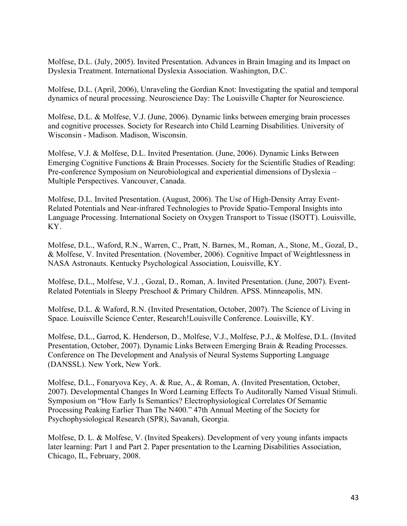Molfese, D.L. (July, 2005). Invited Presentation. Advances in Brain Imaging and its Impact on Dyslexia Treatment. International Dyslexia Association. Washington, D.C.

Molfese, D.L. (April, 2006), Unraveling the Gordian Knot: Investigating the spatial and temporal dynamics of neural processing. Neuroscience Day: The Louisville Chapter for Neuroscience.

Molfese, D.L. & Molfese, V.J. (June, 2006). Dynamic links between emerging brain processes and cognitive processes. Society for Research into Child Learning Disabilities. University of Wisconsin - Madison. Madison, Wisconsin.

Molfese, V.J. & Molfese, D.L. Invited Presentation. (June, 2006). Dynamic Links Between Emerging Cognitive Functions & Brain Processes. Society for the Scientific Studies of Reading: Pre-conference Symposium on Neurobiological and experiential dimensions of Dyslexia – Multiple Perspectives. Vancouver, Canada.

Molfese, D.L. Invited Presentation. (August, 2006). The Use of High-Density Array Event-Related Potentials and Near-infrared Technologies to Provide Spatio-Temporal Insights into Language Processing. International Society on Oxygen Transport to Tissue (ISOTT). Louisville, KY.

Molfese, D.L., Waford, R.N., Warren, C., Pratt, N. Barnes, M., Roman, A., Stone, M., Gozal, D., & Molfese, V. Invited Presentation. (November, 2006). Cognitive Impact of Weightlessness in NASA Astronauts. Kentucky Psychological Association, Louisville, KY.

Molfese, D.L., Molfese, V.J. , Gozal, D., Roman, A. Invited Presentation. (June, 2007). Event-Related Potentials in Sleepy Preschool & Primary Children. APSS. Minneapolis, MN.

Molfese, D.L. & Waford, R.N. (Invited Presentation, October, 2007). The Science of Living in Space. Louisville Science Center, Research!Louisville Conference. Louisville, KY.

Molfese, D.L., Garrod, K. Henderson, D., Molfese, V.J., Molfese, P.J., & Molfese, D.L. (Invited Presentation, October, 2007). Dynamic Links Between Emerging Brain & Reading Processes. Conference on The Development and Analysis of Neural Systems Supporting Language (DANSSL). New York, New York.

Molfese, D.L., Fonaryova Key, A. & Rue, A., & Roman, A. (Invited Presentation, October, 2007). Developmental Changes In Word Learning Effects To Auditorally Named Visual Stimuli. Symposium on "How Early Is Semantics? Electrophysiological Correlates Of Semantic Processing Peaking Earlier Than The N400." 47th Annual Meeting of the Society for Psychophysiological Research (SPR), Savanah, Georgia.

Molfese, D. L. & Molfese, V. (Invited Speakers). Development of very young infants impacts later learning: Part 1 and Part 2. Paper presentation to the Learning Disabilities Association, Chicago, IL, February, 2008.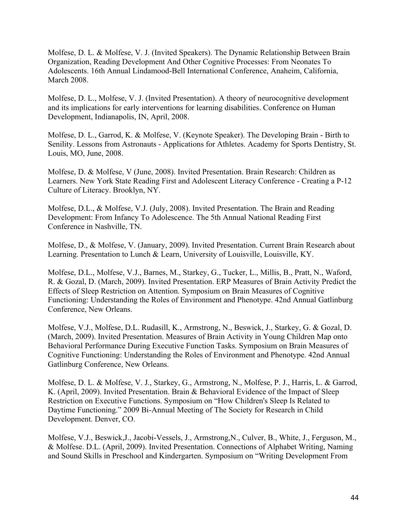Molfese, D. L. & Molfese, V. J. (Invited Speakers). The Dynamic Relationship Between Brain Organization, Reading Development And Other Cognitive Processes: From Neonates To Adolescents. 16th Annual Lindamood-Bell International Conference, Anaheim, California, March 2008.

Molfese, D. L., Molfese, V. J. (Invited Presentation). A theory of neurocognitive development and its implications for early interventions for learning disabilities. Conference on Human Development, Indianapolis, IN, April, 2008.

Molfese, D. L., Garrod, K. & Molfese, V. (Keynote Speaker). The Developing Brain - Birth to Senility. Lessons from Astronauts - Applications for Athletes. Academy for Sports Dentistry, St. Louis, MO, June, 2008.

Molfese, D. & Molfese, V (June, 2008). Invited Presentation. Brain Research: Children as Learners. New York State Reading First and Adolescent Literacy Conference - Creating a P-12 Culture of Literacy. Brooklyn, NY.

Molfese, D.L., & Molfese, V.J. (July, 2008). Invited Presentation. The Brain and Reading Development: From Infancy To Adolescence. The 5th Annual National Reading First Conference in Nashville, TN.

Molfese, D., & Molfese, V. (January, 2009). Invited Presentation. Current Brain Research about Learning. Presentation to Lunch & Learn, University of Louisville, Louisville, KY.

Molfese, D.L., Molfese, V.J., Barnes, M., Starkey, G., Tucker, L., Millis, B., Pratt, N., Waford, R. & Gozal, D. (March, 2009). Invited Presentation. ERP Measures of Brain Activity Predict the Effects of Sleep Restriction on Attention. Symposium on Brain Measures of Cognitive Functioning: Understanding the Roles of Environment and Phenotype. 42nd Annual Gatlinburg Conference, New Orleans.

Molfese, V.J., Molfese, D.L. Rudasill, K., Armstrong, N., Beswick, J., Starkey, G. & Gozal, D. (March, 2009). Invited Presentation. Measures of Brain Activity in Young Children Map onto Behavioral Performance During Executive Function Tasks. Symposium on Brain Measures of Cognitive Functioning: Understanding the Roles of Environment and Phenotype. 42nd Annual Gatlinburg Conference, New Orleans.

Molfese, D. L. & Molfese, V. J., Starkey, G., Armstrong, N., Molfese, P. J., Harris, L. & Garrod, K. (April, 2009). Invited Presentation. Brain & Behavioral Evidence of the Impact of Sleep Restriction on Executive Functions. Symposium on "How Children's Sleep Is Related to Daytime Functioning." 2009 Bi-Annual Meeting of The Society for Research in Child Development. Denver, CO.

Molfese, V.J., Beswick,J., Jacobi-Vessels, J., Armstrong,N., Culver, B., White, J., Ferguson, M., & Molfese. D.L. (April, 2009). Invited Presentation. Connections of Alphabet Writing, Naming and Sound Skills in Preschool and Kindergarten. Symposium on "Writing Development From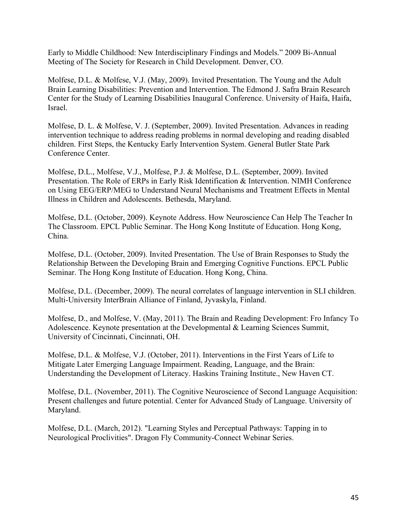Early to Middle Childhood: New Interdisciplinary Findings and Models." 2009 Bi-Annual Meeting of The Society for Research in Child Development. Denver, CO.

Molfese, D.L. & Molfese, V.J. (May, 2009). Invited Presentation. The Young and the Adult Brain Learning Disabilities: Prevention and Intervention. The Edmond J. Safra Brain Research Center for the Study of Learning Disabilities Inaugural Conference. University of Haifa, Haifa, Israel.

Molfese, D. L. & Molfese, V. J. (September, 2009). Invited Presentation. Advances in reading intervention technique to address reading problems in normal developing and reading disabled children. First Steps, the Kentucky Early Intervention System. General Butler State Park Conference Center.

Molfese, D.L., Molfese, V.J., Molfese, P.J. & Molfese, D.L. (September, 2009). Invited Presentation. The Role of ERPs in Early Risk Identification & Intervention. NIMH Conference on Using EEG/ERP/MEG to Understand Neural Mechanisms and Treatment Effects in Mental Illness in Children and Adolescents. Bethesda, Maryland.

Molfese, D.L. (October, 2009). Keynote Address. How Neuroscience Can Help The Teacher In The Classroom. EPCL Public Seminar. The Hong Kong Institute of Education. Hong Kong, China.

Molfese, D.L. (October, 2009). Invited Presentation. The Use of Brain Responses to Study the Relationship Between the Developing Brain and Emerging Cognitive Functions. EPCL Public Seminar. The Hong Kong Institute of Education. Hong Kong, China.

Molfese, D.L. (December, 2009). The neural correlates of language intervention in SLI children. Multi-University InterBrain Alliance of Finland, Jyvaskyla, Finland.

Molfese, D., and Molfese, V. (May, 2011). The Brain and Reading Development: Fro Infancy To Adolescence. Keynote presentation at the Developmental & Learning Sciences Summit, University of Cincinnati, Cincinnati, OH.

Molfese, D.L. & Molfese, V.J. (October, 2011). Interventions in the First Years of Life to Mitigate Later Emerging Language Impairment. Reading, Language, and the Brain: Understanding the Development of Literacy. Haskins Training Institute., New Haven CT.

Molfese, D.L. (November, 2011). The Cognitive Neuroscience of Second Language Acquisition: Present challenges and future potential. Center for Advanced Study of Language. University of Maryland.

Molfese, D.L. (March, 2012). "Learning Styles and Perceptual Pathways: Tapping in to Neurological Proclivities". Dragon Fly Community-Connect Webinar Series.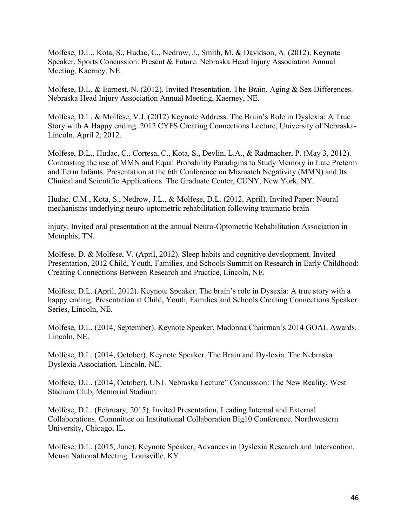Molfese, D.L., Kota, S., Hudac, C., Nedrow, J., Smith, M. & Davidson, A. (2012). Keynote Speaker. Sports Concussion: Present & Future. Nebraska Head Injury Association Annual Meeting, Kaerney, NE.

Molfese, D.L. & Earnest, N. (2012). Invited Presentation. The Brain, Aging & Sex Differences. Nebraska Head Injury Association Annual Meeting, Kaerney, NE.

Molfese, D.L. & Molfese, V.J. (2012) Keynote Address. The Brain's Role in Dyslexia: A True Story with A Happy ending. 2012 CYFS Creating Connections Lecture, University of Nebraska-Lincoln. April 2, 2012.

Molfese, D.L., Hudac, C., Cortesa, C., Kota, S., Devlin, L.A., & Radmacher, P. (May 3, 2012). Contrasting the use of MMN and Equal Probability Paradigms to Study Memory in Late Preterm and Term Infants. Presentation at the 6th Conference on Mismatch Negativity (MMN) and Its Clinical and Scientific Applications. The Graduate Center, CUNY, New York, NY.

Hudac, C.M., Kota, S., Nedrow, J.L., & Molfese, D.L. (2012, April). Invited Paper: Neural mechanisms underlying neuro-optometric rehabilitation following traumatic brain

injury. Invited oral presentation at the annual Neuro-Optometric Rehabilitation Association in Memphis, TN.

Molfese, D. & Molfese, V. (April, 2012). Sleep habits and cognitive development. Invited Presentation, 2012 Child, Youth, Families, and Schools Summit on Research in Early Childhood: Creating Connections Between Research and Practice, Lincoln, NE.

Molfese, D.L. (April, 2012). Keynote Speaker. The brain's role in Dysexia: A true story with a happy ending. Presentation at Child, Youth, Families and Schools Creating Connections Speaker Series, Lincoln, NE.

Molfese, D.L. (2014, September). Keynote Speaker. Madonna Chairman's 2014 GOAL Awards. Lincoln, NE.

Molfese, D.L. (2014, October). Keynote Speaker. The Brain and Dyslexia. The Nebraska Dyslexia Association. Lincoln, NE.

Molfese, D.L. (2014, October). UNL Nebraska Lecture" Concussion: The New Reality. West Stadium Club, Memorial Stadium.

Molfese, D.L. (February, 2015). Invited Presentation, Leading Internal and External Collaborations. Committee on Institutional Collaboration Big10 Conference. Northwestern University, Chicago, IL.

Molfese, D.L. (2015, June). Keynote Speaker, Advances in Dyslexia Research and Intervention. Mensa National Meeting. Louisville, KY.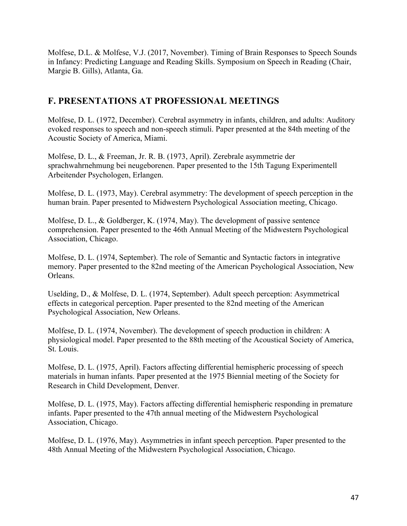Molfese, D.L. & Molfese, V.J. (2017, November). Timing of Brain Responses to Speech Sounds in Infancy: Predicting Language and Reading Skills. Symposium on Speech in Reading (Chair, Margie B. Gills), Atlanta, Ga.

## **F. PRESENTATIONS AT PROFESSIONAL MEETINGS**

Molfese, D. L. (1972, December). Cerebral asymmetry in infants, children, and adults: Auditory evoked responses to speech and non-speech stimuli. Paper presented at the 84th meeting of the Acoustic Society of America, Miami.

Molfese, D. L., & Freeman, Jr. R. B. (1973, April). Zerebrale asymmetrie der sprachwahrnehmung bei neugeborenen. Paper presented to the 15th Tagung Experimentell Arbeitender Psychologen, Erlangen.

Molfese, D. L. (1973, May). Cerebral asymmetry: The development of speech perception in the human brain. Paper presented to Midwestern Psychological Association meeting, Chicago.

Molfese, D. L., & Goldberger, K. (1974, May). The development of passive sentence comprehension. Paper presented to the 46th Annual Meeting of the Midwestern Psychological Association, Chicago.

Molfese, D. L. (1974, September). The role of Semantic and Syntactic factors in integrative memory. Paper presented to the 82nd meeting of the American Psychological Association, New Orleans.

Uselding, D., & Molfese, D. L. (1974, September). Adult speech perception: Asymmetrical effects in categorical perception. Paper presented to the 82nd meeting of the American Psychological Association, New Orleans.

Molfese, D. L. (1974, November). The development of speech production in children: A physiological model. Paper presented to the 88th meeting of the Acoustical Society of America, St. Louis.

Molfese, D. L. (1975, April). Factors affecting differential hemispheric processing of speech materials in human infants. Paper presented at the 1975 Biennial meeting of the Society for Research in Child Development, Denver.

Molfese, D. L. (1975, May). Factors affecting differential hemispheric responding in premature infants. Paper presented to the 47th annual meeting of the Midwestern Psychological Association, Chicago.

Molfese, D. L. (1976, May). Asymmetries in infant speech perception. Paper presented to the 48th Annual Meeting of the Midwestern Psychological Association, Chicago.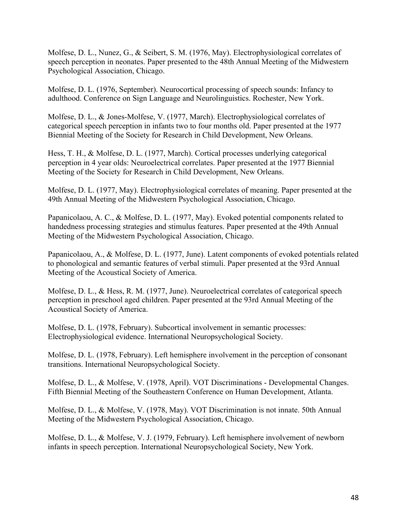Molfese, D. L., Nunez, G., & Seibert, S. M. (1976, May). Electrophysiological correlates of speech perception in neonates. Paper presented to the 48th Annual Meeting of the Midwestern Psychological Association, Chicago.

Molfese, D. L. (1976, September). Neurocortical processing of speech sounds: Infancy to adulthood. Conference on Sign Language and Neurolinguistics. Rochester, New York.

Molfese, D. L., & Jones-Molfese, V. (1977, March). Electrophysiological correlates of categorical speech perception in infants two to four months old. Paper presented at the 1977 Biennial Meeting of the Society for Research in Child Development, New Orleans.

Hess, T. H., & Molfese, D. L. (1977, March). Cortical processes underlying categorical perception in 4 year olds: Neuroelectrical correlates. Paper presented at the 1977 Biennial Meeting of the Society for Research in Child Development, New Orleans.

Molfese, D. L. (1977, May). Electrophysiological correlates of meaning. Paper presented at the 49th Annual Meeting of the Midwestern Psychological Association, Chicago.

Papanicolaou, A. C., & Molfese, D. L. (1977, May). Evoked potential components related to handedness processing strategies and stimulus features. Paper presented at the 49th Annual Meeting of the Midwestern Psychological Association, Chicago.

Papanicolaou, A., & Molfese, D. L. (1977, June). Latent components of evoked potentials related to phonological and semantic features of verbal stimuli. Paper presented at the 93rd Annual Meeting of the Acoustical Society of America.

Molfese, D. L., & Hess, R. M. (1977, June). Neuroelectrical correlates of categorical speech perception in preschool aged children. Paper presented at the 93rd Annual Meeting of the Acoustical Society of America.

Molfese, D. L. (1978, February). Subcortical involvement in semantic processes: Electrophysiological evidence. International Neuropsychological Society.

Molfese, D. L. (1978, February). Left hemisphere involvement in the perception of consonant transitions. International Neuropsychological Society.

Molfese, D. L., & Molfese, V. (1978, April). VOT Discriminations - Developmental Changes. Fifth Biennial Meeting of the Southeastern Conference on Human Development, Atlanta.

Molfese, D. L., & Molfese, V. (1978, May). VOT Discrimination is not innate. 50th Annual Meeting of the Midwestern Psychological Association, Chicago.

Molfese, D. L., & Molfese, V. J. (1979, February). Left hemisphere involvement of newborn infants in speech perception. International Neuropsychological Society, New York.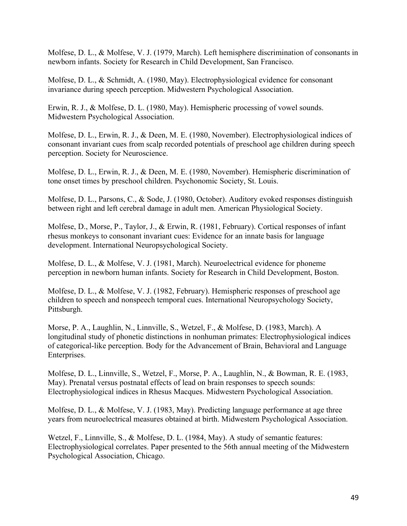Molfese, D. L., & Molfese, V. J. (1979, March). Left hemisphere discrimination of consonants in newborn infants. Society for Research in Child Development, San Francisco.

Molfese, D. L., & Schmidt, A. (1980, May). Electrophysiological evidence for consonant invariance during speech perception. Midwestern Psychological Association.

Erwin, R. J., & Molfese, D. L. (1980, May). Hemispheric processing of vowel sounds. Midwestern Psychological Association.

Molfese, D. L., Erwin, R. J., & Deen, M. E. (1980, November). Electrophysiological indices of consonant invariant cues from scalp recorded potentials of preschool age children during speech perception. Society for Neuroscience.

Molfese, D. L., Erwin, R. J., & Deen, M. E. (1980, November). Hemispheric discrimination of tone onset times by preschool children. Psychonomic Society, St. Louis.

Molfese, D. L., Parsons, C., & Sode, J. (1980, October). Auditory evoked responses distinguish between right and left cerebral damage in adult men. American Physiological Society.

Molfese, D., Morse, P., Taylor, J., & Erwin, R. (1981, February). Cortical responses of infant rhesus monkeys to consonant invariant cues: Evidence for an innate basis for language development. International Neuropsychological Society.

Molfese, D. L., & Molfese, V. J. (1981, March). Neuroelectrical evidence for phoneme perception in newborn human infants. Society for Research in Child Development, Boston.

Molfese, D. L., & Molfese, V. J. (1982, February). Hemispheric responses of preschool age children to speech and nonspeech temporal cues. International Neuropsychology Society, Pittsburgh.

Morse, P. A., Laughlin, N., Linnville, S., Wetzel, F., & Molfese, D. (1983, March). A longitudinal study of phonetic distinctions in nonhuman primates: Electrophysiological indices of categorical-like perception. Body for the Advancement of Brain, Behavioral and Language Enterprises.

Molfese, D. L., Linnville, S., Wetzel, F., Morse, P. A., Laughlin, N., & Bowman, R. E. (1983, May). Prenatal versus postnatal effects of lead on brain responses to speech sounds: Electrophysiological indices in Rhesus Macques. Midwestern Psychological Association.

Molfese, D. L., & Molfese, V. J. (1983, May). Predicting language performance at age three years from neuroelectrical measures obtained at birth. Midwestern Psychological Association.

Wetzel, F., Linnville, S., & Molfese, D. L. (1984, May). A study of semantic features: Electrophysiological correlates. Paper presented to the 56th annual meeting of the Midwestern Psychological Association, Chicago.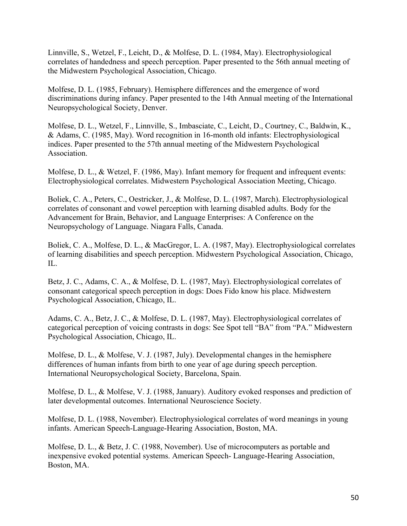Linnville, S., Wetzel, F., Leicht, D., & Molfese, D. L. (1984, May). Electrophysiological correlates of handedness and speech perception. Paper presented to the 56th annual meeting of the Midwestern Psychological Association, Chicago.

Molfese, D. L. (1985, February). Hemisphere differences and the emergence of word discriminations during infancy. Paper presented to the 14th Annual meeting of the International Neuropsychological Society, Denver.

Molfese, D. L., Wetzel, F., Linnville, S., Imbasciate, C., Leicht, D., Courtney, C., Baldwin, K., & Adams, C. (1985, May). Word recognition in 16-month old infants: Electrophysiological indices. Paper presented to the 57th annual meeting of the Midwestern Psychological Association.

Molfese, D. L., & Wetzel, F. (1986, May). Infant memory for frequent and infrequent events: Electrophysiological correlates. Midwestern Psychological Association Meeting, Chicago.

Boliek, C. A., Peters, C., Oestricker, J., & Molfese, D. L. (1987, March). Electrophysiological correlates of consonant and vowel perception with learning disabled adults. Body for the Advancement for Brain, Behavior, and Language Enterprises: A Conference on the Neuropsychology of Language. Niagara Falls, Canada.

Boliek, C. A., Molfese, D. L., & MacGregor, L. A. (1987, May). Electrophysiological correlates of learning disabilities and speech perception. Midwestern Psychological Association, Chicago, IL.

Betz, J. C., Adams, C. A., & Molfese, D. L. (1987, May). Electrophysiological correlates of consonant categorical speech perception in dogs: Does Fido know his place. Midwestern Psychological Association, Chicago, IL.

Adams, C. A., Betz, J. C., & Molfese, D. L. (1987, May). Electrophysiological correlates of categorical perception of voicing contrasts in dogs: See Spot tell "BA" from "PA." Midwestern Psychological Association, Chicago, IL.

Molfese, D. L., & Molfese, V. J. (1987, July). Developmental changes in the hemisphere differences of human infants from birth to one year of age during speech perception. International Neuropsychological Society, Barcelona, Spain.

Molfese, D. L., & Molfese, V. J. (1988, January). Auditory evoked responses and prediction of later developmental outcomes. International Neuroscience Society.

Molfese, D. L. (1988, November). Electrophysiological correlates of word meanings in young infants. American Speech-Language-Hearing Association, Boston, MA.

Molfese, D. L., & Betz, J. C. (1988, November). Use of microcomputers as portable and inexpensive evoked potential systems. American Speech- Language-Hearing Association, Boston, MA.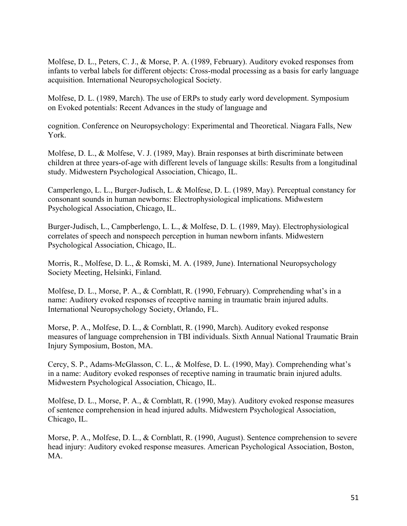Molfese, D. L., Peters, C. J., & Morse, P. A. (1989, February). Auditory evoked responses from infants to verbal labels for different objects: Cross-modal processing as a basis for early language acquisition. International Neuropsychological Society.

Molfese, D. L. (1989, March). The use of ERPs to study early word development. Symposium on Evoked potentials: Recent Advances in the study of language and

cognition. Conference on Neuropsychology: Experimental and Theoretical. Niagara Falls, New York.

Molfese, D. L., & Molfese, V. J. (1989, May). Brain responses at birth discriminate between children at three years-of-age with different levels of language skills: Results from a longitudinal study. Midwestern Psychological Association, Chicago, IL.

Camperlengo, L. L., Burger-Judisch, L. & Molfese, D. L. (1989, May). Perceptual constancy for consonant sounds in human newborns: Electrophysiological implications. Midwestern Psychological Association, Chicago, IL.

Burger-Judisch, L., Campberlengo, L. L., & Molfese, D. L. (1989, May). Electrophysiological correlates of speech and nonspeech perception in human newborn infants. Midwestern Psychological Association, Chicago, IL.

Morris, R., Molfese, D. L., & Romski, M. A. (1989, June). International Neuropsychology Society Meeting, Helsinki, Finland.

Molfese, D. L., Morse, P. A., & Cornblatt, R. (1990, February). Comprehending what's in a name: Auditory evoked responses of receptive naming in traumatic brain injured adults. International Neuropsychology Society, Orlando, FL.

Morse, P. A., Molfese, D. L., & Cornblatt, R. (1990, March). Auditory evoked response measures of language comprehension in TBI individuals. Sixth Annual National Traumatic Brain Injury Symposium, Boston, MA.

Cercy, S. P., Adams-McGlasson, C. L., & Molfese, D. L. (1990, May). Comprehending what's in a name: Auditory evoked responses of receptive naming in traumatic brain injured adults. Midwestern Psychological Association, Chicago, IL.

Molfese, D. L., Morse, P. A., & Cornblatt, R. (1990, May). Auditory evoked response measures of sentence comprehension in head injured adults. Midwestern Psychological Association, Chicago, IL.

Morse, P. A., Molfese, D. L., & Cornblatt, R. (1990, August). Sentence comprehension to severe head injury: Auditory evoked response measures. American Psychological Association, Boston, MA.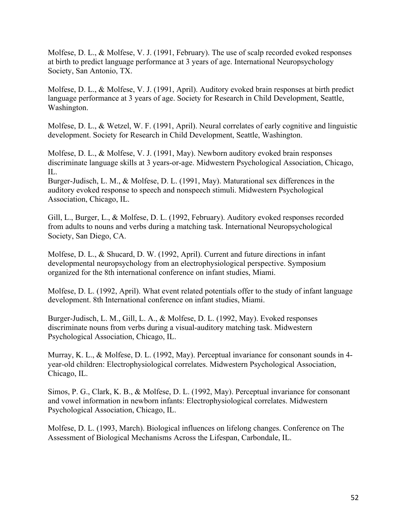Molfese, D. L., & Molfese, V. J. (1991, February). The use of scalp recorded evoked responses at birth to predict language performance at 3 years of age. International Neuropsychology Society, San Antonio, TX.

Molfese, D. L., & Molfese, V. J. (1991, April). Auditory evoked brain responses at birth predict language performance at 3 years of age. Society for Research in Child Development, Seattle, Washington.

Molfese, D. L., & Wetzel, W. F. (1991, April). Neural correlates of early cognitive and linguistic development. Society for Research in Child Development, Seattle, Washington.

Molfese, D. L., & Molfese, V. J. (1991, May). Newborn auditory evoked brain responses discriminate language skills at 3 years-or-age. Midwestern Psychological Association, Chicago, IL.

Burger-Judisch, L. M., & Molfese, D. L. (1991, May). Maturational sex differences in the auditory evoked response to speech and nonspeech stimuli. Midwestern Psychological Association, Chicago, IL.

Gill, L., Burger, L., & Molfese, D. L. (1992, February). Auditory evoked responses recorded from adults to nouns and verbs during a matching task. International Neuropsychological Society, San Diego, CA.

Molfese, D. L., & Shucard, D. W. (1992, April). Current and future directions in infant developmental neuropsychology from an electrophysiological perspective. Symposium organized for the 8th international conference on infant studies, Miami.

Molfese, D. L. (1992, April). What event related potentials offer to the study of infant language development. 8th International conference on infant studies, Miami.

Burger-Judisch, L. M., Gill, L. A., & Molfese, D. L. (1992, May). Evoked responses discriminate nouns from verbs during a visual-auditory matching task. Midwestern Psychological Association, Chicago, IL.

Murray, K. L., & Molfese, D. L. (1992, May). Perceptual invariance for consonant sounds in 4 year-old children: Electrophysiological correlates. Midwestern Psychological Association, Chicago, IL.

Simos, P. G., Clark, K. B., & Molfese, D. L. (1992, May). Perceptual invariance for consonant and vowel information in newborn infants: Electrophysiological correlates. Midwestern Psychological Association, Chicago, IL.

Molfese, D. L. (1993, March). Biological influences on lifelong changes. Conference on The Assessment of Biological Mechanisms Across the Lifespan, Carbondale, IL.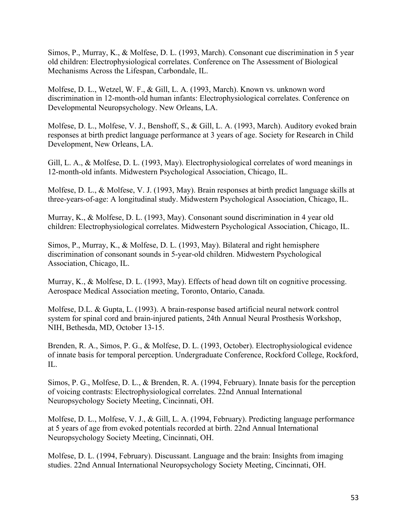Simos, P., Murray, K., & Molfese, D. L. (1993, March). Consonant cue discrimination in 5 year old children: Electrophysiological correlates. Conference on The Assessment of Biological Mechanisms Across the Lifespan, Carbondale, IL.

Molfese, D. L., Wetzel, W. F., & Gill, L. A. (1993, March). Known vs. unknown word discrimination in 12-month-old human infants: Electrophysiological correlates. Conference on Developmental Neuropsychology. New Orleans, LA.

Molfese, D. L., Molfese, V. J., Benshoff, S., & Gill, L. A. (1993, March). Auditory evoked brain responses at birth predict language performance at 3 years of age. Society for Research in Child Development, New Orleans, LA.

Gill, L. A., & Molfese, D. L. (1993, May). Electrophysiological correlates of word meanings in 12-month-old infants. Midwestern Psychological Association, Chicago, IL.

Molfese, D. L., & Molfese, V. J. (1993, May). Brain responses at birth predict language skills at three-years-of-age: A longitudinal study. Midwestern Psychological Association, Chicago, IL.

Murray, K., & Molfese, D. L. (1993, May). Consonant sound discrimination in 4 year old children: Electrophysiological correlates. Midwestern Psychological Association, Chicago, IL.

Simos, P., Murray, K., & Molfese, D. L. (1993, May). Bilateral and right hemisphere discrimination of consonant sounds in 5-year-old children. Midwestern Psychological Association, Chicago, IL.

Murray, K., & Molfese, D. L. (1993, May). Effects of head down tilt on cognitive processing. Aerospace Medical Association meeting, Toronto, Ontario, Canada.

Molfese, D.L. & Gupta, L. (1993). A brain-response based artificial neural network control system for spinal cord and brain-injured patients, 24th Annual Neural Prosthesis Workshop, NIH, Bethesda, MD, October 13-15.

Brenden, R. A., Simos, P. G., & Molfese, D. L. (1993, October). Electrophysiological evidence of innate basis for temporal perception. Undergraduate Conference, Rockford College, Rockford,  $\Pi$ .

Simos, P. G., Molfese, D. L., & Brenden, R. A. (1994, February). Innate basis for the perception of voicing contrasts: Electrophysiological correlates. 22nd Annual International Neuropsychology Society Meeting, Cincinnati, OH.

Molfese, D. L., Molfese, V. J., & Gill, L. A. (1994, February). Predicting language performance at 5 years of age from evoked potentials recorded at birth. 22nd Annual International Neuropsychology Society Meeting, Cincinnati, OH.

Molfese, D. L. (1994, February). Discussant. Language and the brain: Insights from imaging studies. 22nd Annual International Neuropsychology Society Meeting, Cincinnati, OH.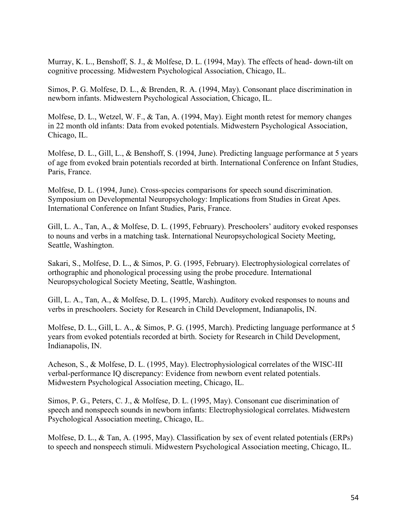Murray, K. L., Benshoff, S. J., & Molfese, D. L. (1994, May). The effects of head- down-tilt on cognitive processing. Midwestern Psychological Association, Chicago, IL.

Simos, P. G. Molfese, D. L., & Brenden, R. A. (1994, May). Consonant place discrimination in newborn infants. Midwestern Psychological Association, Chicago, IL.

Molfese, D. L., Wetzel, W. F., & Tan, A. (1994, May). Eight month retest for memory changes in 22 month old infants: Data from evoked potentials. Midwestern Psychological Association, Chicago, IL.

Molfese, D. L., Gill, L., & Benshoff, S. (1994, June). Predicting language performance at 5 years of age from evoked brain potentials recorded at birth. International Conference on Infant Studies, Paris, France.

Molfese, D. L. (1994, June). Cross-species comparisons for speech sound discrimination. Symposium on Developmental Neuropsychology: Implications from Studies in Great Apes. International Conference on Infant Studies, Paris, France.

Gill, L. A., Tan, A., & Molfese, D. L. (1995, February). Preschoolers' auditory evoked responses to nouns and verbs in a matching task. International Neuropsychological Society Meeting, Seattle, Washington.

Sakari, S., Molfese, D. L., & Simos, P. G. (1995, February). Electrophysiological correlates of orthographic and phonological processing using the probe procedure. International Neuropsychological Society Meeting, Seattle, Washington.

Gill, L. A., Tan, A., & Molfese, D. L. (1995, March). Auditory evoked responses to nouns and verbs in preschoolers. Society for Research in Child Development, Indianapolis, IN.

Molfese, D. L., Gill, L. A., & Simos, P. G. (1995, March). Predicting language performance at 5 years from evoked potentials recorded at birth. Society for Research in Child Development, Indianapolis, IN.

Acheson, S., & Molfese, D. L. (1995, May). Electrophysiological correlates of the WISC-III verbal-performance IQ discrepancy: Evidence from newborn event related potentials. Midwestern Psychological Association meeting, Chicago, IL.

Simos, P. G., Peters, C. J., & Molfese, D. L. (1995, May). Consonant cue discrimination of speech and nonspeech sounds in newborn infants: Electrophysiological correlates. Midwestern Psychological Association meeting, Chicago, IL.

Molfese, D. L., & Tan, A. (1995, May). Classification by sex of event related potentials (ERPs) to speech and nonspeech stimuli. Midwestern Psychological Association meeting, Chicago, IL.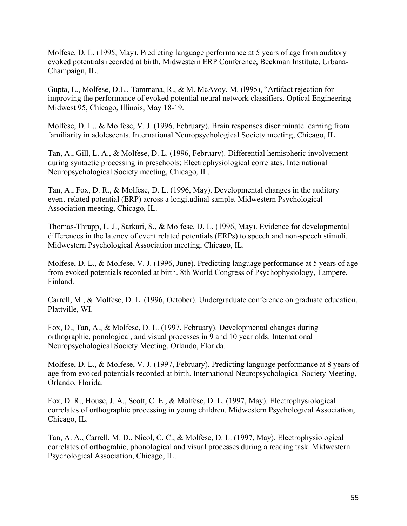Molfese, D. L. (1995, May). Predicting language performance at 5 years of age from auditory evoked potentials recorded at birth. Midwestern ERP Conference, Beckman Institute, Urbana-Champaign, IL.

Gupta, L., Molfese, D.L., Tammana, R., & M. McAvoy, M. (l995), "Artifact rejection for improving the performance of evoked potential neural network classifiers. Optical Engineering Midwest 95, Chicago, Illinois, May 18-19.

Molfese, D. L.. & Molfese, V. J. (1996, February). Brain responses discriminate learning from familiarity in adolescents. International Neuropsychological Society meeting, Chicago, IL.

Tan, A., Gill, L. A., & Molfese, D. L. (1996, February). Differential hemispheric involvement during syntactic processing in preschools: Electrophysiological correlates. International Neuropsychological Society meeting, Chicago, IL.

Tan, A., Fox, D. R., & Molfese, D. L. (1996, May). Developmental changes in the auditory event-related potential (ERP) across a longitudinal sample. Midwestern Psychological Association meeting, Chicago, IL.

Thomas-Thrapp, L. J., Sarkari, S., & Molfese, D. L. (1996, May). Evidence for developmental differences in the latency of event related potentials (ERPs) to speech and non-speech stimuli. Midwestern Psychological Association meeting, Chicago, IL.

Molfese, D. L., & Molfese, V. J. (1996, June). Predicting language performance at 5 years of age from evoked potentials recorded at birth. 8th World Congress of Psychophysiology, Tampere, Finland.

Carrell, M., & Molfese, D. L. (1996, October). Undergraduate conference on graduate education, Plattville, WI.

Fox, D., Tan, A., & Molfese, D. L. (1997, February). Developmental changes during orthographic, ponological, and visual processes in 9 and 10 year olds. International Neuropsychological Society Meeting, Orlando, Florida.

Molfese, D. L., & Molfese, V. J. (1997, February). Predicting language performance at 8 years of age from evoked potentials recorded at birth. International Neuropsychological Society Meeting, Orlando, Florida.

Fox, D. R., House, J. A., Scott, C. E., & Molfese, D. L. (1997, May). Electrophysiological correlates of orthographic processing in young children. Midwestern Psychological Association, Chicago, IL.

Tan, A. A., Carrell, M. D., Nicol, C. C., & Molfese, D. L. (1997, May). Electrophysiological correlates of orthograhic, phonological and visual processes during a reading task. Midwestern Psychological Association, Chicago, IL.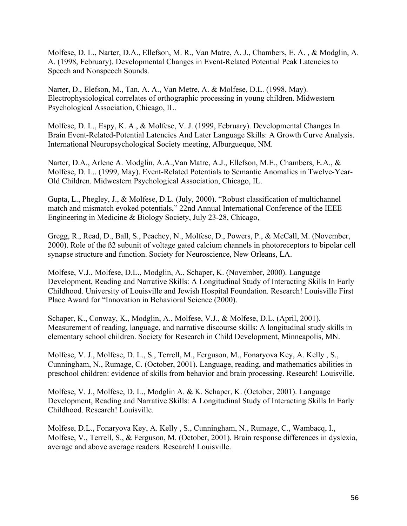Molfese, D. L., Narter, D.A., Ellefson, M. R., Van Matre, A. J., Chambers, E. A. , & Modglin, A. A. (1998, February). Developmental Changes in Event-Related Potential Peak Latencies to Speech and Nonspeech Sounds.

Narter, D., Elefson, M., Tan, A. A., Van Metre, A. & Molfese, D.L. (1998, May). Electrophysiological correlates of orthographic processing in young children. Midwestern Psychological Association, Chicago, IL.

Molfese, D. L., Espy, K. A., & Molfese, V. J. (1999, February). Developmental Changes In Brain Event-Related-Potential Latencies And Later Language Skills: A Growth Curve Analysis. International Neuropsychological Society meeting, Alburgueque, NM.

Narter, D.A., Arlene A. Modglin, A.A.,Van Matre, A.J., Ellefson, M.E., Chambers, E.A., & Molfese, D. L.. (1999, May). Event-Related Potentials to Semantic Anomalies in Twelve-Year-Old Children. Midwestern Psychological Association, Chicago, IL.

Gupta, L., Phegley, J., & Molfese, D.L. (July, 2000). "Robust classification of multichannel match and mismatch evoked potentials," 22nd Annual International Conference of the IEEE Engineering in Medicine & Biology Society, July 23-28, Chicago,

Gregg, R., Read, D., Ball, S., Peachey, N., Molfese, D., Powers, P., & McCall, M. (November, 2000). Role of the ß2 subunit of voltage gated calcium channels in photoreceptors to bipolar cell synapse structure and function. Society for Neuroscience, New Orleans, LA.

Molfese, V.J., Molfese, D.L., Modglin, A., Schaper, K. (November, 2000). Language Development, Reading and Narrative Skills: A Longitudinal Study of Interacting Skills In Early Childhood. University of Louisville and Jewish Hospital Foundation. Research! Louisville First Place Award for "Innovation in Behavioral Science (2000).

Schaper, K., Conway, K., Modglin, A., Molfese, V.J., & Molfese, D.L. (April, 2001). Measurement of reading, language, and narrative discourse skills: A longitudinal study skills in elementary school children. Society for Research in Child Development, Minneapolis, MN.

Molfese, V. J., Molfese, D. L., S., Terrell, M., Ferguson, M., Fonaryova Key, A. Kelly , S., Cunningham, N., Rumage, C. (October, 2001). Language, reading, and mathematics abilities in preschool children: evidence of skills from behavior and brain processing. Research! Louisville.

Molfese, V. J., Molfese, D. L., Modglin A. & K. Schaper, K. (October, 2001). Language Development, Reading and Narrative Skills: A Longitudinal Study of Interacting Skills In Early Childhood. Research! Louisville.

Molfese, D.L., Fonaryova Key, A. Kelly , S., Cunningham, N., Rumage, C., Wambacq, I., Molfese, V., Terrell, S., & Ferguson, M. (October, 2001). Brain response differences in dyslexia, average and above average readers. Research! Louisville.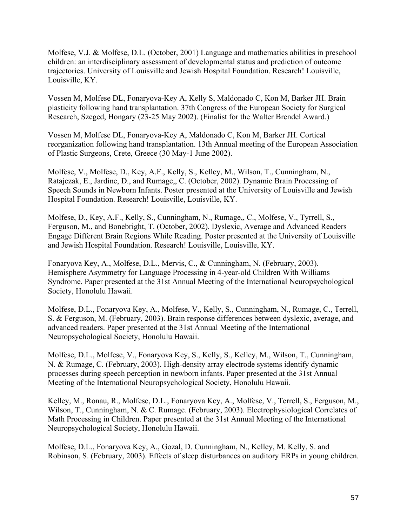Molfese, V.J. & Molfese, D.L. (October, 2001) Language and mathematics abilities in preschool children: an interdisciplinary assessment of developmental status and prediction of outcome trajectories. University of Louisville and Jewish Hospital Foundation. Research! Louisville, Louisville, KY.

Vossen M, Molfese DL, Fonaryova-Key A, Kelly S, Maldonado C, Kon M, Barker JH. Brain plasticity following hand transplantation. 37th Congress of the European Society for Surgical Research, Szeged, Hongary (23-25 May 2002). (Finalist for the Walter Brendel Award.)

Vossen M, Molfese DL, Fonaryova-Key A, Maldonado C, Kon M, Barker JH. Cortical reorganization following hand transplantation. 13th Annual meeting of the European Association of Plastic Surgeons, Crete, Greece (30 May-1 June 2002).

Molfese, V., Molfese, D., Key, A.F., Kelly, S., Kelley, M., Wilson, T., Cunningham, N., Ratajczak, E., Jardine, D., and Rumage,, C. (October, 2002). Dynamic Brain Processing of Speech Sounds in Newborn Infants. Poster presented at the University of Louisville and Jewish Hospital Foundation. Research! Louisville, Louisville, KY.

Molfese, D., Key, A.F., Kelly, S., Cunningham, N., Rumage,, C., Molfese, V., Tyrrell, S., Ferguson, M., and Bonebright, T. (October, 2002). Dyslexic, Average and Advanced Readers Engage Different Brain Regions While Reading. Poster presented at the University of Louisville and Jewish Hospital Foundation. Research! Louisville, Louisville, KY.

Fonaryova Key, A., Molfese, D.L., Mervis, C., & Cunningham, N. (February, 2003). Hemisphere Asymmetry for Language Processing in 4-year-old Children With Williams Syndrome. Paper presented at the 31st Annual Meeting of the International Neuropsychological Society, Honolulu Hawaii.

Molfese, D.L., Fonaryova Key, A., Molfese, V., Kelly, S., Cunningham, N., Rumage, C., Terrell, S. & Ferguson, M. (February, 2003). Brain response differences between dyslexic, average, and advanced readers. Paper presented at the 31st Annual Meeting of the International Neuropsychological Society, Honolulu Hawaii.

Molfese, D.L., Molfese, V., Fonaryova Key, S., Kelly, S., Kelley, M., Wilson, T., Cunningham, N. & Rumage, C. (February, 2003). High-density array electrode systems identify dynamic processes during speech perception in newborn infants. Paper presented at the 31st Annual Meeting of the International Neuropsychological Society, Honolulu Hawaii.

Kelley, M., Ronau, R., Molfese, D.L., Fonaryova Key, A., Molfese, V., Terrell, S., Ferguson, M., Wilson, T., Cunningham, N. & C. Rumage. (February, 2003). Electrophysiological Correlates of Math Processing in Children. Paper presented at the 31st Annual Meeting of the International Neuropsychological Society, Honolulu Hawaii.

Molfese, D.L., Fonaryova Key, A., Gozal, D. Cunningham, N., Kelley, M. Kelly, S. and Robinson, S. (February, 2003). Effects of sleep disturbances on auditory ERPs in young children.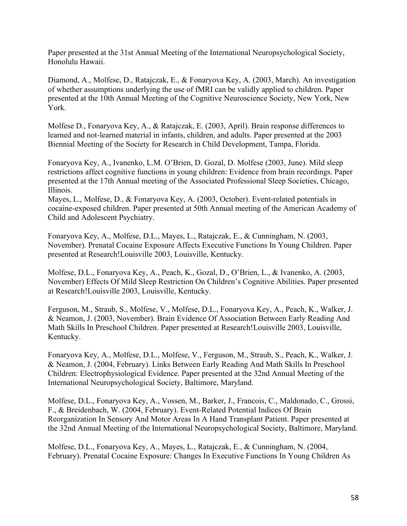Paper presented at the 31st Annual Meeting of the International Neuropsychological Society, Honolulu Hawaii.

Diamond, A., Molfese, D., Ratajczak, E., & Fonaryova Key, A. (2003, March). An investigation of whether assumptions underlying the use of fMRI can be validly applied to children. Paper presented at the 10th Annual Meeting of the Cognitive Neuroscience Society, New York, New York.

Molfese D., Fonaryova Key, A., & Ratajczak, E. (2003, April). Brain response differences to learned and not-learned material in infants, children, and adults. Paper presented at the 2003 Biennial Meeting of the Society for Research in Child Development, Tampa, Florida.

Fonaryova Key, A., Ivanenko, L.M. O'Brien, D. Gozal, D. Molfese (2003, June). Mild sleep restrictions affect cognitive functions in young children: Evidence from brain recordings. Paper presented at the 17th Annual meeting of the Associated Professional Sleep Societies, Chicago, Illinois.

Mayes, L., Molfese, D., & Fonaryova Key, A. (2003, October). Event-related potentials in cocaine-exposed children. Paper presented at 50th Annual meeting of the American Academy of Child and Adolescent Psychiatry.

Fonaryova Key, A., Molfese, D.L., Mayes, L., Ratajczak, E., & Cunningham, N. (2003, November). Prenatal Cocaine Exposure Affects Executive Functions In Young Children. Paper presented at Research!Louisville 2003, Louisville, Kentucky.

Molfese, D.L., Fonaryova Key, A., Peach, K., Gozal, D., O'Brien, L., & Ivanenko, A. (2003, November) Effects Of Mild Sleep Restriction On Children's Cognitive Abilities. Paper presented at Research!Louisville 2003, Louisville, Kentucky.

Ferguson, M., Straub, S., Molfese, V., Molfese, D.L., Fonaryova Key, A., Peach, K., Walker, J. & Neamon, J. (2003, November). Brain Evidence Of Association Between Early Reading And Math Skills In Preschool Children. Paper presented at Research!Louisville 2003, Louisville, Kentucky.

Fonaryova Key, A., Molfese, D.L., Molfese, V., Ferguson, M., Straub, S., Peach, K., Walker, J. & Neamon, J. (2004, February). Links Between Early Reading And Math Skills In Preschool Children: Electrophysiological Evidence. Paper presented at the 32nd Annual Meeting of the International Neuropsychological Society, Baltimore, Maryland.

Molfese, D.L., Fonaryova Key, A., Vossen, M., Barker, J., Francois, C., Maldonado, C., Grossi, F., & Breidenbach, W. (2004, February). Event-Related Potential Indices Of Brain Reorganization In Sensory And Motor Areas In A Hand Transplant Patient. Paper presented at the 32nd Annual Meeting of the International Neuropsychological Society, Baltimore, Maryland.

Molfese, D.L., Fonaryova Key, A., Mayes, L., Ratajczak, E., & Cunningham, N. (2004, February). Prenatal Cocaine Exposure: Changes In Executive Functions In Young Children As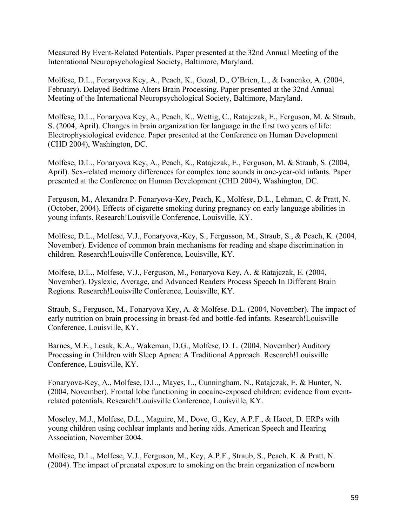Measured By Event-Related Potentials. Paper presented at the 32nd Annual Meeting of the International Neuropsychological Society, Baltimore, Maryland.

Molfese, D.L., Fonaryova Key, A., Peach, K., Gozal, D., O'Brien, L., & Ivanenko, A. (2004, February). Delayed Bedtime Alters Brain Processing. Paper presented at the 32nd Annual Meeting of the International Neuropsychological Society, Baltimore, Maryland.

Molfese, D.L., Fonaryova Key, A., Peach, K., Wettig, C., Ratajczak, E., Ferguson, M. & Straub, S. (2004, April). Changes in brain organization for language in the first two years of life: Electrophysiological evidence. Paper presented at the Conference on Human Development (CHD 2004), Washington, DC.

Molfese, D.L., Fonaryova Key, A., Peach, K., Ratajczak, E., Ferguson, M. & Straub, S. (2004, April). Sex-related memory differences for complex tone sounds in one-year-old infants. Paper presented at the Conference on Human Development (CHD 2004), Washington, DC.

Ferguson, M., Alexandra P. Fonaryova-Key, Peach, K., Molfese, D.L., Lehman, C. & Pratt, N. (October, 2004). Effects of cigarette smoking during pregnancy on early language abilities in young infants. Research!Louisville Conference, Louisville, KY.

Molfese, D.L., Molfese, V.J., Fonaryova,-Key, S., Fergusson, M., Straub, S., & Peach, K. (2004, November). Evidence of common brain mechanisms for reading and shape discrimination in children. Research!Louisville Conference, Louisville, KY.

Molfese, D.L., Molfese, V.J., Ferguson, M., Fonaryova Key, A. & Ratajczak, E. (2004, November). Dyslexic, Average, and Advanced Readers Process Speech In Different Brain Regions. Research!Louisville Conference, Louisville, KY.

Straub, S., Ferguson, M., Fonaryova Key, A. & Molfese. D.L. (2004, November). The impact of early nutrition on brain processing in breast-fed and bottle-fed infants. Research!Louisville Conference, Louisville, KY.

Barnes, M.E., Lesak, K.A., Wakeman, D.G., Molfese, D. L. (2004, November) Auditory Processing in Children with Sleep Apnea: A Traditional Approach. Research!Louisville Conference, Louisville, KY.

Fonaryova-Key, A., Molfese, D.L., Mayes, L., Cunningham, N., Ratajczak, E. & Hunter, N. (2004, November). Frontal lobe functioning in cocaine-exposed children: evidence from eventrelated potentials. Research!Louisville Conference, Louisville, KY.

Moseley, M.J., Molfese, D.L., Maguire, M., Dove, G., Key, A.P.F., & Hacet, D. ERPs with young children using cochlear implants and hering aids. American Speech and Hearing Association, November 2004.

Molfese, D.L., Molfese, V.J., Ferguson, M., Key, A.P.F., Straub, S., Peach, K. & Pratt, N. (2004). The impact of prenatal exposure to smoking on the brain organization of newborn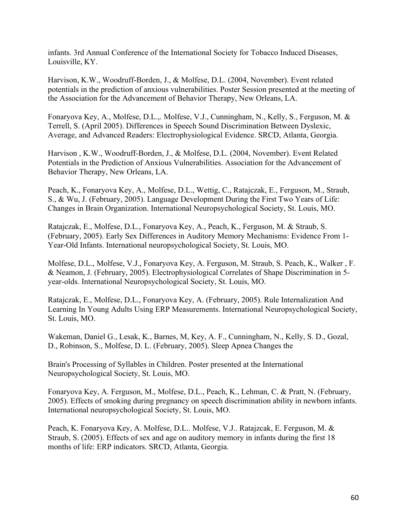infants. 3rd Annual Conference of the International Society for Tobacco Induced Diseases, Louisville, KY.

Harvison, K.W., Woodruff-Borden, J., & Molfese, D.L. (2004, November). Event related potentials in the prediction of anxious vulnerabilities. Poster Session presented at the meeting of the Association for the Advancement of Behavior Therapy, New Orleans, LA.

Fonaryova Key, A., Molfese, D.L.,. Molfese, V.J., Cunningham, N., Kelly, S., Ferguson, M. & Terrell, S. (April 2005). Differences in Speech Sound Discrimination Between Dyslexic, Average, and Advanced Readers: Electrophysiological Evidence. SRCD, Atlanta, Georgia.

Harvison , K.W., Woodruff-Borden, J., & Molfese, D.L. (2004, November). Event Related Potentials in the Prediction of Anxious Vulnerabilities. Association for the Advancement of Behavior Therapy, New Orleans, LA.

Peach, K., Fonaryova Key, A., Molfese, D.L., Wettig, C., Ratajczak, E., Ferguson, M., Straub, S., & Wu, J. (February, 2005). Language Development During the First Two Years of Life: Changes in Brain Organization. International Neuropsychological Society, St. Louis, MO.

Ratajczak, E., Molfese, D.L., Fonaryova Key, A., Peach, K., Ferguson, M. & Straub, S. (February, 2005). Early Sex Differences in Auditory Memory Mechanisms: Evidence From 1- Year-Old Infants. International neuropsychological Society, St. Louis, MO.

Molfese, D.L., Molfese, V.J., Fonaryova Key, A. Ferguson, M. Straub, S. Peach, K., Walker , F. & Neamon, J. (February, 2005). Electrophysiological Correlates of Shape Discrimination in 5 year-olds. International Neuropsychological Society, St. Louis, MO.

Ratajczak, E., Molfese, D.L., Fonaryova Key, A. (February, 2005). Rule Internalization And Learning In Young Adults Using ERP Measurements. International Neuropsychological Society, St. Louis, MO.

Wakeman, Daniel G., Lesak, K., Barnes, M, Key, A. F., Cunningham, N., Kelly, S. D., Gozal, D., Robinson, S., Molfese, D. L. (February, 2005). Sleep Apnea Changes the

Brain's Processing of Syllables in Children. Poster presented at the International Neuropsychological Society, St. Louis, MO.

Fonaryova Key, A. Ferguson, M., Molfese, D.L., Peach, K., Lehman, C. & Pratt, N. (February, 2005). Effects of smoking during pregnancy on speech discrimination ability in newborn infants. International neuropsychological Society, St. Louis, MO.

Peach, K. Fonaryova Key, A. Molfese, D.L.. Molfese, V.J.. Ratajzcak, E. Ferguson, M. & Straub, S. (2005). Effects of sex and age on auditory memory in infants during the first 18 months of life: ERP indicators. SRCD, Atlanta, Georgia.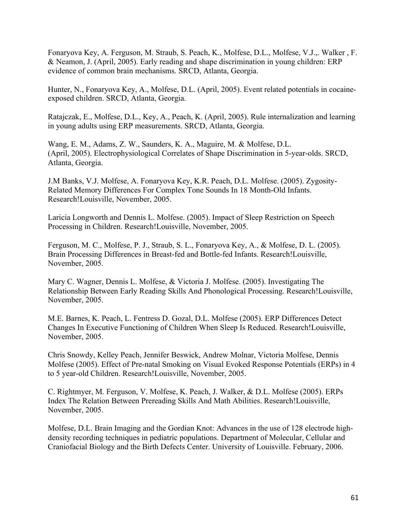Fonaryova Key, A. Ferguson, M. Straub, S. Peach, K., Molfese, D.L., Molfese, V.J.,. Walker , F. & Neamon, J. (April, 2005). Early reading and shape discrimination in young children: ERP evidence of common brain mechanisms. SRCD, Atlanta, Georgia.

Hunter, N., Fonaryova Key, A., Molfese, D.L. (April, 2005). Event related potentials in cocaineexposed children. SRCD, Atlanta, Georgia.

Ratajczak, E., Molfese, D.L., Key, A., Peach, K. (April, 2005). Rule internalization and learning in young adults using ERP measurements. SRCD, Atlanta, Georgia.

Wang, E. M., Adams, Z. W., Saunders, K. A., Maguire, M. & Molfese, D.L. (April, 2005). Electrophysiological Correlates of Shape Discrimination in 5-year-olds. SRCD, Atlanta, Georgia.

J.M Banks, V.J. Molfese, A. Fonaryova Key, K.R. Peach, D.L. Molfese. (2005). Zygosity-Related Memory Differences For Complex Tone Sounds In 18 Month-Old Infants. Research!Louisville, November, 2005.

Laricia Longworth and Dennis L. Molfese. (2005). Impact of Sleep Restriction on Speech Processing in Children. Research!Louisville, November, 2005.

Ferguson, M. C., Molfese, P. J., Straub, S. L., Fonaryova Key, A., & Molfese, D. L. (2005). Brain Processing Differences in Breast-fed and Bottle-fed Infants. Research!Louisville, November, 2005.

Mary C. Wagner, Dennis L. Molfese, & Victoria J. Molfese. (2005). Investigating The Relationship Between Early Reading Skills And Phonological Processing. Research!Louisville, November, 2005.

M.E. Barnes, K. Peach, L. Fentress D. Gozal, D.L. Molfese (2005). ERP Differences Detect Changes In Executive Functioning of Children When Sleep Is Reduced. Research!Louisville, November, 2005.

Chris Snowdy, Kelley Peach, Jennifer Beswick, Andrew Molnar, Victoria Molfese, Dennis Molfese (2005). Effect of Pre-natal Smoking on Visual Evoked Response Potentials (ERPs) in 4 to 5 year-old Children. Research!Louisville, November, 2005.

C. Rightmyer, M. Ferguson, V. Molfese, K. Peach, J. Walker, & D.L. Molfese (2005). ERPs Index The Relation Between Prereading Skills And Math Abilities. Research!Louisville, November, 2005.

Molfese, D.L. Brain Imaging and the Gordian Knot: Advances in the use of 128 electrode highdensity recording techniques in pediatric populations. Department of Molecular, Cellular and Craniofacial Biology and the Birth Defects Center. University of Louisville. February, 2006.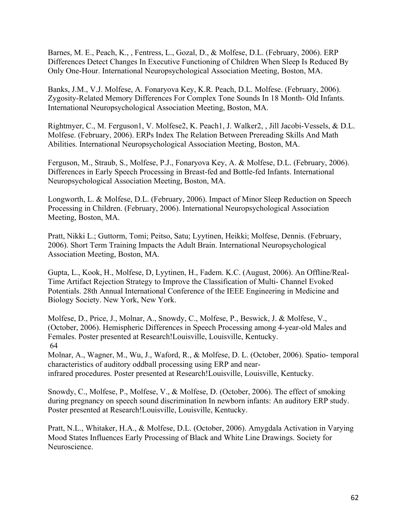Barnes, M. E., Peach, K., , Fentress, L., Gozal, D., & Molfese, D.L. (February, 2006). ERP Differences Detect Changes In Executive Functioning of Children When Sleep Is Reduced By Only One-Hour. International Neuropsychological Association Meeting, Boston, MA.

Banks, J.M., V.J. Molfese, A. Fonaryova Key, K.R. Peach, D.L. Molfese. (February, 2006). Zygosity-Related Memory Differences For Complex Tone Sounds In 18 Month- Old Infants. International Neuropsychological Association Meeting, Boston, MA.

Rightmyer, C., M. Ferguson1, V. Molfese2, K. Peach1, J. Walker2, , Jill Jacobi-Vessels, & D.L. Molfese. (February, 2006). ERPs Index The Relation Between Prereading Skills And Math Abilities. International Neuropsychological Association Meeting, Boston, MA.

Ferguson, M., Straub, S., Molfese, P.J., Fonaryova Key, A. & Molfese, D.L. (February, 2006). Differences in Early Speech Processing in Breast-fed and Bottle-fed Infants. International Neuropsychological Association Meeting, Boston, MA.

Longworth, L. & Molfese, D.L. (February, 2006). Impact of Minor Sleep Reduction on Speech Processing in Children. (February, 2006). International Neuropsychological Association Meeting, Boston, MA.

Pratt, Nikki L.; Guttorm, Tomi; Peitso, Satu; Lyytinen, Heikki; Molfese, Dennis. (February, 2006). Short Term Training Impacts the Adult Brain. International Neuropsychological Association Meeting, Boston, MA.

Gupta, L., Kook, H., Molfese, D, Lyytinen, H., Fadem. K.C. (August, 2006). An Offline/Real-Time Artifact Rejection Strategy to Improve the Classification of Multi- Channel Evoked Potentials. 28th Annual International Conference of the IEEE Engineering in Medicine and Biology Society. New York, New York.

Molfese, D., Price, J., Molnar, A., Snowdy, C., Molfese, P., Beswick, J. & Molfese, V., (October, 2006). Hemispheric Differences in Speech Processing among 4-year-old Males and Females. Poster presented at Research!Louisville, Louisville, Kentucky. 64

Molnar, A., Wagner, M., Wu, J., Waford, R., & Molfese, D. L. (October, 2006). Spatio- temporal characteristics of auditory oddball processing using ERP and nearinfrared procedures. Poster presented at Research!Louisville, Louisville, Kentucky.

Snowdy, C., Molfese, P., Molfese, V., & Molfese, D. (October, 2006). The effect of smoking during pregnancy on speech sound discrimination In newborn infants: An auditory ERP study. Poster presented at Research!Louisville, Louisville, Kentucky.

Pratt, N.L., Whitaker, H.A., & Molfese, D.L. (October, 2006). Amygdala Activation in Varying Mood States Influences Early Processing of Black and White Line Drawings. Society for Neuroscience.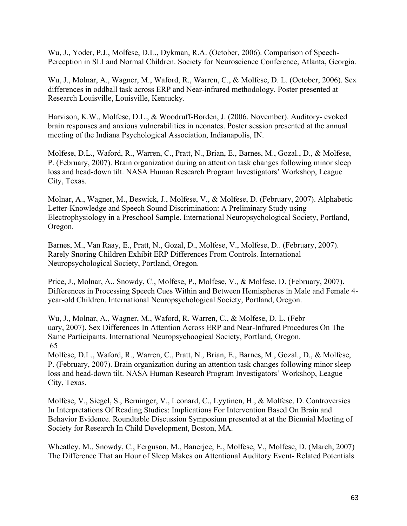Wu, J., Yoder, P.J., Molfese, D.L., Dykman, R.A. (October, 2006). Comparison of Speech-Perception in SLI and Normal Children. Society for Neuroscience Conference, Atlanta, Georgia.

Wu, J., Molnar, A., Wagner, M., Waford, R., Warren, C., & Molfese, D. L. (October, 2006). Sex differences in oddball task across ERP and Near-infrared methodology. Poster presented at Research Louisville, Louisville, Kentucky.

Harvison, K.W., Molfese, D.L., & Woodruff-Borden, J. (2006, November). Auditory- evoked brain responses and anxious vulnerabilities in neonates. Poster session presented at the annual meeting of the Indiana Psychological Association, Indianapolis, IN.

Molfese, D.L., Waford, R., Warren, C., Pratt, N., Brian, E., Barnes, M., Gozal., D., & Molfese, P. (February, 2007). Brain organization during an attention task changes following minor sleep loss and head-down tilt. NASA Human Research Program Investigators' Workshop, League City, Texas.

Molnar, A., Wagner, M., Beswick, J., Molfese, V., & Molfese, D. (February, 2007). Alphabetic Letter-Knowledge and Speech Sound Discrimination: A Preliminary Study using Electrophysiology in a Preschool Sample. International Neuropsychological Society, Portland, Oregon.

Barnes, M., Van Raay, E., Pratt, N., Gozal, D., Molfese, V., Molfese, D.. (February, 2007). Rarely Snoring Children Exhibit ERP Differences From Controls. International Neuropsychological Society, Portland, Oregon.

Price, J., Molnar, A., Snowdy, C., Molfese, P., Molfese, V., & Molfese, D. (February, 2007). Differences in Processing Speech Cues Within and Between Hemispheres in Male and Female 4 year-old Children. International Neuropsychological Society, Portland, Oregon.

Wu, J., Molnar, A., Wagner, M., Waford, R. Warren, C., & Molfese, D. L. (Febr uary, 2007). Sex Differences In Attention Across ERP and Near-Infrared Procedures On The Same Participants. International Neuropsychoogical Society, Portland, Oregon. 65

Molfese, D.L., Waford, R., Warren, C., Pratt, N., Brian, E., Barnes, M., Gozal., D., & Molfese, P. (February, 2007). Brain organization during an attention task changes following minor sleep loss and head-down tilt. NASA Human Research Program Investigators' Workshop, League City, Texas.

Molfese, V., Siegel, S., Berninger, V., Leonard, C., Lyytinen, H., & Molfese, D. Controversies In Interpretations Of Reading Studies: Implications For Intervention Based On Brain and Behavior Evidence. Roundtable Discussion Symposium presented at at the Biennial Meeting of Society for Research In Child Development, Boston, MA.

Wheatley, M., Snowdy, C., Ferguson, M., Banerjee, E., Molfese, V., Molfese, D. (March, 2007) The Difference That an Hour of Sleep Makes on Attentional Auditory Event- Related Potentials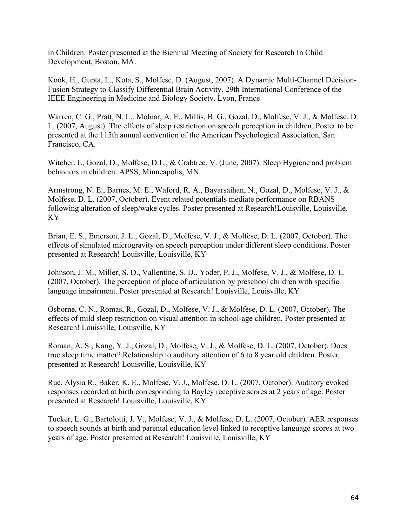in Children. Poster presented at the Biennial Meeting of Society for Research In Child Development, Boston, MA.

Kook, H., Gupta, L., Kota, S., Molfese, D. (August, 2007). A Dynamic Multi-Channel Decision-Fusion Strategy to Classify Differential Brain Activity. 29th International Conference of the IEEE Engineering in Medicine and Biology Society. Lyon, France.

Warren, C. G., Pratt, N. L., Molnar, A. E., Millis, B. G., Gozal, D., Molfese, V. J., & Molfese, D. L. (2007, August). The effects of sleep restriction on speech perception in children. Poster to be presented at the 115th annual convention of the American Psychological Association, San Francisco, CA.

Witcher, L, Gozal, D., Molfese, D.L., & Crabtree, V. (June, 2007). Sleep Hygiene and problem behaviors in children. APSS, Minneapolis, MN.

Armstrong, N. E., Barnes, M. E., Waford, R. A., Bayarsaihan, N., Gozal, D., Molfese, V. J., & Molfese, D. L. (2007, October). Event related potentials mediate performance on RBANS following alteration of sleep/wake cycles. Poster presented at Research!Louisville, Louisville, KY

Brian, E. S., Emerson, J. L., Gozal, D., Molfese, V. J., & Molfese, D. L. (2007, October). The effects of simulated microgravity on speech perception under different sleep conditions. Poster presented at Research! Louisville, Louisville, KY

Johnson, J. M., Miller, S. D., Vallentine, S. D., Yoder, P. J., Molfese, V. J., & Molfese, D. L. (2007, October). The perception of place of articulation by preschool children with specific language impairment. Poster presented at Research! Louisville, Louisville, KY

Osborne, C. N., Romas, R., Gozal, D., Molfese, V. J., & Molfese, D. L. (2007, October). The effects of mild sleep restriction on visual attention in school-age children. Poster presented at Research! Louisville, Louisville, KY

Roman, A. S., Kang, Y. J., Gozal, D., Molfese, V. J., & Molfese, D. L. (2007, October). Does true sleep time matter? Relationship to auditory attention of 6 to 8 year old children. Poster presented at Research! Louisville, Louisville, KY

Rue, Alysia R., Baker, K. E., Molfese, V. J., Molfese, D. L. (2007, October). Auditory evoked responses recorded at birth corresponding to Bayley receptive scores at 2 years of age. Poster presented at Research! Louisville, Louisville, KY

Tucker, L. G., Bartolotti, J. V., Molfese, V. J., & Molfese, D. L. (2007, October). AER responses to speech sounds at birth and parental education level linked to receptive language scores at two years of age. Poster presented at Research! Louisville, Louisville, KY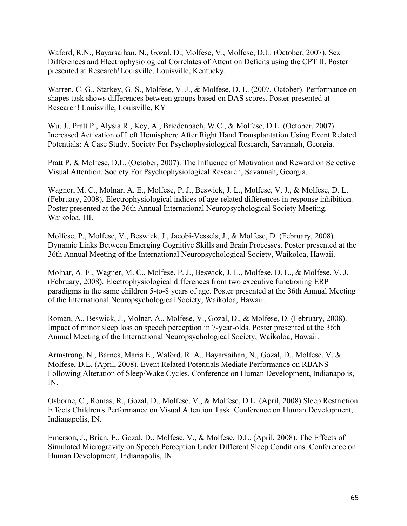Waford, R.N., Bayarsaihan, N., Gozal, D., Molfese, V., Molfese, D.L. (October, 2007). Sex Differences and Electrophysiological Correlates of Attention Deficits using the CPT II. Poster presented at Research!Louisville, Louisville, Kentucky.

Warren, C. G., Starkey, G. S., Molfese, V. J., & Molfese, D. L. (2007, October). Performance on shapes task shows differences between groups based on DAS scores. Poster presented at Research! Louisville, Louisville, KY

Wu, J., Pratt P., Alysia R., Key, A., Briedenbach, W.C., & Molfese, D.L. (October, 2007). Increased Activation of Left Hemisphere After Right Hand Transplantation Using Event Related Potentials: A Case Study. Society For Psychophysiological Research, Savannah, Georgia.

Pratt P. & Molfese, D.L. (October, 2007). The Influence of Motivation and Reward on Selective Visual Attention. Society For Psychophysiological Research, Savannah, Georgia.

Wagner, M. C., Molnar, A. E., Molfese, P. J., Beswick, J. L., Molfese, V. J., & Molfese, D. L. (February, 2008). Electrophysiological indices of age-related differences in response inhibition. Poster presented at the 36th Annual International Neuropsychological Society Meeting. Waikoloa, HI.

Molfese, P., Molfese, V., Beswick, J., Jacobi-Vessels, J., & Molfese, D. (February, 2008). Dynamic Links Between Emerging Cognitive Skills and Brain Processes. Poster presented at the 36th Annual Meeting of the International Neuropsychological Society, Waikoloa, Hawaii.

Molnar, A. E., Wagner, M. C., Molfese, P. J., Beswick, J. L., Molfese, D. L., & Molfese, V. J. (February, 2008). Electrophysiological differences from two executive functioning ERP paradigms in the same children 5-to-8 years of age. Poster presented at the 36th Annual Meeting of the International Neuropsychological Society, Waikoloa, Hawaii.

Roman, A., Beswick, J., Molnar, A., Molfese, V., Gozal, D., & Molfese, D. (February, 2008). Impact of minor sleep loss on speech perception in 7-year-olds. Poster presented at the 36th Annual Meeting of the International Neuropsychological Society, Waikoloa, Hawaii.

Armstrong, N., Barnes, Maria E., Waford, R. A., Bayarsaihan, N., Gozal, D., Molfese, V. & Molfese, D.L. (April, 2008). Event Related Potentials Mediate Performance on RBANS Following Alteration of Sleep/Wake Cycles. Conference on Human Development, Indianapolis, IN.

Osborne, C., Romas, R., Gozal, D., Molfese, V., & Molfese, D.L. (April, 2008).Sleep Restriction Effects Children's Performance on Visual Attention Task. Conference on Human Development, Indianapolis, IN.

Emerson, J., Brian, E., Gozal, D., Molfese, V., & Molfese, D.L. (April, 2008). The Effects of Simulated Microgravity on Speech Perception Under Different Sleep Conditions. Conference on Human Development, Indianapolis, IN.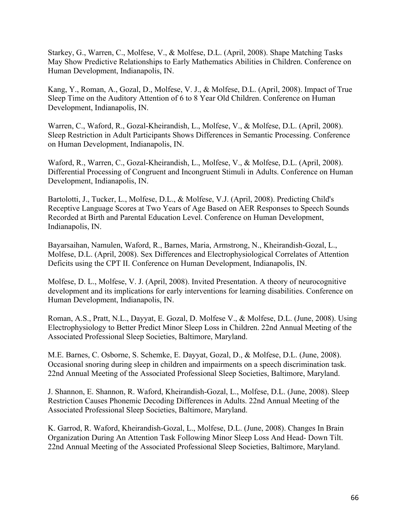Starkey, G., Warren, C., Molfese, V., & Molfese, D.L. (April, 2008). Shape Matching Tasks May Show Predictive Relationships to Early Mathematics Abilities in Children. Conference on Human Development, Indianapolis, IN.

Kang, Y., Roman, A., Gozal, D., Molfese, V. J., & Molfese, D.L. (April, 2008). Impact of True Sleep Time on the Auditory Attention of 6 to 8 Year Old Children. Conference on Human Development, Indianapolis, IN.

Warren, C., Waford, R., Gozal-Kheirandish, L., Molfese, V., & Molfese, D.L. (April, 2008). Sleep Restriction in Adult Participants Shows Differences in Semantic Processing. Conference on Human Development, Indianapolis, IN.

Waford, R., Warren, C., Gozal-Kheirandish, L., Molfese, V., & Molfese, D.L. (April, 2008). Differential Processing of Congruent and Incongruent Stimuli in Adults. Conference on Human Development, Indianapolis, IN.

Bartolotti, J., Tucker, L., Molfese, D.L., & Molfese, V.J. (April, 2008). Predicting Child's Receptive Language Scores at Two Years of Age Based on AER Responses to Speech Sounds Recorded at Birth and Parental Education Level. Conference on Human Development, Indianapolis, IN.

Bayarsaihan, Namulen, Waford, R., Barnes, Maria, Armstrong, N., Kheirandish-Gozal, L., Molfese, D.L. (April, 2008). Sex Differences and Electrophysiological Correlates of Attention Deficits using the CPT II. Conference on Human Development, Indianapolis, IN.

Molfese, D. L., Molfese, V. J. (April, 2008). Invited Presentation. A theory of neurocognitive development and its implications for early interventions for learning disabilities. Conference on Human Development, Indianapolis, IN.

Roman, A.S., Pratt, N.L., Dayyat, E. Gozal, D. Molfese V., & Molfese, D.L. (June, 2008). Using Electrophysiology to Better Predict Minor Sleep Loss in Children. 22nd Annual Meeting of the Associated Professional Sleep Societies, Baltimore, Maryland.

M.E. Barnes, C. Osborne, S. Schemke, E. Dayyat, Gozal, D., & Molfese, D.L. (June, 2008). Occasional snoring during sleep in children and impairments on a speech discrimination task. 22nd Annual Meeting of the Associated Professional Sleep Societies, Baltimore, Maryland.

J. Shannon, E. Shannon, R. Waford, Kheirandish-Gozal, L., Molfese, D.L. (June, 2008). Sleep Restriction Causes Phonemic Decoding Differences in Adults. 22nd Annual Meeting of the Associated Professional Sleep Societies, Baltimore, Maryland.

K. Garrod, R. Waford, Kheirandish-Gozal, L., Molfese, D.L. (June, 2008). Changes In Brain Organization During An Attention Task Following Minor Sleep Loss And Head- Down Tilt. 22nd Annual Meeting of the Associated Professional Sleep Societies, Baltimore, Maryland.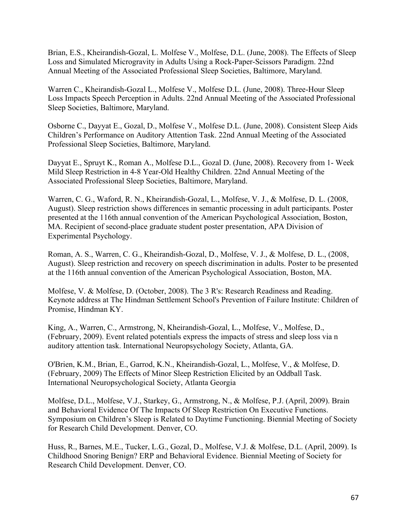Brian, E.S., Kheirandish-Gozal, L. Molfese V., Molfese, D.L. (June, 2008). The Effects of Sleep Loss and Simulated Microgravity in Adults Using a Rock-Paper-Scissors Paradigm. 22nd Annual Meeting of the Associated Professional Sleep Societies, Baltimore, Maryland.

Warren C., Kheirandish-Gozal L., Molfese V., Molfese D.L. (June, 2008). Three-Hour Sleep Loss Impacts Speech Perception in Adults. 22nd Annual Meeting of the Associated Professional Sleep Societies, Baltimore, Maryland.

Osborne C., Dayyat E., Gozal, D., Molfese V., Molfese D.L. (June, 2008). Consistent Sleep Aids Children's Performance on Auditory Attention Task. 22nd Annual Meeting of the Associated Professional Sleep Societies, Baltimore, Maryland.

Dayyat E., Spruyt K., Roman A., Molfese D.L., Gozal D. (June, 2008). Recovery from 1- Week Mild Sleep Restriction in 4-8 Year-Old Healthy Children. 22nd Annual Meeting of the Associated Professional Sleep Societies, Baltimore, Maryland.

Warren, C. G., Waford, R. N., Kheirandish-Gozal, L., Molfese, V. J., & Molfese, D. L. (2008, August). Sleep restriction shows differences in semantic processing in adult participants. Poster presented at the 116th annual convention of the American Psychological Association, Boston, MA. Recipient of second-place graduate student poster presentation, APA Division of Experimental Psychology.

Roman, A. S., Warren, C. G., Kheirandish-Gozal, D., Molfese, V. J., & Molfese, D. L., (2008, August). Sleep restriction and recovery on speech discrimination in adults. Poster to be presented at the 116th annual convention of the American Psychological Association, Boston, MA.

Molfese, V. & Molfese, D. (October, 2008). The 3 R's: Research Readiness and Reading. Keynote address at The Hindman Settlement School's Prevention of Failure Institute: Children of Promise, Hindman KY.

King, A., Warren, C., Armstrong, N, Kheirandish-Gozal, L., Molfese, V., Molfese, D., (February, 2009). Event related potentials express the impacts of stress and sleep loss via n auditory attention task. International Neuropsychology Society, Atlanta, GA.

O'Brien, K.M., Brian, E., Garrod, K.N., Kheirandish-Gozal, L., Molfese, V., & Molfese, D. (February, 2009) The Effects of Minor Sleep Restriction Elicited by an Oddball Task. International Neuropsychological Society, Atlanta Georgia

Molfese, D.L., Molfese, V.J., Starkey, G., Armstrong, N., & Molfese, P.J. (April, 2009). Brain and Behavioral Evidence Of The Impacts Of Sleep Restriction On Executive Functions. Symposium on Children's Sleep is Related to Daytime Functioning. Biennial Meeting of Society for Research Child Development. Denver, CO.

Huss, R., Barnes, M.E., Tucker, L.G., Gozal, D., Molfese, V.J. & Molfese, D.L. (April, 2009). Is Childhood Snoring Benign? ERP and Behavioral Evidence. Biennial Meeting of Society for Research Child Development. Denver, CO.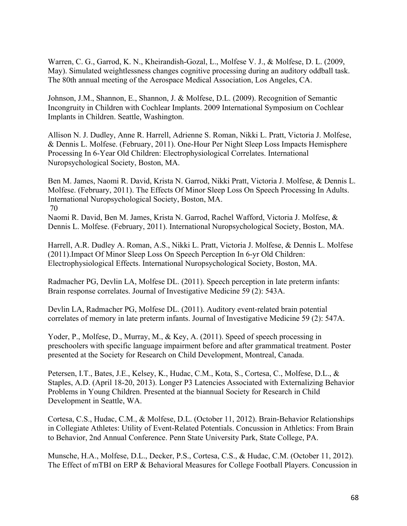Warren, C. G., Garrod, K. N., Kheirandish-Gozal, L., Molfese V. J., & Molfese, D. L. (2009, May). Simulated weightlessness changes cognitive processing during an auditory oddball task. The 80th annual meeting of the Aerospace Medical Association, Los Angeles, CA.

Johnson, J.M., Shannon, E., Shannon, J. & Molfese, D.L. (2009). Recognition of Semantic Incongruity in Children with Cochlear Implants. 2009 International Symposium on Cochlear Implants in Children. Seattle, Washington.

Allison N. J. Dudley, Anne R. Harrell, Adrienne S. Roman, Nikki L. Pratt, Victoria J. Molfese, & Dennis L. Molfese. (February, 2011). One-Hour Per Night Sleep Loss Impacts Hemisphere Processing In 6-Year Old Children: Electrophysiological Correlates. International Nuropsychological Society, Boston, MA.

Ben M. James, Naomi R. David, Krista N. Garrod, Nikki Pratt, Victoria J. Molfese, & Dennis L. Molfese. (February, 2011). The Effects Of Minor Sleep Loss On Speech Processing In Adults. International Nuropsychological Society, Boston, MA. 70

Naomi R. David, Ben M. James, Krista N. Garrod, Rachel Wafford, Victoria J. Molfese, & Dennis L. Molfese. (February, 2011). International Nuropsychological Society, Boston, MA.

Harrell, A.R. Dudley A. Roman, A.S., Nikki L. Pratt, Victoria J. Molfese, & Dennis L. Molfese (2011).Impact Of Minor Sleep Loss On Speech Perception In 6-yr Old Children: Electrophysiological Effects. International Nuropsychological Society, Boston, MA.

Radmacher PG, Devlin LA, Molfese DL. (2011). Speech perception in late preterm infants: Brain response correlates. Journal of Investigative Medicine 59 (2): 543A.

Devlin LA, Radmacher PG, Molfese DL. (2011). Auditory event-related brain potential correlates of memory in late preterm infants. Journal of Investigative Medicine 59 (2): 547A.

Yoder, P., Molfese, D., Murray, M., & Key, A. (2011). Speed of speech processing in preschoolers with specific language impairment before and after grammatical treatment. Poster presented at the Society for Research on Child Development, Montreal, Canada.

Petersen, I.T., Bates, J.E., Kelsey, K., Hudac, C.M., Kota, S., Cortesa, C., Molfese, D.L., & Staples, A.D. (April 18-20, 2013). Longer P3 Latencies Associated with Externalizing Behavior Problems in Young Children. Presented at the biannual Society for Research in Child Development in Seattle, WA.

Cortesa, C.S., Hudac, C.M., & Molfese, D.L. (October 11, 2012). Brain-Behavior Relationships in Collegiate Athletes: Utility of Event-Related Potentials. Concussion in Athletics: From Brain to Behavior, 2nd Annual Conference. Penn State University Park, State College, PA.

Munsche, H.A., Molfese, D.L., Decker, P.S., Cortesa, C.S., & Hudac, C.M. (October 11, 2012). The Effect of mTBI on ERP & Behavioral Measures for College Football Players. Concussion in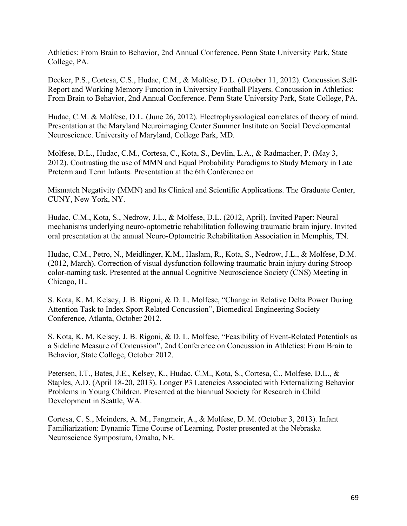Athletics: From Brain to Behavior, 2nd Annual Conference. Penn State University Park, State College, PA.

Decker, P.S., Cortesa, C.S., Hudac, C.M., & Molfese, D.L. (October 11, 2012). Concussion Self-Report and Working Memory Function in University Football Players. Concussion in Athletics: From Brain to Behavior, 2nd Annual Conference. Penn State University Park, State College, PA.

Hudac, C.M. & Molfese, D.L. (June 26, 2012). Electrophysiological correlates of theory of mind. Presentation at the Maryland Neuroimaging Center Summer Institute on Social Developmental Neuroscience. University of Maryland, College Park, MD.

Molfese, D.L., Hudac, C.M., Cortesa, C., Kota, S., Devlin, L.A., & Radmacher, P. (May 3, 2012). Contrasting the use of MMN and Equal Probability Paradigms to Study Memory in Late Preterm and Term Infants. Presentation at the 6th Conference on

Mismatch Negativity (MMN) and Its Clinical and Scientific Applications. The Graduate Center, CUNY, New York, NY.

Hudac, C.M., Kota, S., Nedrow, J.L., & Molfese, D.L. (2012, April). Invited Paper: Neural mechanisms underlying neuro-optometric rehabilitation following traumatic brain injury. Invited oral presentation at the annual Neuro-Optometric Rehabilitation Association in Memphis, TN.

Hudac, C.M., Petro, N., Meidlinger, K.M., Haslam, R., Kota, S., Nedrow, J.L., & Molfese, D.M. (2012, March). Correction of visual dysfunction following traumatic brain injury during Stroop color-naming task. Presented at the annual Cognitive Neuroscience Society (CNS) Meeting in Chicago, IL.

S. Kota, K. M. Kelsey, J. B. Rigoni, & D. L. Molfese, "Change in Relative Delta Power During Attention Task to Index Sport Related Concussion", Biomedical Engineering Society Conference, Atlanta, October 2012.

S. Kota, K. M. Kelsey, J. B. Rigoni, & D. L. Molfese, "Feasibility of Event-Related Potentials as a Sideline Measure of Concussion", 2nd Conference on Concussion in Athletics: From Brain to Behavior, State College, October 2012.

Petersen, I.T., Bates, J.E., Kelsey, K., Hudac, C.M., Kota, S., Cortesa, C., Molfese, D.L., & Staples, A.D. (April 18-20, 2013). Longer P3 Latencies Associated with Externalizing Behavior Problems in Young Children. Presented at the biannual Society for Research in Child Development in Seattle, WA.

Cortesa, C. S., Meinders, A. M., Fangmeir, A., & Molfese, D. M. (October 3, 2013). Infant Familiarization: Dynamic Time Course of Learning. Poster presented at the Nebraska Neuroscience Symposium, Omaha, NE.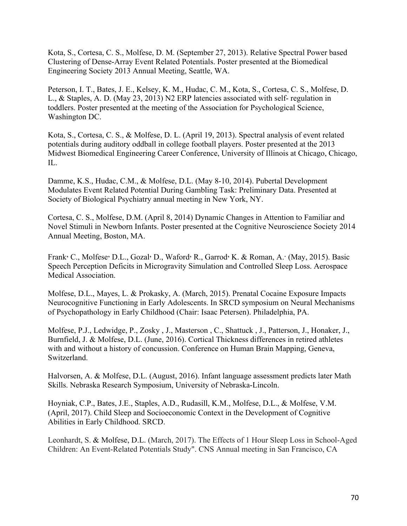Kota, S., Cortesa, C. S., Molfese, D. M. (September 27, 2013). Relative Spectral Power based Clustering of Dense-Array Event Related Potentials. Poster presented at the Biomedical Engineering Society 2013 Annual Meeting, Seattle, WA.

Peterson, I. T., Bates, J. E., Kelsey, K. M., Hudac, C. M., Kota, S., Cortesa, C. S., Molfese, D. L., & Staples, A. D. (May 23, 2013) N2 ERP latencies associated with self- regulation in toddlers. Poster presented at the meeting of the Association for Psychological Science, Washington DC.

Kota, S., Cortesa, C. S., & Molfese, D. L. (April 19, 2013). Spectral analysis of event related potentials during auditory oddball in college football players. Poster presented at the 2013 Midwest Biomedical Engineering Career Conference, University of Illinois at Chicago, Chicago, IL.

Damme, K.S., Hudac, C.M., & Molfese, D.L. (May 8-10, 2014). Pubertal Development Modulates Event Related Potential During Gambling Task: Preliminary Data. Presented at Society of Biological Psychiatry annual meeting in New York, NY.

Cortesa, C. S., Molfese, D.M. (April 8, 2014) Dynamic Changes in Attention to Familiar and Novel Stimuli in Newborn Infants. Poster presented at the Cognitive Neuroscience Society 2014 Annual Meeting, Boston, MA.

Frank, C., Molfese, D.L., Gozal, D., Waford, R., Garrod, K. & Roman, A. (May, 2015). Basic Speech Perception Deficits in Microgravity Simulation and Controlled Sleep Loss. Aerospace Medical Association.

Molfese, D.L., Mayes, L. & Prokasky, A. (March, 2015). Prenatal Cocaine Exposure Impacts Neurocognitive Functioning in Early Adolescents. In SRCD symposium on Neural Mechanisms of Psychopathology in Early Childhood (Chair: Isaac Petersen). Philadelphia, PA.

Molfese, P.J., Ledwidge, P., Zosky , J., Masterson , C., Shattuck , J., Patterson, J., Honaker, J., Burnfield, J. & Molfese, D.L. (June, 2016). Cortical Thickness differences in retired athletes with and without a history of concussion. Conference on Human Brain Mapping, Geneva, Switzerland.

Halvorsen, A. & Molfese, D.L. (August, 2016). Infant language assessment predicts later Math Skills. Nebraska Research Symposium, University of Nebraska-Lincoln.

Hoyniak, C.P., Bates, J.E., Staples, A.D., Rudasill, K.M., Molfese, D.L., & Molfese, V.M. (April, 2017). Child Sleep and Socioeconomic Context in the Development of Cognitive Abilities in Early Childhood. SRCD.

Leonhardt, S. & Molfese, D.L. (March, 2017). The Effects of 1 Hour Sleep Loss in School-Aged Children: An Event-Related Potentials Study". CNS Annual meeting in San Francisco, CA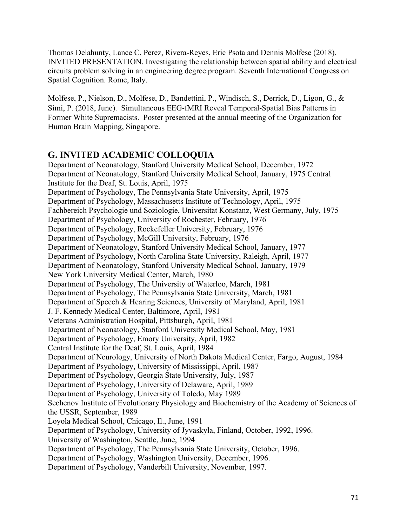Thomas Delahunty, Lance C. Perez, Rivera-Reyes, Eric Psota and Dennis Molfese (2018). INVITED PRESENTATION. Investigating the relationship between spatial ability and electrical circuits problem solving in an engineering degree program. Seventh International Congress on Spatial Cognition. Rome, Italy.

Molfese, P., Nielson, D., Molfese, D., Bandettini, P., Windisch, S., Derrick, D., Ligon, G., & Simi, P. (2018, June). Simultaneous EEG-fMRI Reveal Temporal-Spatial Bias Patterns in Former White Supremacists. Poster presented at the annual meeting of the Organization for Human Brain Mapping, Singapore.

## **G. INVITED ACADEMIC COLLOQUIA**

Department of Neonatology, Stanford University Medical School, December, 1972 Department of Neonatology, Stanford University Medical School, January, 1975 Central Institute for the Deaf, St. Louis, April, 1975 Department of Psychology, The Pennsylvania State University, April, 1975 Department of Psychology, Massachusetts Institute of Technology, April, 1975 Fachbereich Psychologie und Soziologie, Universitat Konstanz, West Germany, July, 1975 Department of Psychology, University of Rochester, February, 1976 Department of Psychology, Rockefeller University, February, 1976 Department of Psychology, McGill University, February, 1976 Department of Neonatology, Stanford University Medical School, January, 1977 Department of Psychology, North Carolina State University, Raleigh, April, 1977 Department of Neonatology, Stanford University Medical School, January, 1979 New York University Medical Center, March, 1980 Department of Psychology, The University of Waterloo, March, 1981 Department of Psychology, The Pennsylvania State University, March, 1981 Department of Speech & Hearing Sciences, University of Maryland, April, 1981 J. F. Kennedy Medical Center, Baltimore, April, 1981 Veterans Administration Hospital, Pittsburgh, April, 1981 Department of Neonatology, Stanford University Medical School, May, 1981 Department of Psychology, Emory University, April, 1982 Central Institute for the Deaf, St. Louis, April, 1984 Department of Neurology, University of North Dakota Medical Center, Fargo, August, 1984 Department of Psychology, University of Mississippi, April, 1987 Department of Psychology, Georgia State University, July, 1987 Department of Psychology, University of Delaware, April, 1989 Department of Psychology, University of Toledo, May 1989 Sechenov Institute of Evolutionary Physiology and Biochemistry of the Academy of Sciences of the USSR, September, 1989 Loyola Medical School, Chicago, Il., June, 1991 Department of Psychology, University of Jyvaskyla, Finland, October, 1992, 1996. University of Washington, Seattle, June, 1994 Department of Psychology, The Pennsylvania State University, October, 1996. Department of Psychology, Washington University, December, 1996. Department of Psychology, Vanderbilt University, November, 1997.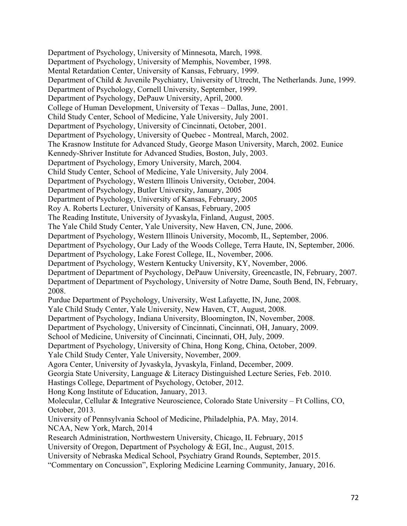Department of Psychology, University of Minnesota, March, 1998. Department of Psychology, University of Memphis, November, 1998. Mental Retardation Center, University of Kansas, February, 1999. Department of Child & Juvenile Psychiatry, University of Utrecht, The Netherlands. June, 1999. Department of Psychology, Cornell University, September, 1999. Department of Psychology, DePauw University, April, 2000. College of Human Development, University of Texas – Dallas, June, 2001. Child Study Center, School of Medicine, Yale University, July 2001. Department of Psychology, University of Cincinnati, October, 2001. Department of Psychology, University of Quebec - Montreal, March, 2002. The Krasnow Institute for Advanced Study, George Mason University, March, 2002. Eunice Kennedy-Shriver Institute for Advanced Studies, Boston, July, 2003. Department of Psychology, Emory University, March, 2004. Child Study Center, School of Medicine, Yale University, July 2004. Department of Psychology, Western Illinois University, October, 2004. Department of Psychology, Butler University, January, 2005 Department of Psychology, University of Kansas, February, 2005 Roy A. Roberts Lecturer, University of Kansas, February, 2005 The Reading Institute, University of Jyvaskyla, Finland, August, 2005. The Yale Child Study Center, Yale University, New Haven, CN, June, 2006. Department of Psychology, Western Illinois University, Mocomb, IL, September, 2006. Department of Psychology, Our Lady of the Woods College, Terra Haute, IN, September, 2006. Department of Psychology, Lake Forest College, IL, November, 2006. Department of Psychology, Western Kentucky University, KY, November, 2006. Department of Department of Psychology, DePauw University, Greencastle, IN, February, 2007. Department of Department of Psychology, University of Notre Dame, South Bend, IN, February, 2008. Purdue Department of Psychology, University, West Lafayette, IN, June, 2008. Yale Child Study Center, Yale University, New Haven, CT, August, 2008. Department of Psychology, Indiana University, Bloomington, IN, November, 2008. Department of Psychology, University of Cincinnati, Cincinnati, OH, January, 2009. School of Medicine, University of Cincinnati, Cincinnati, OH, July, 2009. Department of Psychology, University of China, Hong Kong, China, October, 2009. Yale Child Study Center, Yale University, November, 2009. Agora Center, University of Jyvaskyla, Jyvaskyla, Finland, December, 2009. Georgia State University, Language & Literacy Distinguished Lecture Series, Feb. 2010. Hastings College, Department of Psychology, October, 2012. Hong Kong Institute of Education, January, 2013. Molecular, Cellular & Integrative Neuroscience, Colorado State University – Ft Collins, CO, October, 2013. University of Pennsylvania School of Medicine, Philadelphia, PA. May, 2014. NCAA, New York, March, 2014 Research Administration, Northwestern University, Chicago, IL February, 2015 University of Oregon, Department of Psychology & EGI, Inc., August, 2015. University of Nebraska Medical School, Psychiatry Grand Rounds, September, 2015.

"Commentary on Concussion", Exploring Medicine Learning Community, January, 2016.